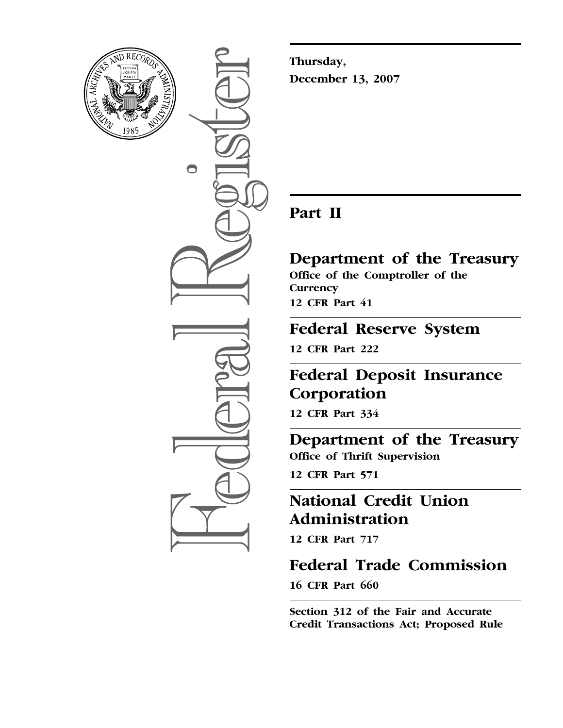

0

**Thursday, December 13, 2007** 

## **Part II**

### **Department of the Treasury Office of the Comptroller of the Currency 12 CFR Part 41**

# **Federal Reserve System**

**12 CFR Part 222** 

# **Federal Deposit Insurance Corporation**

**12 CFR Part 334** 

### **Department of the Treasury Office of Thrift Supervision**

**12 CFR Part 571** 

# **National Credit Union Administration**

**12 CFR Part 717** 

# **Federal Trade Commission**

**16 CFR Part 660** 

**Section 312 of the Fair and Accurate Credit Transactions Act; Proposed Rule**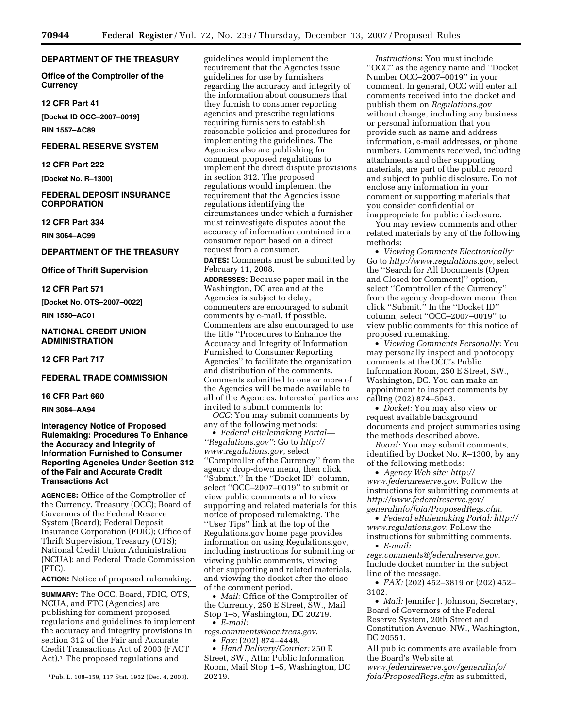#### **DEPARTMENT OF THE TREASURY**

**Office of the Comptroller of the Currency** 

#### **12 CFR Part 41**

**[Docket ID OCC–2007–0019]** 

**RIN 1557–AC89** 

#### **FEDERAL RESERVE SYSTEM**

#### **12 CFR Part 222**

**[Docket No. R–1300]** 

#### **FEDERAL DEPOSIT INSURANCE CORPORATION**

**12 CFR Part 334** 

**RIN 3064–AC99** 

#### **DEPARTMENT OF THE TREASURY**

**Office of Thrift Supervision** 

#### **12 CFR Part 571**

**[Docket No. OTS–2007–0022]** 

#### **RIN 1550–AC01**

#### **NATIONAL CREDIT UNION ADMINISTRATION**

**12 CFR Part 717** 

#### **FEDERAL TRADE COMMISSION**

#### **16 CFR Part 660**

**RIN 3084–AA94** 

**Interagency Notice of Proposed Rulemaking: Procedures To Enhance the Accuracy and Integrity of Information Furnished to Consumer Reporting Agencies Under Section 312 of the Fair and Accurate Credit Transactions Act** 

**AGENCIES:** Office of the Comptroller of the Currency, Treasury (OCC); Board of Governors of the Federal Reserve System (Board); Federal Deposit Insurance Corporation (FDIC); Office of Thrift Supervision, Treasury (OTS); National Credit Union Administration (NCUA); and Federal Trade Commission (FTC).

**ACTION:** Notice of proposed rulemaking.

**SUMMARY:** The OCC, Board, FDIC, OTS, NCUA, and FTC (Agencies) are publishing for comment proposed regulations and guidelines to implement the accuracy and integrity provisions in section 312 of the Fair and Accurate Credit Transactions Act of 2003 (FACT Act).<sup>1</sup> The proposed regulations and

guidelines would implement the requirement that the Agencies issue guidelines for use by furnishers regarding the accuracy and integrity of the information about consumers that they furnish to consumer reporting agencies and prescribe regulations requiring furnishers to establish reasonable policies and procedures for implementing the guidelines. The Agencies also are publishing for comment proposed regulations to implement the direct dispute provisions in section 312. The proposed regulations would implement the requirement that the Agencies issue regulations identifying the circumstances under which a furnisher must reinvestigate disputes about the accuracy of information contained in a consumer report based on a direct request from a consumer. **DATES:** Comments must be submitted by

February 11, 2008.

**ADDRESSES:** Because paper mail in the Washington, DC area and at the Agencies is subject to delay, commenters are encouraged to submit comments by e-mail, if possible. Commenters are also encouraged to use the title ''Procedures to Enhance the Accuracy and Integrity of Information Furnished to Consumer Reporting Agencies'' to facilitate the organization and distribution of the comments. Comments submitted to one or more of the Agencies will be made available to all of the Agencies. Interested parties are invited to submit comments to:

*OCC*: You may submit comments by any of the following methods:

• *Federal eRulemaking Portal— ''Regulations.gov''*: Go to *http:// [www.regulations.gov](http://www.regulations.gov)*, select ''Comptroller of the Currency'' from the agency drop-down menu, then click ''Submit.'' In the ''Docket ID'' column, select ''OCC–2007–0019'' to submit or view public comments and to view supporting and related materials for this notice of proposed rulemaking. The ''User Tips'' link at the top of the Regulations.gov home page provides information on using Regulations.gov, including instructions for submitting or viewing public comments, viewing other supporting and related materials, and viewing the docket after the close of the comment period.

• *Mail:* Office of the Comptroller of the Currency, 250 E Street, SW., Mail Stop 1–5, Washington, DC 20219. • *E-mail:* 

*[regs.comments@occ.treas.gov](mailto:regs.comments@occ.treas.gov)*.

• *Fax:* (202) 874–4448.

• *Hand Delivery/Courier:* 250 E Street, SW., Attn: Public Information Room, Mail Stop 1–5, Washington, DC 20219.

*Instructions*: You must include ''OCC'' as the agency name and ''Docket Number OCC–2007–0019'' in your comment. In general, OCC will enter all comments received into the docket and publish them on *Regulations.gov*  without change, including any business or personal information that you provide such as name and address information, e-mail addresses, or phone numbers. Comments received, including attachments and other supporting materials, are part of the public record and subject to public disclosure. Do not enclose any information in your comment or supporting materials that you consider confidential or inappropriate for public disclosure.

You may review comments and other related materials by any of the following methods:

• *Viewing Comments Electronically:*  Go to *<http://www.regulations.gov>*, select the ''Search for All Documents (Open and Closed for Comment)'' option, select ''Comptroller of the Currency'' from the agency drop-down menu, then click ''Submit.'' In the ''Docket ID'' column, select ''OCC–2007–0019'' to view public comments for this notice of proposed rulemaking.

• *Viewing Comments Personally:* You may personally inspect and photocopy comments at the OCC's Public Information Room, 250 E Street, SW., Washington, DC. You can make an appointment to inspect comments by calling (202) 874–5043.

• *Docket:* You may also view or request available background documents and project summaries using the methods described above.

*Board:* You may submit comments, identified by Docket No. R–1300, by any of the following methods:

• *[Agency Web site: http://](http://www.federalreserve.gov)  www.federalreserve.gov*. Follow the instructions for submitting comments at *[http://www.federalreserve.gov/](http://www.federalreserve.gov/generalinfo/foia/ProposedRegs.cfm)  generalinfo/foia/ProposedRegs.cfm*.

• *[Federal eRulemaking Portal: http://](http://www.regulations.gov)  www.regulations.gov*. Follow the instructions for submitting comments.

• *E-mail:* 

*[regs.comments@federalreserve.gov](mailto:regs.comments@federalreserve.gov)*. Include docket number in the subject line of the message.

• *FAX:* (202) 452–3819 or (202) 452– 3102.

• *Mail:* Jennifer J. Johnson, Secretary, Board of Governors of the Federal Reserve System, 20th Street and Constitution Avenue, NW., Washington, DC 20551.

All public comments are available from the Board's Web site at *[www.federalreserve.gov/generalinfo/](http://www.federalreserve.gov/generalinfo/foia/ProposedRegs.cfm)  foia/ProposedRegs.cfm* as submitted,

<sup>1</sup> Pub. L. 108–159, 117 Stat. 1952 (Dec. 4, 2003).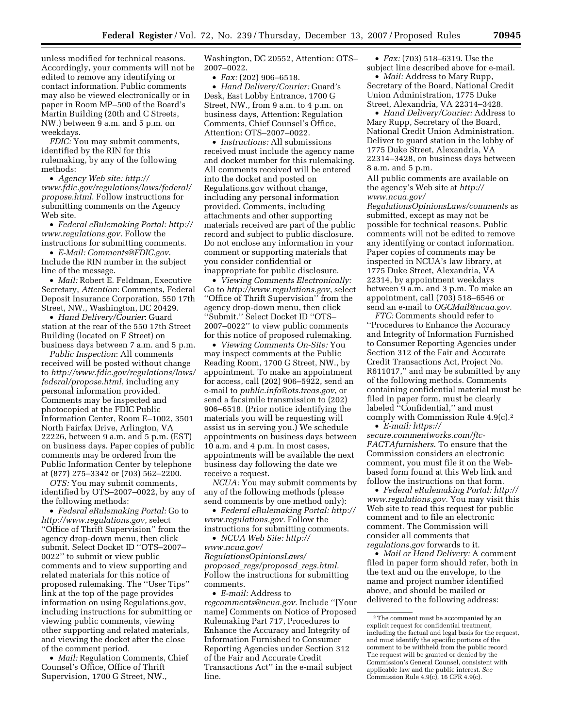unless modified for technical reasons. Accordingly, your comments will not be edited to remove any identifying or contact information. Public comments may also be viewed electronically or in paper in Room MP–500 of the Board's Martin Building (20th and C Streets, NW.) between 9 a.m. and 5 p.m. on weekdays.

*FDIC:* You may submit comments, identified by the RIN for this rulemaking, by any of the following methods:

• *Agency Web site: http:// [www.fdic.gov/regulations/laws/federal/](http://www.fdic.gov/regulations/laws/federal/propose.html)  propose.html*. Follow instructions for submitting comments on the Agency Web site.

• *[Federal eRulemaking Portal: http://](http://www.regulations.gov)  www.regulations.gov*. Follow the instructions for submitting comments.

• *E-Mail: [Comments@FDIC.gov](mailto:Comments@FDIC.gov)*. Include the RIN number in the subject line of the message.

• *Mail:* Robert E. Feldman, Executive Secretary, *Attention*: Comments, Federal Deposit Insurance Corporation, 550 17th Street, NW., Washington, DC 20429.

• *Hand Delivery/Courier*: Guard station at the rear of the 550 17th Street Building (located on F Street) on business days between 7 a.m. and 5 p.m.

*Public Inspection*: All comments received will be posted without change to *[http://www.fdic.gov/regulations/laws/](http://www.fdic.gov/regulations/laws/federal/propose.html)  federal/propose.html*, including any personal information provided. Comments may be inspected and photocopied at the FDIC Public Information Center, Room E–1002, 3501 North Fairfax Drive, Arlington, VA 22226, between 9 a.m. and 5 p.m. (EST) on business days. Paper copies of public comments may be ordered from the Public Information Center by telephone at (877) 275–3342 or (703) 562–2200.

*OTS:* You may submit comments, identified by OTS–2007–0022, by any of the following methods:

• *Federal eRulemaking Portal:* Go to *<http://www.regulations.gov>*, select ''Office of Thrift Supervision'' from the agency drop-down menu, then click submit. Select Docket ID ''OTS–2007– 0022'' to submit or view public comments and to view supporting and related materials for this notice of proposed rulemaking. The ''User Tips'' link at the top of the page provides information on using Regulations.gov, including instructions for submitting or viewing public comments, viewing other supporting and related materials, and viewing the docket after the close of the comment period.

• *Mail:* Regulation Comments, Chief Counsel's Office, Office of Thrift Supervision, 1700 G Street, NW.,

Washington, DC 20552, Attention: OTS– 2007–0022.

• *Fax:* (202) 906–6518.

• *Hand Delivery/Courier:* Guard's Desk, East Lobby Entrance, 1700 G Street, NW., from 9 a.m. to 4 p.m. on business days, Attention: Regulation Comments, Chief Counsel's Office, Attention: OTS–2007–0022.

• *Instructions:* All submissions received must include the agency name and docket number for this rulemaking. All comments received will be entered into the docket and posted on Regulations.gov without change, including any personal information provided. Comments, including attachments and other supporting materials received are part of the public record and subject to public disclosure. Do not enclose any information in your comment or supporting materials that you consider confidential or inappropriate for public disclosure.

• *Viewing Comments Electronically:*  Go to *<http://www.regulations.gov>*, select ''Office of Thrift Supervision'' from the agency drop-down menu, then click ''Submit.'' Select Docket ID ''OTS– 2007–0022'' to view public comments for this notice of proposed rulemaking.

• *Viewing Comments On-Site:* You may inspect comments at the Public Reading Room, 1700 G Street, NW., by appointment. To make an appointment for access, call (202) 906–5922, send an e-mail to *[public.info@ots.treas.gov](mailto:public.info@ots.treas.gov)*, or send a facsimile transmission to (202) 906–6518. (Prior notice identifying the materials you will be requesting will assist us in serving you.) We schedule appointments on business days between 10 a.m. and 4 p.m. In most cases, appointments will be available the next business day following the date we receive a request.

*NCUA:* You may submit comments by any of the following methods (please send comments by one method only):

• *[Federal eRulemaking Portal: http://](http://www.regulations.gov)  www.regulations.gov.* Follow the instructions for submitting comments.

• *NCUA Web Site: http://* 

*www.ncua.gov/ [RegulationsOpinionsLaws/](http://www.ncua.gov/RegulationsOpinionsLaws/proposed_regs/proposed_regs.html)  proposed*\_*regs/proposed*\_*regs.html.*  Follow the instructions for submitting comments.

• *E-mail:* Address to *[regcomments@ncua.gov.](mailto:regcomments@ncua.gov)* Include ''[Your name] Comments on Notice of Proposed Rulemaking Part 717, Procedures to Enhance the Accuracy and Integrity of Information Furnished to Consumer Reporting Agencies under Section 312 of the Fair and Accurate Credit Transactions Act'' in the e-mail subject line.

• *Fax:* (703) 518–6319. Use the subject line described above for e-mail.

• *Mail:* Address to Mary Rupp, Secretary of the Board, National Credit Union Administration, 1775 Duke Street, Alexandria, VA 22314–3428.

• *Hand Delivery/Courier:* Address to Mary Rupp, Secretary of the Board, National Credit Union Administration. Deliver to guard station in the lobby of 1775 Duke Street, Alexandria, VA 22314–3428, on business days between 8 a.m. and 5 p.m.

All public comments are available on the agency's Web site at *http:// www.ncua.gov/* 

*[RegulationsOpinionsLaws/comments](http://www.ncua.gov/RegulationsOpinionsLaws/comments)* as submitted, except as may not be possible for technical reasons. Public comments will not be edited to remove any identifying or contact information. Paper copies of comments may be inspected in NCUA's law library, at 1775 Duke Street, Alexandria, VA 22314, by appointment weekdays between 9 a.m. and 3 p.m. To make an appointment, call (703) 518–6546 or send an e-mail to *[OGCMail@ncua.gov.](mailto:OGCMail@ncua.gov)* 

*FTC:* Comments should refer to ''Procedures to Enhance the Accuracy and Integrity of Information Furnished to Consumer Reporting Agencies under Section 312 of the Fair and Accurate Credit Transactions Act, Project No. R611017,'' and may be submitted by any of the following methods. Comments containing confidential material must be filed in paper form, must be clearly labeled ''Confidential,'' and must comply with Commission Rule 4.9(c).2 • *E-mail: https://* 

*[secure.commentworks.com/ftc-](https://secure.commentworks.com/ftc-FACTAfurnishers)FACTAfurnishers*. To ensure that the Commission considers an electronic comment, you must file it on the Webbased form found at this Web link and follow the instructions on that form.

• *[Federal eRulemaking Portal: http://](http://www.regulations.gov)  www.regulations.gov.* You may visit this Web site to read this request for public comment and to file an electronic comment. The Commission will consider all comments that *regulations.gov* forwards to it.

• *Mail or Hand Delivery:* A comment filed in paper form should refer, both in the text and on the envelope, to the name and project number identified above, and should be mailed or delivered to the following address:

<sup>2</sup> The comment must be accompanied by an explicit request for confidential treatment, including the factual and legal basis for the request, and must identify the specific portions of the comment to be withheld from the public record. The request will be granted or denied by the Commission's General Counsel, consistent with applicable law and the public interest. *See*   $\overrightarrow{Common}$  Commission Rule 4.9(c), 16 CFR 4.9(c).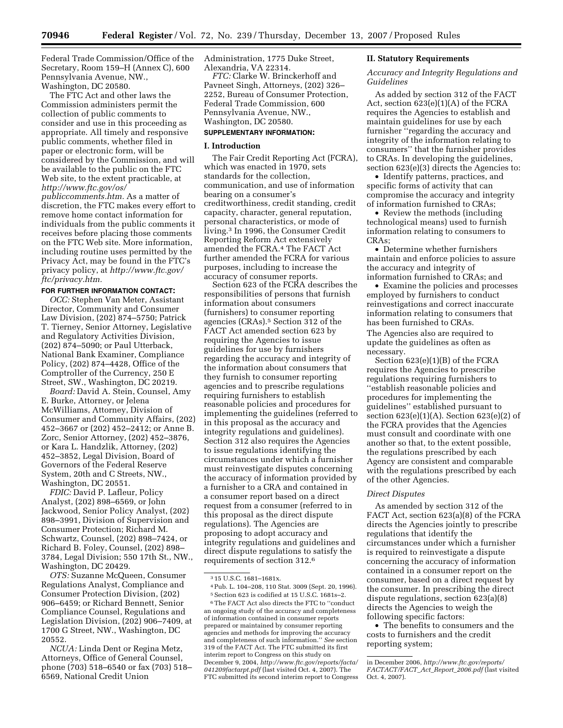Federal Trade Commission/Office of the Secretary, Room 159–H (Annex C), 600 Pennsylvania Avenue, NW., Washington, DC 20580.

The FTC Act and other laws the Commission administers permit the collection of public comments to consider and use in this proceeding as appropriate. All timely and responsive public comments, whether filed in paper or electronic form, will be considered by the Commission, and will be available to the public on the FTC Web site, to the extent practicable, at *[http://www.ftc.gov/os/](http://www.ftc.gov/os/publiccomments.htm)* 

*publiccomments.htm.* As a matter of discretion, the FTC makes every effort to remove home contact information for individuals from the public comments it receives before placing those comments on the FTC Web site. More information, including routine uses permitted by the Privacy Act, may be found in the FTC's privacy policy, at *[http://www.ftc.gov/](http://www.ftc.gov/ftc/privacy.htm)  ftc/privacy.htm.* 

#### **FOR FURTHER INFORMATION CONTACT:**

*OCC:* Stephen Van Meter, Assistant Director, Community and Consumer Law Division, (202) 874–5750; Patrick T. Tierney, Senior Attorney, Legislative and Regulatory Activities Division, (202) 874–5090; or Paul Utterback, National Bank Examiner, Compliance Policy, (202) 874–4428, Office of the Comptroller of the Currency, 250 E Street, SW., Washington, DC 20219.

*Board:* David A. Stein, Counsel, Amy E. Burke, Attorney, or Jelena McWilliams, Attorney, Division of Consumer and Community Affairs, (202) 452–3667 or (202) 452–2412; or Anne B. Zorc, Senior Attorney, (202) 452–3876, or Kara L. Handzlik, Attorney, (202) 452–3852, Legal Division, Board of Governors of the Federal Reserve System, 20th and C Streets, NW., Washington, DC 20551.

*FDIC:* David P. Lafleur, Policy Analyst, (202) 898–6569, or John Jackwood, Senior Policy Analyst, (202) 898–3991, Division of Supervision and Consumer Protection; Richard M. Schwartz, Counsel, (202) 898–7424, or Richard B. Foley, Counsel, (202) 898– 3784, Legal Division; 550 17th St., NW., Washington, DC 20429.

*OTS:* Suzanne McQueen, Consumer Regulations Analyst, Compliance and Consumer Protection Division, (202) 906–6459; or Richard Bennett, Senior Compliance Counsel, Regulations and Legislation Division, (202) 906–7409, at 1700 G Street, NW., Washington, DC 20552.

*NCUA:* Linda Dent or Regina Metz, Attorneys, Office of General Counsel, phone (703) 518–6540 or fax (703) 518– 6569, National Credit Union

Administration, 1775 Duke Street, Alexandria, VA 22314.

*FTC:* Clarke W. Brinckerhoff and Pavneet Singh, Attorneys, (202) 326– 2252, Bureau of Consumer Protection, Federal Trade Commission, 600 Pennsylvania Avenue, NW., Washington, DC 20580. **SUPPLEMENTARY INFORMATION:** 

#### **I. Introduction**

The Fair Credit Reporting Act (FCRA), which was enacted in 1970, sets standards for the collection, communication, and use of information bearing on a consumer's creditworthiness, credit standing, credit capacity, character, general reputation, personal characteristics, or mode of living.3 In 1996, the Consumer Credit Reporting Reform Act extensively amended the FCRA.4 The FACT Act further amended the FCRA for various purposes, including to increase the accuracy of consumer reports.

Section 623 of the FCRA describes the responsibilities of persons that furnish information about consumers (furnishers) to consumer reporting agencies (CRAs).5 Section 312 of the FACT Act amended section 623 by requiring the Agencies to issue guidelines for use by furnishers regarding the accuracy and integrity of the information about consumers that they furnish to consumer reporting agencies and to prescribe regulations requiring furnishers to establish reasonable policies and procedures for implementing the guidelines (referred to in this proposal as the accuracy and integrity regulations and guidelines). Section 312 also requires the Agencies to issue regulations identifying the circumstances under which a furnisher must reinvestigate disputes concerning the accuracy of information provided by a furnisher to a CRA and contained in a consumer report based on a direct request from a consumer (referred to in this proposal as the direct dispute regulations). The Agencies are proposing to adopt accuracy and integrity regulations and guidelines and direct dispute regulations to satisfy the requirements of section 312.6

#### **II. Statutory Requirements**

*Accuracy and Integrity Regulations and Guidelines* 

As added by section 312 of the FACT Act, section 623(e)(1)(A) of the FCRA requires the Agencies to establish and maintain guidelines for use by each furnisher ''regarding the accuracy and integrity of the information relating to consumers'' that the furnisher provides to CRAs. In developing the guidelines, section 623(e)(3) directs the Agencies to:

• Identify patterns, practices, and specific forms of activity that can compromise the accuracy and integrity of information furnished to CRAs;

• Review the methods (including technological means) used to furnish information relating to consumers to CRAs;

• Determine whether furnishers maintain and enforce policies to assure the accuracy and integrity of information furnished to CRAs; and

• Examine the policies and processes employed by furnishers to conduct reinvestigations and correct inaccurate information relating to consumers that has been furnished to CRAs. The Agencies also are required to update the guidelines as often as necessary.

Section 623(e)(1)(B) of the FCRA requires the Agencies to prescribe regulations requiring furnishers to ''establish reasonable policies and procedures for implementing the guidelines'' established pursuant to section  $623(e)(1)(A)$ . Section  $623(e)(2)$  of the FCRA provides that the Agencies must consult and coordinate with one another so that, to the extent possible, the regulations prescribed by each Agency are consistent and comparable with the regulations prescribed by each of the other Agencies.

#### *Direct Disputes*

As amended by section 312 of the FACT Act, section 623(a)(8) of the FCRA directs the Agencies jointly to prescribe regulations that identify the circumstances under which a furnisher is required to reinvestigate a dispute concerning the accuracy of information contained in a consumer report on the consumer, based on a direct request by the consumer. In prescribing the direct dispute regulations, section 623(a)(8) directs the Agencies to weigh the following specific factors:

• The benefits to consumers and the costs to furnishers and the credit reporting system;

<sup>3 15</sup> U.S.C. 1681–1681x.

<sup>4</sup> Pub. L. 104–208, 110 Stat. 3009 (Sept. 20, 1996).

<sup>5</sup> Section 623 is codified at 15 U.S.C. 1681s–2. 6 The FACT Act also directs the FTC to ''conduct an ongoing study of the accuracy and completeness of information contained in consumer reports prepared or maintained by consumer reporting agencies and methods for improving the accuracy and completeness of such information.'' *See* section 319 of the FACT Act. The FTC submitted its first interim report to Congress on this study on December 9, 2004, *[http://www.ftc.gov/reports/facta/](http://www.ftc.gov/reports/facta/041209factarpt.pdf)  041209factarpt.pdf* (last visited Oct. 4, 2007). The FTC submitted its second interim report to Congress

in December 2006, *[http://www.ftc.gov/reports/](http://www.ftc.gov/reports/FACTACT/FACT_Act_Report_2006.pdf)  FACTACT/FACT*\_*Act*\_*Report*\_*2006.pdf* (last visited Oct. 4, 2007).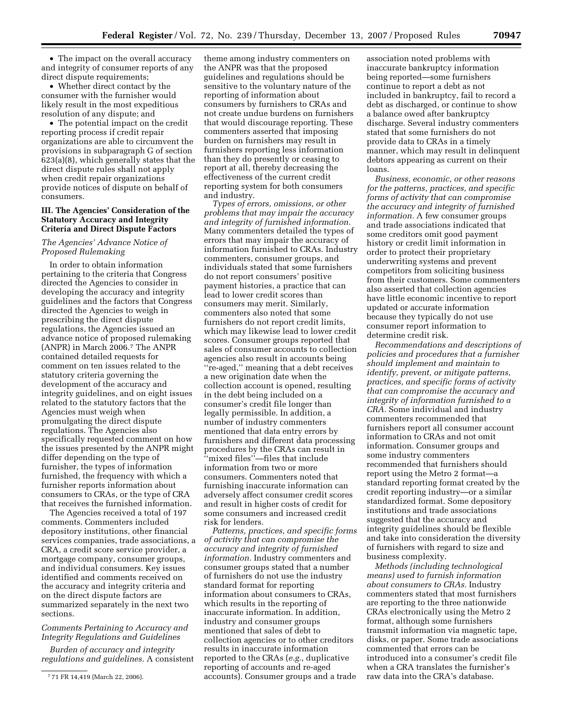• The impact on the overall accuracy and integrity of consumer reports of any direct dispute requirements;

• Whether direct contact by the consumer with the furnisher would likely result in the most expeditious resolution of any dispute; and

• The potential impact on the credit reporting process if credit repair organizations are able to circumvent the provisions in subparagraph G of section 623(a)(8), which generally states that the direct dispute rules shall not apply when credit repair organizations provide notices of dispute on behalf of consumers.

#### **III. The Agencies' Consideration of the Statutory Accuracy and Integrity Criteria and Direct Dispute Factors**

#### *The Agencies' Advance Notice of Proposed Rulemaking*

In order to obtain information pertaining to the criteria that Congress directed the Agencies to consider in developing the accuracy and integrity guidelines and the factors that Congress directed the Agencies to weigh in prescribing the direct dispute regulations, the Agencies issued an advance notice of proposed rulemaking (ANPR) in March 2006.7 The ANPR contained detailed requests for comment on ten issues related to the statutory criteria governing the development of the accuracy and integrity guidelines, and on eight issues related to the statutory factors that the Agencies must weigh when promulgating the direct dispute regulations. The Agencies also specifically requested comment on how the issues presented by the ANPR might differ depending on the type of furnisher, the types of information furnished, the frequency with which a furnisher reports information about consumers to CRAs, or the type of CRA that receives the furnished information.

The Agencies received a total of 197 comments. Commenters included depository institutions, other financial services companies, trade associations, a CRA, a credit score service provider, a mortgage company, consumer groups, and individual consumers. Key issues identified and comments received on the accuracy and integrity criteria and on the direct dispute factors are summarized separately in the next two sections.

#### *Comments Pertaining to Accuracy and Integrity Regulations and Guidelines*

*Burden of accuracy and integrity regulations and guidelines.* A consistent

theme among industry commenters on the ANPR was that the proposed guidelines and regulations should be sensitive to the voluntary nature of the reporting of information about consumers by furnishers to CRAs and not create undue burdens on furnishers that would discourage reporting. These commenters asserted that imposing burden on furnishers may result in furnishers reporting less information than they do presently or ceasing to report at all, thereby decreasing the effectiveness of the current credit reporting system for both consumers and industry.

*Types of errors, omissions, or other problems that may impair the accuracy and integrity of furnished information.*  Many commenters detailed the types of errors that may impair the accuracy of information furnished to CRAs. Industry commenters, consumer groups, and individuals stated that some furnishers do not report consumers' positive payment histories, a practice that can lead to lower credit scores than consumers may merit. Similarly, commenters also noted that some furnishers do not report credit limits, which may likewise lead to lower credit scores. Consumer groups reported that sales of consumer accounts to collection agencies also result in accounts being ''re-aged,'' meaning that a debt receives a new origination date when the collection account is opened, resulting in the debt being included on a consumer's credit file longer than legally permissible. In addition, a number of industry commenters mentioned that data entry errors by furnishers and different data processing procedures by the CRAs can result in ''mixed files''—files that include information from two or more consumers. Commenters noted that furnishing inaccurate information can adversely affect consumer credit scores and result in higher costs of credit for some consumers and increased credit risk for lenders.

*Patterns, practices, and specific forms of activity that can compromise the accuracy and integrity of furnished information.* Industry commenters and consumer groups stated that a number of furnishers do not use the industry standard format for reporting information about consumers to CRAs, which results in the reporting of inaccurate information. In addition, industry and consumer groups mentioned that sales of debt to collection agencies or to other creditors results in inaccurate information reported to the CRAs (*e.g.*, duplicative reporting of accounts and re-aged accounts). Consumer groups and a trade

association noted problems with inaccurate bankruptcy information being reported—some furnishers continue to report a debt as not included in bankruptcy, fail to record a debt as discharged, or continue to show a balance owed after bankruptcy discharge. Several industry commenters stated that some furnishers do not provide data to CRAs in a timely manner, which may result in delinquent debtors appearing as current on their loans.

*Business, economic, or other reasons for the patterns, practices, and specific forms of activity that can compromise the accuracy and integrity of furnished information.* A few consumer groups and trade associations indicated that some creditors omit good payment history or credit limit information in order to protect their proprietary underwriting systems and prevent competitors from soliciting business from their customers. Some commenters also asserted that collection agencies have little economic incentive to report updated or accurate information because they typically do not use consumer report information to determine credit risk.

*Recommendations and descriptions of policies and procedures that a furnisher should implement and maintain to identify, prevent, or mitigate patterns, practices, and specific forms of activity that can compromise the accuracy and integrity of information furnished to a CRA.* Some individual and industry commenters recommended that furnishers report all consumer account information to CRAs and not omit information. Consumer groups and some industry commenters recommended that furnishers should report using the Metro 2 format—a standard reporting format created by the credit reporting industry—or a similar standardized format. Some depository institutions and trade associations suggested that the accuracy and integrity guidelines should be flexible and take into consideration the diversity of furnishers with regard to size and business complexity.

*Methods (including technological means) used to furnish information about consumers to CRAs.* Industry commenters stated that most furnishers are reporting to the three nationwide CRAs electronically using the Metro 2 format, although some furnishers transmit information via magnetic tape, disks, or paper. Some trade associations commented that errors can be introduced into a consumer's credit file when a CRA translates the furnisher's raw data into the CRA's database.

<sup>7 71</sup> FR 14,419 (March 22, 2006).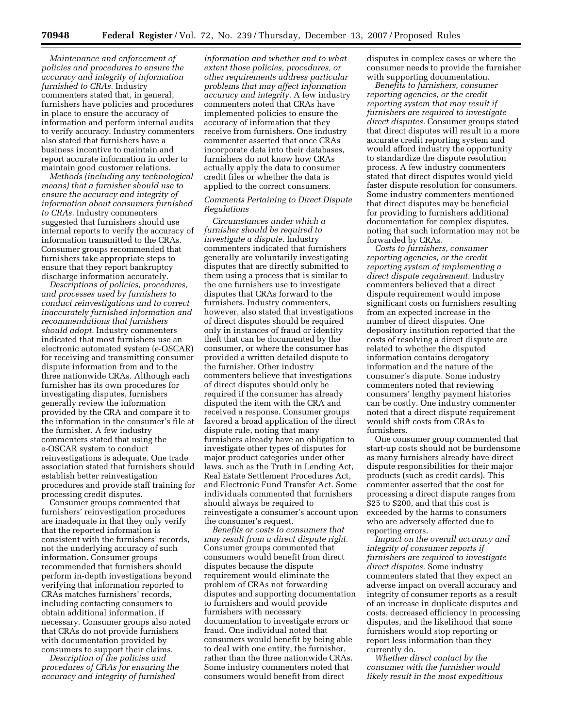*Maintenance and enforcement of policies and procedures to ensure the accuracy and integrity of information furnished to CRAs.* Industry commenters stated that, in general, furnishers have policies and procedures in place to ensure the accuracy of information and perform internal audits to verify accuracy. Industry commenters also stated that furnishers have a business incentive to maintain and report accurate information in order to maintain good customer relations.

*Methods (including any technological means) that a furnisher should use to ensure the accuracy and integrity of information about consumers furnished to CRAs.* Industry commenters suggested that furnishers should use internal reports to verify the accuracy of information transmitted to the CRAs. Consumer groups recommended that furnishers take appropriate steps to ensure that they report bankruptcy discharge information accurately.

*Descriptions of policies, procedures, and processes used by furnishers to conduct reinvestigations and to correct inaccurately furnished information and recommendations that furnishers should adopt.* Industry commenters indicated that most furnishers use an electronic automated system (e-OSCAR) for receiving and transmitting consumer dispute information from and to the three nationwide CRAs. Although each furnisher has its own procedures for investigating disputes, furnishers generally review the information provided by the CRA and compare it to the information in the consumer's file at the furnisher. A few industry commenters stated that using the e-OSCAR system to conduct reinvestigations is adequate. One trade association stated that furnishers should establish better reinvestigation procedures and provide staff training for processing credit disputes.

Consumer groups commented that furnishers' reinvestigation procedures are inadequate in that they only verify that the reported information is consistent with the furnishers' records, not the underlying accuracy of such information. Consumer groups recommended that furnishers should perform in-depth investigations beyond verifying that information reported to CRAs matches furnishers' records, including contacting consumers to obtain additional information, if necessary. Consumer groups also noted that CRAs do not provide furnishers with documentation provided by consumers to support their claims.

*Description of the policies and procedures of CRAs for ensuring the accuracy and integrity of furnished* 

*information and whether and to what extent those policies, procedures, or other requirements address particular problems that may affect information accuracy and integrity.* A few industry commenters noted that CRAs have implemented policies to ensure the accuracy of information that they receive from furnishers. One industry commenter asserted that once CRAs incorporate data into their databases, furnishers do not know how CRAs actually apply the data to consumer credit files or whether the data is applied to the correct consumers.

#### *Comments Pertaining to Direct Dispute Regulations*

*Circumstances under which a furnisher should be required to investigate a dispute.* Industry commenters indicated that furnishers generally are voluntarily investigating disputes that are directly submitted to them using a process that is similar to the one furnishers use to investigate disputes that CRAs forward to the furnishers. Industry commenters, however, also stated that investigations of direct disputes should be required only in instances of fraud or identity theft that can be documented by the consumer, or where the consumer has provided a written detailed dispute to the furnisher. Other industry commenters believe that investigations of direct disputes should only be required if the consumer has already disputed the item with the CRA and received a response. Consumer groups favored a broad application of the direct dispute rule, noting that many furnishers already have an obligation to investigate other types of disputes for major product categories under other laws, such as the Truth in Lending Act, Real Estate Settlement Procedures Act, and Electronic Fund Transfer Act. Some individuals commented that furnishers should always be required to reinvestigate a consumer's account upon the consumer's request.

*Benefits or costs to consumers that may result from a direct dispute right.*  Consumer groups commented that consumers would benefit from direct disputes because the dispute requirement would eliminate the problem of CRAs not forwarding disputes and supporting documentation to furnishers and would provide furnishers with necessary documentation to investigate errors or fraud. One individual noted that consumers would benefit by being able to deal with one entity, the furnisher, rather than the three nationwide CRAs. Some industry commenters noted that consumers would benefit from direct

disputes in complex cases or where the consumer needs to provide the furnisher with supporting documentation.

*Benefits to furnishers, consumer reporting agencies, or the credit reporting system that may result if furnishers are required to investigate direct disputes.* Consumer groups stated that direct disputes will result in a more accurate credit reporting system and would afford industry the opportunity to standardize the dispute resolution process. A few industry commenters stated that direct disputes would yield faster dispute resolution for consumers. Some industry commenters mentioned that direct disputes may be beneficial for providing to furnishers additional documentation for complex disputes, noting that such information may not be forwarded by CRAs.

*Costs to furnishers, consumer reporting agencies, or the credit reporting system of implementing a direct dispute requirement.* Industry commenters believed that a direct dispute requirement would impose significant costs on furnishers resulting from an expected increase in the number of direct disputes. One depository institution reported that the costs of resolving a direct dispute are related to whether the disputed information contains derogatory information and the nature of the consumer's dispute. Some industry commenters noted that reviewing consumers' lengthy payment histories can be costly. One industry commenter noted that a direct dispute requirement would shift costs from CRAs to furnishers.

One consumer group commented that start-up costs should not be burdensome as many furnishers already have direct dispute responsibilities for their major products (such as credit cards). This commenter asserted that the cost for processing a direct dispute ranges from \$25 to \$200, and that this cost is exceeded by the harms to consumers who are adversely affected due to reporting errors.

*Impact on the overall accuracy and integrity of consumer reports if furnishers are required to investigate direct disputes.* Some industry commenters stated that they expect an adverse impact on overall accuracy and integrity of consumer reports as a result of an increase in duplicate disputes and costs, decreased efficiency in processing disputes, and the likelihood that some furnishers would stop reporting or report less information than they currently do.

*Whether direct contact by the consumer with the furnisher would likely result in the most expeditious*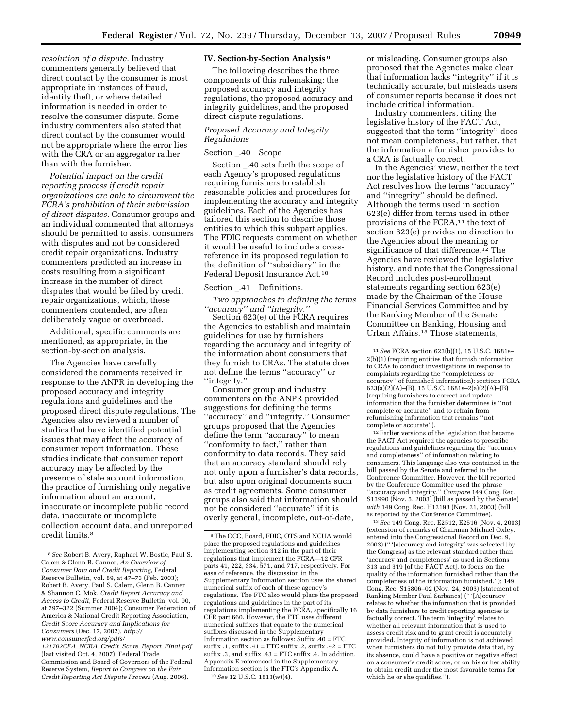*resolution of a dispute.* Industry commenters generally believed that direct contact by the consumer is most appropriate in instances of fraud, identity theft, or where detailed information is needed in order to resolve the consumer dispute. Some industry commenters also stated that direct contact by the consumer would not be appropriate where the error lies with the CRA or an aggregator rather than with the furnisher.

*Potential impact on the credit reporting process if credit repair organizations are able to circumvent the FCRA's prohibition of their submission of direct disputes.* Consumer groups and an individual commented that attorneys should be permitted to assist consumers with disputes and not be considered credit repair organizations. Industry commenters predicted an increase in costs resulting from a significant increase in the number of direct disputes that would be filed by credit repair organizations, which, these commenters contended, are often deliberately vague or overbroad.

Additional, specific comments are mentioned, as appropriate, in the section-by-section analysis.

The Agencies have carefully considered the comments received in response to the ANPR in developing the proposed accuracy and integrity regulations and guidelines and the proposed direct dispute regulations. The Agencies also reviewed a number of studies that have identified potential issues that may affect the accuracy of consumer report information. These studies indicate that consumer report accuracy may be affected by the presence of stale account information, the practice of furnishing only negative information about an account, inaccurate or incomplete public record data, inaccurate or incomplete collection account data, and unreported credit limits.<sup>8</sup>

*121702CFA*\_*NCRA*\_*Credit*\_*Score*\_*Report*\_*Final.pdf*  (last visited Oct. 4, 2007); Federal Trade Commission and Board of Governors of the Federal Reserve System, *Report to Congress on the Fair Credit Reporting Act Dispute Process* (Aug. 2006).

#### **IV. Section-by-Section Analysis 9**

The following describes the three components of this rulemaking: the proposed accuracy and integrity regulations, the proposed accuracy and integrity guidelines, and the proposed direct dispute regulations.

#### *Proposed Accuracy and Integrity Regulations*

#### Section \_.40 Scope

Section \_.40 sets forth the scope of each Agency's proposed regulations requiring furnishers to establish reasonable policies and procedures for implementing the accuracy and integrity guidelines. Each of the Agencies has tailored this section to describe those entities to which this subpart applies. The FDIC requests comment on whether it would be useful to include a crossreference in its proposed regulation to the definition of ''subsidiary'' in the Federal Deposit Insurance Act.10

#### Section \_.41 Definitions.

*Two approaches to defining the terms ''accuracy'' and ''integrity.''* 

Section 623(e) of the FCRA requires the Agencies to establish and maintain guidelines for use by furnishers regarding the accuracy and integrity of the information about consumers that they furnish to CRAs. The statute does not define the terms ''accuracy'' or ''integrity.''

Consumer group and industry commenters on the ANPR provided suggestions for defining the terms ''accuracy'' and ''integrity.'' Consumer groups proposed that the Agencies define the term ''accuracy'' to mean ''conformity to fact,'' rather than conformity to data records. They said that an accuracy standard should rely not only upon a furnisher's data records, but also upon original documents such as credit agreements. Some consumer groups also said that information should not be considered ''accurate'' if it is overly general, incomplete, out-of-date,

or misleading. Consumer groups also proposed that the Agencies make clear that information lacks ''integrity'' if it is technically accurate, but misleads users of consumer reports because it does not include critical information.

Industry commenters, citing the legislative history of the FACT Act, suggested that the term ''integrity'' does not mean completeness, but rather, that the information a furnisher provides to a CRA is factually correct.

In the Agencies' view, neither the text nor the legislative history of the FACT Act resolves how the terms ''accuracy'' and ''integrity'' should be defined. Although the terms used in section 623(e) differ from terms used in other provisions of the FCRA,<sup>11</sup> the text of section 623(e) provides no direction to the Agencies about the meaning or significance of that difference.<sup>12</sup> The Agencies have reviewed the legislative history, and note that the Congressional Record includes post-enrollment statements regarding section 623(e) made by the Chairman of the House Financial Services Committee and by the Ranking Member of the Senate Committee on Banking, Housing and Urban Affairs.<sup>13</sup> Those statements,

 $^{12}\overline{\mathrm{E}}$  arlier versions of the legislation that became the FACT Act required the agencies to prescribe regulations and guidelines regarding the ''accuracy and completeness'' of information relating to consumers. This language also was contained in the bill passed by the Senate and referred to the Conference Committee. However, the bill reported by the Conference Committee used the phrase ''accuracy and integrity.'' *Compare* 149 Cong. Rec. S13990 (Nov. 5, 2003) (bill as passed by the Senate) *with* 149 Cong. Rec. H12198 (Nov. 21, 2003) (bill as reported by the Conference Committee).

13 *See* 149 Cong. Rec. E2512, E2516 (Nov. 4, 2003) (extension of remarks of Chairman Michael Oxley, entered into the Congressional Record on Dec. 9, 2003) ('' '[a]ccuracy and integrity' was selected [by the Congress] as the relevant standard rather than 'accuracy and completeness' as used in Sections 313 and 319 [of the FACT Act], to focus on the quality of the information furnished rather than the completeness of the information furnished.''); 149 Cong. Rec. S15806–02 (Nov. 24, 2003) (statement of Ranking Member Paul Sarbanes) ('' '[A]ccuracy' relates to whether the information that is provided by data furnishers to credit reporting agencies is factually correct. The term 'integrity' relates to whether all relevant information that is used to assess credit risk and to grant credit is accurately provided. Integrity of information is not achieved when furnishers do not fully provide data that, by its absence, could have a positive or negative effect on a consumer's credit score, or on his or her ability to obtain credit under the most favorable terms for which he or she qualifies.'').

<sup>8</sup> *See* Robert B. Avery, Raphael W. Bostic, Paul S. Calem & Glenn B. Canner, *An Overview of Consumer Data and Credit Reporting*, Federal Reserve Bulletin, vol. 89, at 47–73 (Feb. 2003); Robert B. Avery, Paul S. Calem, Glenn B. Canner & Shannon C. Mok, *Credit Report Accuracy and Access to Credit*, Federal Reserve Bulletin, vol. 90, at 297–322 (Summer 2004); Consumer Federation of America & National Credit Reporting Association, *Credit Score Accuracy and Implications for Consumers* (Dec. 17, 2002), *http:// [www.consumerfed.org/pdfs/](http://www.consumerfed.org/pdfs/121702CFA_NCRA_Credit_Score_Report_Final.pdf)* 

<sup>9</sup> The OCC, Board, FDIC, OTS and NCUA would place the proposed regulations and guidelines implementing section 312 in the part of their regulations that implement the FCRA—12 CFR parts 41, 222, 334, 571, and 717, respectively. For ease of reference, the discussion in the Supplementary Information section uses the shared numerical suffix of each of these agency's regulations. The FTC also would place the proposed regulations and guidelines in the part of its regulations implementing the FCRA, specifically 16 CFR part 660. However, the FTC uses different numerical suffixes that equate to the numerical suffixes discussed in the Supplementary Information section as follows: Suffix .40 = FTC  $\text{suffix 1, suffix 41} = \text{FTC suffix 2, suffix 42} = \text{FTC}$ suffix .3, and suffix .43 = FTC suffix .4. In addition, Appendix E referenced in the Supplementary Information section is the FTC's Appendix A. 10 *See* 12 U.S.C. 1813(w)(4).

<sup>11</sup> *See* FCRA section 623(b)(1), 15 U.S.C. 1681s– 2(b)(1) (requiring entities that furnish information to CRAs to conduct investigations in response to complaints regarding the ''completeness or accuracy'' of furnished information); sections FCRA 623(a)(2)(A)–(B), 15 U.S.C. 1681s–2(a)(2)(A)–(B) (requiring furnishers to correct and update information that the furnisher determines is ''not complete or accurate'' and to refrain from refurnishing information that remains ''not complete or accurate'').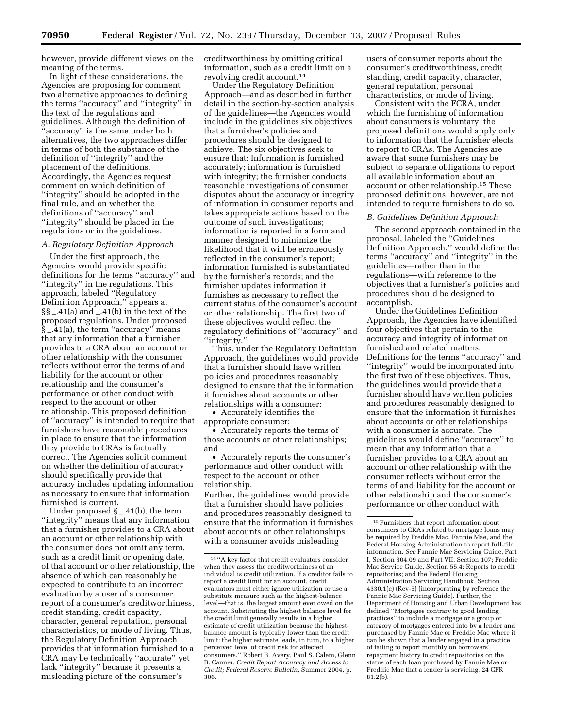however, provide different views on the meaning of the terms.

In light of these considerations, the Agencies are proposing for comment two alternative approaches to defining the terms ''accuracy'' and ''integrity'' in the text of the regulations and guidelines. Although the definition of ''accuracy'' is the same under both alternatives, the two approaches differ in terms of both the substance of the definition of ''integrity'' and the placement of the definitions. Accordingly, the Agencies request comment on which definition of ''integrity'' should be adopted in the final rule, and on whether the definitions of ''accuracy'' and ''integrity'' should be placed in the regulations or in the guidelines.

#### *A. Regulatory Definition Approach*

Under the first approach, the Agencies would provide specific definitions for the terms ''accuracy'' and ''integrity'' in the regulations. This approach, labeled ''Regulatory Definition Approach,'' appears at §§ \_.41(a) and \_.41(b) in the text of the proposed regulations. Under proposed § \_.41(a), the term ''accuracy'' means that any information that a furnisher provides to a CRA about an account or other relationship with the consumer reflects without error the terms of and liability for the account or other relationship and the consumer's performance or other conduct with respect to the account or other relationship. This proposed definition of ''accuracy'' is intended to require that furnishers have reasonable procedures in place to ensure that the information they provide to CRAs is factually correct. The Agencies solicit comment on whether the definition of accuracy should specifically provide that accuracy includes updating information as necessary to ensure that information furnished is current.

Under proposed § \_.41(b), the term ''integrity'' means that any information that a furnisher provides to a CRA about an account or other relationship with the consumer does not omit any term, such as a credit limit or opening date, of that account or other relationship, the absence of which can reasonably be expected to contribute to an incorrect evaluation by a user of a consumer report of a consumer's creditworthiness, credit standing, credit capacity, character, general reputation, personal characteristics, or mode of living. Thus, the Regulatory Definition Approach provides that information furnished to a CRA may be technically ''accurate'' yet lack ''integrity'' because it presents a misleading picture of the consumer's

creditworthiness by omitting critical information, such as a credit limit on a revolving credit account.14

Under the Regulatory Definition Approach—and as described in further detail in the section-by-section analysis of the guidelines—the Agencies would include in the guidelines six objectives that a furnisher's policies and procedures should be designed to achieve. The six objectives seek to ensure that: Information is furnished accurately; information is furnished with integrity; the furnisher conducts reasonable investigations of consumer disputes about the accuracy or integrity of information in consumer reports and takes appropriate actions based on the outcome of such investigations; information is reported in a form and manner designed to minimize the likelihood that it will be erroneously reflected in the consumer's report; information furnished is substantiated by the furnisher's records; and the furnisher updates information it furnishes as necessary to reflect the current status of the consumer's account or other relationship. The first two of these objectives would reflect the regulatory definitions of ''accuracy'' and ''integrity.''

Thus, under the Regulatory Definition Approach, the guidelines would provide that a furnisher should have written policies and procedures reasonably designed to ensure that the information it furnishes about accounts or other relationships with a consumer:

• Accurately identifies the appropriate consumer;

• Accurately reports the terms of those accounts or other relationships; and

• Accurately reports the consumer's performance and other conduct with respect to the account or other relationship.

Further, the guidelines would provide that a furnisher should have policies and procedures reasonably designed to ensure that the information it furnishes about accounts or other relationships with a consumer avoids misleading

users of consumer reports about the consumer's creditworthiness, credit standing, credit capacity, character, general reputation, personal characteristics, or mode of living.

Consistent with the FCRA, under which the furnishing of information about consumers is voluntary, the proposed definitions would apply only to information that the furnisher elects to report to CRAs. The Agencies are aware that some furnishers may be subject to separate obligations to report all available information about an account or other relationship.15 These proposed definitions, however, are not intended to require furnishers to do so.

#### *B. Guidelines Definition Approach*

The second approach contained in the proposal, labeled the ''Guidelines Definition Approach,'' would define the terms ''accuracy'' and ''integrity'' in the guidelines—rather than in the regulations—with reference to the objectives that a furnisher's policies and procedures should be designed to accomplish.

Under the Guidelines Definition Approach, the Agencies have identified four objectives that pertain to the accuracy and integrity of information furnished and related matters. Definitions for the terms ''accuracy'' and ''integrity'' would be incorporated into the first two of these objectives. Thus, the guidelines would provide that a furnisher should have written policies and procedures reasonably designed to ensure that the information it furnishes about accounts or other relationships with a consumer is accurate. The guidelines would define ''accuracy'' to mean that any information that a furnisher provides to a CRA about an account or other relationship with the consumer reflects without error the terms of and liability for the account or other relationship and the consumer's performance or other conduct with

<sup>14 &#</sup>x27;'A key factor that credit evaluators consider when they assess the creditworthiness of an individual is credit utilization. If a creditor fails to report a credit limit for an account, credit evaluators must either ignore utilization or use a substitute measure such as the highest-balance level—that is, the largest amount ever owed on the account. Substituting the highest balance level for the credit limit generally results in a higher estimate of credit utilization because the highestbalance amount is typically lower than the credit limit: the higher estimate leads, in turn, to a higher perceived level of credit risk for affected consumers.'' Robert B. Avery, Paul S. Calem, Glenn B. Canner, *Credit Report Accuracy and Access to Credit; Federal Reserve Bulletin*, Summer 2004, p. 306.

<sup>15</sup> Furnishers that report information about consumers to CRAs related to mortgage loans may be required by Freddie Mac, Fannie Mae, and the Federal Housing Administration to report full-file information. *See* Fannie Mae Servicing Guide, Part I, Section 304.09 and Part VII, Section 107; Freddie Mac Service Guide, Section 55.4: Reports to credit repositories; and the Federal Housing Administration Servicing Handbook, Section 4330.1(c) (Rev-5) (incorporating by reference the Fannie Mae Servicing Guide). Further, the Department of Housing and Urban Development has defined ''Mortgages contrary to good lending practices'' to include a mortgage or a group or category of mortgages entered into by a lender and purchased by Fannie Mae or Freddie Mac where it can be shown that a lender engaged in a practice of failing to report monthly on borrowers' repayment history to credit repositories on the status of each loan purchased by Fannie Mae or Freddie Mac that a lender is servicing. 24 CFR 81.2(b).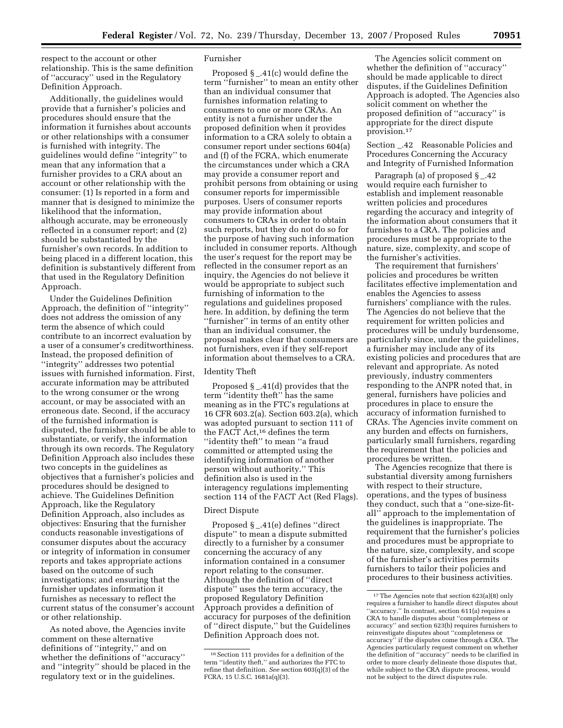respect to the account or other relationship. This is the same definition of ''accuracy'' used in the Regulatory Definition Approach.

Additionally, the guidelines would provide that a furnisher's policies and procedures should ensure that the information it furnishes about accounts or other relationships with a consumer is furnished with integrity. The guidelines would define ''integrity'' to mean that any information that a furnisher provides to a CRA about an account or other relationship with the consumer: (1) Is reported in a form and manner that is designed to minimize the likelihood that the information, although accurate, may be erroneously reflected in a consumer report; and (2) should be substantiated by the furnisher's own records. In addition to being placed in a different location, this definition is substantively different from that used in the Regulatory Definition Approach.

Under the Guidelines Definition Approach, the definition of ''integrity'' does not address the omission of any term the absence of which could contribute to an incorrect evaluation by a user of a consumer's creditworthiness. Instead, the proposed definition of ''integrity'' addresses two potential issues with furnished information. First, accurate information may be attributed to the wrong consumer or the wrong account, or may be associated with an erroneous date. Second, if the accuracy of the furnished information is disputed, the furnisher should be able to substantiate, or verify, the information through its own records. The Regulatory Definition Approach also includes these two concepts in the guidelines as objectives that a furnisher's policies and procedures should be designed to achieve. The Guidelines Definition Approach, like the Regulatory Definition Approach, also includes as objectives: Ensuring that the furnisher conducts reasonable investigations of consumer disputes about the accuracy or integrity of information in consumer reports and takes appropriate actions based on the outcome of such investigations; and ensuring that the furnisher updates information it furnishes as necessary to reflect the current status of the consumer's account or other relationship.

As noted above, the Agencies invite comment on these alternative definitions of ''integrity,'' and on whether the definitions of ''accuracy'' and ''integrity'' should be placed in the regulatory text or in the guidelines.

#### Furnisher

Proposed  $\S$  \_.41(c) would define the term ''furnisher'' to mean an entity other than an individual consumer that furnishes information relating to consumers to one or more CRAs. An entity is not a furnisher under the proposed definition when it provides information to a CRA solely to obtain a consumer report under sections 604(a) and (f) of the FCRA, which enumerate the circumstances under which a CRA may provide a consumer report and prohibit persons from obtaining or using consumer reports for impermissible purposes. Users of consumer reports may provide information about consumers to CRAs in order to obtain such reports, but they do not do so for the purpose of having such information included in consumer reports. Although the user's request for the report may be reflected in the consumer report as an inquiry, the Agencies do not believe it would be appropriate to subject such furnishing of information to the regulations and guidelines proposed here. In addition, by defining the term ''furnisher'' in terms of an entity other than an individual consumer, the proposal makes clear that consumers are not furnishers, even if they self-report information about themselves to a CRA.

#### Identity Theft

Proposed § \_.41(d) provides that the term ''identity theft'' has the same meaning as in the FTC's regulations at 16 CFR 603.2(a). Section 603.2(a), which was adopted pursuant to section 111 of the FACT Act,16 defines the term ''identity theft'' to mean ''a fraud committed or attempted using the identifying information of another person without authority.'' This definition also is used in the interagency regulations implementing section 114 of the FACT Act (Red Flags).

#### Direct Dispute

Proposed § \_.41(e) defines ''direct dispute'' to mean a dispute submitted directly to a furnisher by a consumer concerning the accuracy of any information contained in a consumer report relating to the consumer. Although the definition of ''direct dispute'' uses the term accuracy, the proposed Regulatory Definition Approach provides a definition of accuracy for purposes of the definition of ''direct dispute,'' but the Guidelines Definition Approach does not.

The Agencies solicit comment on whether the definition of ''accuracy'' should be made applicable to direct disputes, if the Guidelines Definition Approach is adopted. The Agencies also solicit comment on whether the proposed definition of ''accuracy'' is appropriate for the direct dispute provision.17

Section \_.42 Reasonable Policies and Procedures Concerning the Accuracy and Integrity of Furnished Information

Paragraph (a) of proposed § \_.42 would require each furnisher to establish and implement reasonable written policies and procedures regarding the accuracy and integrity of the information about consumers that it furnishes to a CRA. The policies and procedures must be appropriate to the nature, size, complexity, and scope of the furnisher's activities.

The requirement that furnishers' policies and procedures be written facilitates effective implementation and enables the Agencies to assess furnishers' compliance with the rules. The Agencies do not believe that the requirement for written policies and procedures will be unduly burdensome, particularly since, under the guidelines, a furnisher may include any of its existing policies and procedures that are relevant and appropriate. As noted previously, industry commenters responding to the ANPR noted that, in general, furnishers have policies and procedures in place to ensure the accuracy of information furnished to CRAs. The Agencies invite comment on any burden and effects on furnishers, particularly small furnishers, regarding the requirement that the policies and procedures be written.

The Agencies recognize that there is substantial diversity among furnishers with respect to their structure, operations, and the types of business they conduct, such that a ''one-size-fitall'' approach to the implementation of the guidelines is inappropriate. The requirement that the furnisher's policies and procedures must be appropriate to the nature, size, complexity, and scope of the furnisher's activities permits furnishers to tailor their policies and procedures to their business activities.

<sup>16</sup> Section 111 provides for a definition of the term ''identity theft,'' and authorizes the FTC to refine that definition. *See* section 603(q)(3) of the FCRA, 15 U.S.C. 1681a(q)(3).

<sup>17</sup> The Agencies note that section 623(a)(8) only requires a furnisher to handle direct disputes about ''accuracy.'' In contrast, section 611(a) requires a CRA to handle disputes about ''completeness or accuracy'' and section 623(b) requires furnishers to reinvestigate disputes about ''completeness or accuracy'' if the disputes come through a CRA. The Agencies particularly request comment on whether the definition of ''accuracy'' needs to be clarified in order to more clearly delineate those disputes that, while subject to the CRA dispute process, would not be subject to the direct disputes rule.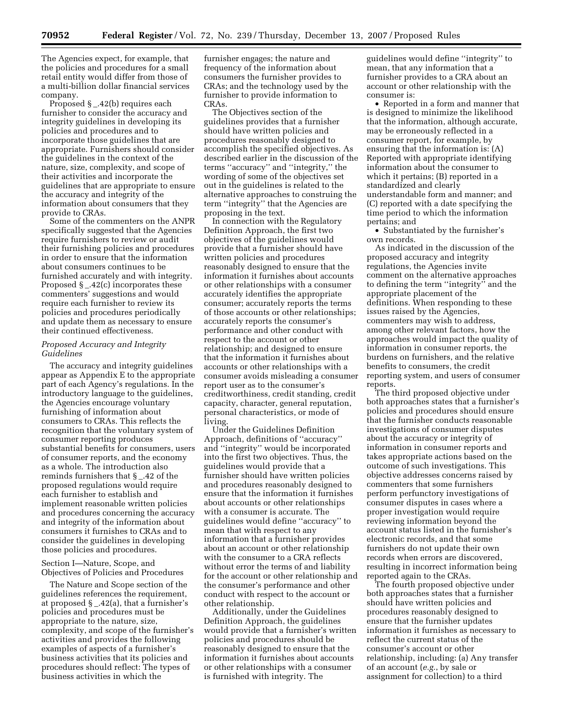The Agencies expect, for example, that the policies and procedures for a small retail entity would differ from those of a multi-billion dollar financial services company.

Proposed § \_.42(b) requires each furnisher to consider the accuracy and integrity guidelines in developing its policies and procedures and to incorporate those guidelines that are appropriate. Furnishers should consider the guidelines in the context of the nature, size, complexity, and scope of their activities and incorporate the guidelines that are appropriate to ensure the accuracy and integrity of the information about consumers that they provide to CRAs.

Some of the commenters on the ANPR specifically suggested that the Agencies require furnishers to review or audit their furnishing policies and procedures in order to ensure that the information about consumers continues to be furnished accurately and with integrity. Proposed  $\S$   $\_$ .42(c) incorporates these commenters' suggestions and would require each furnisher to review its policies and procedures periodically and update them as necessary to ensure their continued effectiveness.

#### *Proposed Accuracy and Integrity Guidelines*

The accuracy and integrity guidelines appear as Appendix E to the appropriate part of each Agency's regulations. In the introductory language to the guidelines, the Agencies encourage voluntary furnishing of information about consumers to CRAs. This reflects the recognition that the voluntary system of consumer reporting produces substantial benefits for consumers, users of consumer reports, and the economy as a whole. The introduction also reminds furnishers that  $\S$  \_.42 of the proposed regulations would require each furnisher to establish and implement reasonable written policies and procedures concerning the accuracy and integrity of the information about consumers it furnishes to CRAs and to consider the guidelines in developing those policies and procedures.

Section I—Nature, Scope, and Objectives of Policies and Procedures

The Nature and Scope section of the guidelines references the requirement, at proposed § \_.42(a), that a furnisher's policies and procedures must be appropriate to the nature, size, complexity, and scope of the furnisher's activities and provides the following examples of aspects of a furnisher's business activities that its policies and procedures should reflect: The types of business activities in which the

furnisher engages; the nature and frequency of the information about consumers the furnisher provides to CRAs; and the technology used by the furnisher to provide information to CRAs.

The Objectives section of the guidelines provides that a furnisher should have written policies and procedures reasonably designed to accomplish the specified objectives. As described earlier in the discussion of the terms ''accuracy'' and ''integrity,'' the wording of some of the objectives set out in the guidelines is related to the alternative approaches to construing the term ''integrity'' that the Agencies are proposing in the text.

In connection with the Regulatory Definition Approach, the first two objectives of the guidelines would provide that a furnisher should have written policies and procedures reasonably designed to ensure that the information it furnishes about accounts or other relationships with a consumer accurately identifies the appropriate consumer; accurately reports the terms of those accounts or other relationships; accurately reports the consumer's performance and other conduct with respect to the account or other relationship; and designed to ensure that the information it furnishes about accounts or other relationships with a consumer avoids misleading a consumer report user as to the consumer's creditworthiness, credit standing, credit capacity, character, general reputation, personal characteristics, or mode of living.

Under the Guidelines Definition Approach, definitions of ''accuracy'' and ''integrity'' would be incorporated into the first two objectives. Thus, the guidelines would provide that a furnisher should have written policies and procedures reasonably designed to ensure that the information it furnishes about accounts or other relationships with a consumer is accurate. The guidelines would define ''accuracy'' to mean that with respect to any information that a furnisher provides about an account or other relationship with the consumer to a CRA reflects without error the terms of and liability for the account or other relationship and the consumer's performance and other conduct with respect to the account or other relationship.

Additionally, under the Guidelines Definition Approach, the guidelines would provide that a furnisher's written policies and procedures should be reasonably designed to ensure that the information it furnishes about accounts or other relationships with a consumer is furnished with integrity. The

guidelines would define ''integrity'' to mean, that any information that a furnisher provides to a CRA about an account or other relationship with the consumer is:

• Reported in a form and manner that is designed to minimize the likelihood that the information, although accurate, may be erroneously reflected in a consumer report, for example, by ensuring that the information is: (A) Reported with appropriate identifying information about the consumer to which it pertains; (B) reported in a standardized and clearly understandable form and manner; and (C) reported with a date specifying the time period to which the information pertains; and

• Substantiated by the furnisher's own records.

As indicated in the discussion of the proposed accuracy and integrity regulations, the Agencies invite comment on the alternative approaches to defining the term ''integrity'' and the appropriate placement of the definitions. When responding to these issues raised by the Agencies, commenters may wish to address, among other relevant factors, how the approaches would impact the quality of information in consumer reports, the burdens on furnishers, and the relative benefits to consumers, the credit reporting system, and users of consumer reports.

The third proposed objective under both approaches states that a furnisher's policies and procedures should ensure that the furnisher conducts reasonable investigations of consumer disputes about the accuracy or integrity of information in consumer reports and takes appropriate actions based on the outcome of such investigations. This objective addresses concerns raised by commenters that some furnishers perform perfunctory investigations of consumer disputes in cases where a proper investigation would require reviewing information beyond the account status listed in the furnisher's electronic records, and that some furnishers do not update their own records when errors are discovered, resulting in incorrect information being reported again to the CRAs.

The fourth proposed objective under both approaches states that a furnisher should have written policies and procedures reasonably designed to ensure that the furnisher updates information it furnishes as necessary to reflect the current status of the consumer's account or other relationship, including: (a) Any transfer of an account (*e.g.*, by sale or assignment for collection) to a third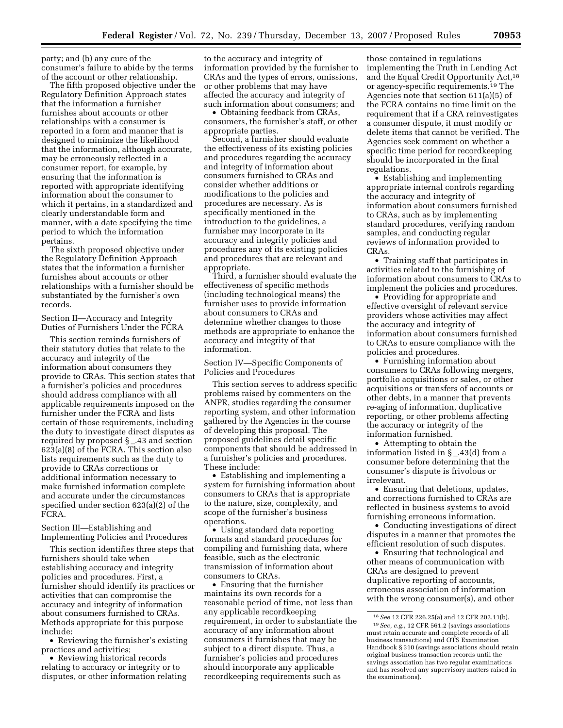party; and (b) any cure of the consumer's failure to abide by the terms of the account or other relationship.

The fifth proposed objective under the Regulatory Definition Approach states that the information a furnisher furnishes about accounts or other relationships with a consumer is reported in a form and manner that is designed to minimize the likelihood that the information, although accurate, may be erroneously reflected in a consumer report, for example, by ensuring that the information is reported with appropriate identifying information about the consumer to which it pertains, in a standardized and clearly understandable form and manner, with a date specifying the time period to which the information pertains.

The sixth proposed objective under the Regulatory Definition Approach states that the information a furnisher furnishes about accounts or other relationships with a furnisher should be substantiated by the furnisher's own records.

Section II—Accuracy and Integrity Duties of Furnishers Under the FCRA

This section reminds furnishers of their statutory duties that relate to the accuracy and integrity of the information about consumers they provide to CRAs. This section states that a furnisher's policies and procedures should address compliance with all applicable requirements imposed on the furnisher under the FCRA and lists certain of those requirements, including the duty to investigate direct disputes as required by proposed § \_.43 and section 623(a)(8) of the FCRA. This section also lists requirements such as the duty to provide to CRAs corrections or additional information necessary to make furnished information complete and accurate under the circumstances specified under section 623(a)(2) of the FCRA.

Section III—Establishing and Implementing Policies and Procedures

This section identifies three steps that furnishers should take when establishing accuracy and integrity policies and procedures. First, a furnisher should identify its practices or activities that can compromise the accuracy and integrity of information about consumers furnished to CRAs. Methods appropriate for this purpose include:

• Reviewing the furnisher's existing practices and activities;

• Reviewing historical records relating to accuracy or integrity or to disputes, or other information relating

to the accuracy and integrity of information provided by the furnisher to CRAs and the types of errors, omissions, or other problems that may have affected the accuracy and integrity of such information about consumers; and

• Obtaining feedback from CRAs, consumers, the furnisher's staff, or other appropriate parties.

Second, a furnisher should evaluate the effectiveness of its existing policies and procedures regarding the accuracy and integrity of information about consumers furnished to CRAs and consider whether additions or modifications to the policies and procedures are necessary. As is specifically mentioned in the introduction to the guidelines, a furnisher may incorporate in its accuracy and integrity policies and procedures any of its existing policies and procedures that are relevant and appropriate.

Third, a furnisher should evaluate the effectiveness of specific methods (including technological means) the furnisher uses to provide information about consumers to CRAs and determine whether changes to those methods are appropriate to enhance the accuracy and integrity of that information.

Section IV—Specific Components of Policies and Procedures

This section serves to address specific problems raised by commenters on the ANPR, studies regarding the consumer reporting system, and other information gathered by the Agencies in the course of developing this proposal. The proposed guidelines detail specific components that should be addressed in a furnisher's policies and procedures. These include:

• Establishing and implementing a system for furnishing information about consumers to CRAs that is appropriate to the nature, size, complexity, and scope of the furnisher's business operations.

• Using standard data reporting formats and standard procedures for compiling and furnishing data, where feasible, such as the electronic transmission of information about consumers to CRAs.

• Ensuring that the furnisher maintains its own records for a reasonable period of time, not less than any applicable recordkeeping requirement, in order to substantiate the accuracy of any information about consumers it furnishes that may be subject to a direct dispute. Thus, a furnisher's policies and procedures should incorporate any applicable recordkeeping requirements such as

those contained in regulations implementing the Truth in Lending Act and the Equal Credit Opportunity Act,18 or agency-specific requirements.19 The Agencies note that section 611(a)(5) of the FCRA contains no time limit on the requirement that if a CRA reinvestigates a consumer dispute, it must modify or delete items that cannot be verified. The Agencies seek comment on whether a specific time period for recordkeeping should be incorporated in the final regulations.

• Establishing and implementing appropriate internal controls regarding the accuracy and integrity of information about consumers furnished to CRAs, such as by implementing standard procedures, verifying random samples, and conducting regular reviews of information provided to CRAs.

• Training staff that participates in activities related to the furnishing of information about consumers to CRAs to implement the policies and procedures.

• Providing for appropriate and effective oversight of relevant service providers whose activities may affect the accuracy and integrity of information about consumers furnished to CRAs to ensure compliance with the policies and procedures.

• Furnishing information about consumers to CRAs following mergers, portfolio acquisitions or sales, or other acquisitions or transfers of accounts or other debts, in a manner that prevents re-aging of information, duplicative reporting, or other problems affecting the accuracy or integrity of the information furnished.

• Attempting to obtain the information listed in § \_.43(d) from a consumer before determining that the consumer's dispute is frivolous or irrelevant.

• Ensuring that deletions, updates, and corrections furnished to CRAs are reflected in business systems to avoid furnishing erroneous information.

• Conducting investigations of direct disputes in a manner that promotes the efficient resolution of such disputes.

• Ensuring that technological and other means of communication with CRAs are designed to prevent duplicative reporting of accounts, erroneous association of information with the wrong consumer(s), and other

<sup>18</sup> *See* 12 CFR 226.25(a) and 12 CFR 202.11(b). 19 *See, e.g.*, 12 CFR 561.2 (savings associations must retain accurate and complete records of all business transactions) and OTS Examination Handbook § 310 (savings associations should retain original business transaction records until the savings association has two regular examinations and has resolved any supervisory matters raised in the examinations).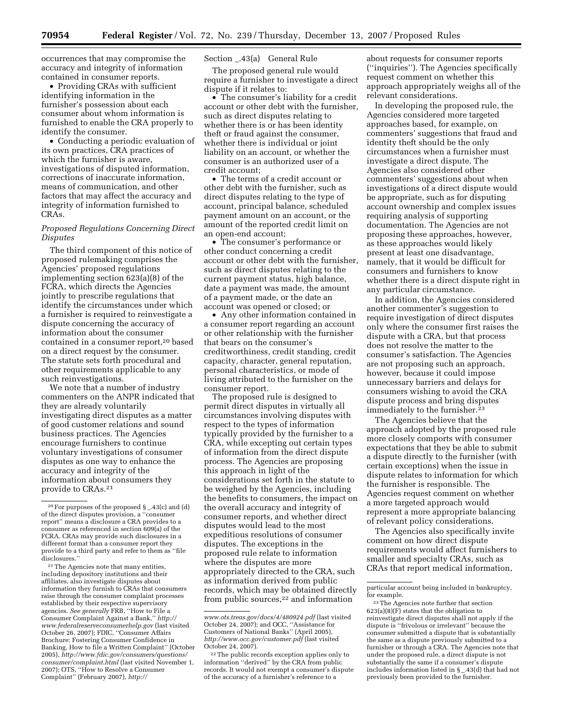occurrences that may compromise the accuracy and integrity of information contained in consumer reports.

• Providing CRAs with sufficient identifying information in the furnisher's possession about each consumer about whom information is furnished to enable the CRA properly to identify the consumer.

• Conducting a periodic evaluation of its own practices, CRA practices of which the furnisher is aware, investigations of disputed information, corrections of inaccurate information, means of communication, and other factors that may affect the accuracy and integrity of information furnished to CRAs.

#### *Proposed Regulations Concerning Direct Disputes*

The third component of this notice of proposed rulemaking comprises the Agencies' proposed regulations implementing section 623(a)(8) of the FCRA, which directs the Agencies jointly to prescribe regulations that identify the circumstances under which a furnisher is required to reinvestigate a dispute concerning the accuracy of information about the consumer contained in a consumer report,<sup>20</sup> based on a direct request by the consumer. The statute sets forth procedural and other requirements applicable to any such reinvestigations.

We note that a number of industry commenters on the ANPR indicated that they are already voluntarily investigating direct disputes as a matter of good customer relations and sound business practices. The Agencies encourage furnishers to continue voluntary investigations of consumer disputes as one way to enhance the accuracy and integrity of the information about consumers they provide to CRAs.21

21 The Agencies note that many entities, including depository institutions and their affiliates, also investigate disputes about information they furnish to CRAs that consumers raise through the consumer complaint processes established by their respective supervisory agencies. *See generally* FRB, ''How to File a [Consumer Complaint Against a Bank,''](http://www.federalreserveconsumerhelp.gov) *http:// www.federalreserveconsumerhelp.gov* (last visited October 26, 2007); FDIC, ''Consumer Affairs Brochure: Fostering Consumer Confidence in Banking, How to file a Written Complaint'' (October 2005), *[http://www.fdic.gov/consumers/questions/](http://www.fdic.gov/consumers/questions/consumer/complaint.html)  consumer/complaint.html* (last visited November 1, 2007); OTS, ''How to Resolve a Consumer Complaint'' (February 2007), *[http://](http://www.ots.treas.gov/docs/4/480924.pdf)* 

#### Section \_.43(a) General Rule

The proposed general rule would require a furnisher to investigate a direct dispute if it relates to:

• The consumer's liability for a credit account or other debt with the furnisher, such as direct disputes relating to whether there is or has been identity theft or fraud against the consumer, whether there is individual or joint liability on an account, or whether the consumer is an authorized user of a credit account;

• The terms of a credit account or other debt with the furnisher, such as direct disputes relating to the type of account, principal balance, scheduled payment amount on an account, or the amount of the reported credit limit on an open-end account;

• The consumer's performance or other conduct concerning a credit account or other debt with the furnisher, such as direct disputes relating to the current payment status, high balance, date a payment was made, the amount of a payment made, or the date an account was opened or closed; or

• Any other information contained in a consumer report regarding an account or other relationship with the furnisher that bears on the consumer's creditworthiness, credit standing, credit capacity, character, general reputation, personal characteristics, or mode of living attributed to the furnisher on the consumer report.

The proposed rule is designed to permit direct disputes in virtually all circumstances involving disputes with respect to the types of information typically provided by the furnisher to a CRA, while excepting out certain types of information from the direct dispute process. The Agencies are proposing this approach in light of the considerations set forth in the statute to be weighed by the Agencies, including the benefits to consumers, the impact on the overall accuracy and integrity of consumer reports, and whether direct disputes would lead to the most expeditious resolutions of consumer disputes. The exceptions in the proposed rule relate to information where the disputes are more appropriately directed to the CRA, such as information derived from public records, which may be obtained directly from public sources, $22$  and information

about requests for consumer reports (''inquiries''). The Agencies specifically request comment on whether this approach appropriately weighs all of the relevant considerations.

In developing the proposed rule, the Agencies considered more targeted approaches based, for example, on commenters' suggestions that fraud and identity theft should be the only circumstances when a furnisher must investigate a direct dispute. The Agencies also considered other commenters' suggestions about when investigations of a direct dispute would be appropriate, such as for disputing account ownership and complex issues requiring analysis of supporting documentation. The Agencies are not proposing these approaches, however, as these approaches would likely present at least one disadvantage, namely, that it would be difficult for consumers and furnishers to know whether there is a direct dispute right in any particular circumstance.

In addition, the Agencies considered another commenter's suggestion to require investigation of direct disputes only where the consumer first raises the dispute with a CRA, but that process does not resolve the matter to the consumer's satisfaction. The Agencies are not proposing such an approach, however, because it could impose unnecessary barriers and delays for consumers wishing to avoid the CRA dispute process and bring disputes immediately to the furnisher.23

The Agencies believe that the approach adopted by the proposed rule more closely comports with consumer expectations that they be able to submit a dispute directly to the furnisher (with certain exceptions) when the issue in dispute relates to information for which the furnisher is responsible. The Agencies request comment on whether a more targeted approach would represent a more appropriate balancing of relevant policy considerations.

The Agencies also specifically invite comment on how direct dispute requirements would affect furnishers to smaller and specialty CRAs, such as CRAs that report medical information,

<sup>&</sup>lt;sup>20</sup> For purposes of the proposed  $\S$  \_.43(c) and (d) of the direct disputes provision, a ''consumer report'' means a disclosure a CRA provides to a consumer as referenced in section 609(a) of the FCRA. CRAs may provide such disclosures in a different format than a consumer report they provide to a third party and refer to them as ''file disclosures.

*[www.ots.treas.gov/docs/4/480924.pdf](http://www.ots.treas.gov/docs/4/480924.pdf)* (last visited October 24, 2007); and OCC, ''Assistance for Customers of National Banks'' (April 2005), *<http://www.occ.gov/customer.pdf>*(last visited October 24, 2007).

<sup>22</sup> The public records exception applies only to information ''derived'' by the CRA from public records. It would not exempt a consumer's dispute of the accuracy of a furnisher's reference to a

particular account being included in bankruptcy, for example.

<sup>23</sup> The Agencies note further that section  $623(a)(8)$ (F) states that the obligation to reinvestigate direct disputes shall not apply if the dispute is ''frivolous or irrelevant'' because the consumer submitted a dispute that is substantially the same as a dispute previously submitted to a furnisher or through a CRA. The Agencies note that under the proposed rule, a direct dispute is not substantially the same if a consumer's dispute includes information listed in § \_.43(d) that had not previously been provided to the furnisher.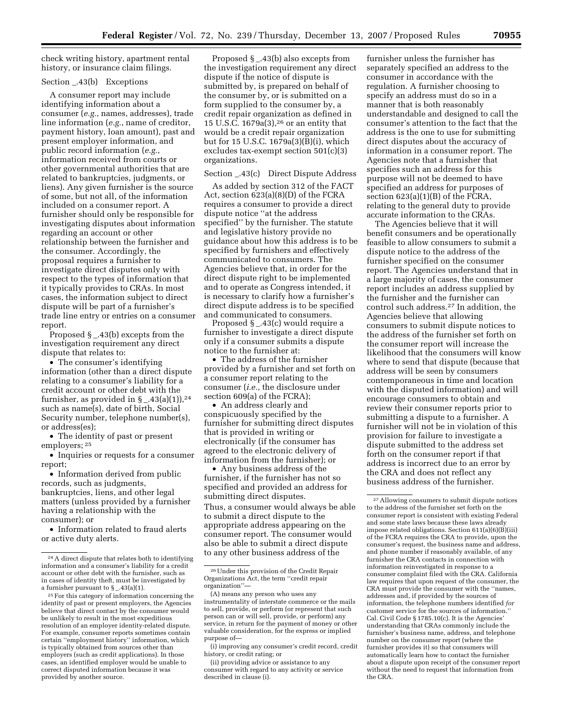check writing history, apartment rental history, or insurance claim filings.

#### Section \_.43(b) Exceptions

A consumer report may include identifying information about a consumer (*e.g.*, names, addresses), trade line information (*e.g.*, name of creditor, payment history, loan amount), past and present employer information, and public record information (*e.g.*, information received from courts or other governmental authorities that are related to bankruptcies, judgments, or liens). Any given furnisher is the source of some, but not all, of the information included on a consumer report. A furnisher should only be responsible for investigating disputes about information regarding an account or other relationship between the furnisher and the consumer. Accordingly, the proposal requires a furnisher to investigate direct disputes only with respect to the types of information that it typically provides to CRAs. In most cases, the information subject to direct dispute will be part of a furnisher's trade line entry or entries on a consumer report.

Proposed § \_.43(b) excepts from the investigation requirement any direct dispute that relates to:

• The consumer's identifying information (other than a direct dispute relating to a consumer's liability for a credit account or other debt with the furnisher, as provided in  $\S$  \_.43(a)(1)),<sup>24</sup> such as name(s), date of birth, Social Security number, telephone number(s), or address(es);

• The identity of past or present employers; 25

• Inquiries or requests for a consumer report;

• Information derived from public records, such as judgments, bankruptcies, liens, and other legal matters (unless provided by a furnisher having a relationship with the consumer); or

• Information related to fraud alerts or active duty alerts.

Proposed  $\S$   $-.43(b)$  also excepts from the investigation requirement any direct dispute if the notice of dispute is submitted by, is prepared on behalf of the consumer by, or is submitted on a form supplied to the consumer by, a credit repair organization as defined in 15 U.S.C. 1679a(3),26 or an entity that would be a credit repair organization but for 15 U.S.C. 1679a(3)(B)(i), which excludes tax-exempt section 501(c)(3) organizations.

#### Section \_.43(c) Direct Dispute Address

As added by section 312 of the FACT Act, section 623(a)(8)(D) of the FCRA requires a consumer to provide a direct dispute notice ''at the address specified'' by the furnisher. The statute and legislative history provide no guidance about how this address is to be specified by furnishers and effectively communicated to consumers. The Agencies believe that, in order for the direct dispute right to be implemented and to operate as Congress intended, it is necessary to clarify how a furnisher's direct dispute address is to be specified and communicated to consumers.

Proposed § \_.43(c) would require a furnisher to investigate a direct dispute only if a consumer submits a dispute notice to the furnisher at:

• The address of the furnisher provided by a furnisher and set forth on a consumer report relating to the consumer (*i.e.*, the disclosure under section 609(a) of the FCRA);

• An address clearly and conspicuously specified by the furnisher for submitting direct disputes that is provided in writing or electronically (if the consumer has agreed to the electronic delivery of information from the furnisher); or

• Any business address of the furnisher, if the furnisher has not so specified and provided an address for submitting direct disputes. Thus, a consumer would always be able to submit a direct dispute to the appropriate address appearing on the consumer report. The consumer would also be able to submit a direct dispute to any other business address of the

furnisher unless the furnisher has separately specified an address to the consumer in accordance with the regulation. A furnisher choosing to specify an address must do so in a manner that is both reasonably understandable and designed to call the consumer's attention to the fact that the address is the one to use for submitting direct disputes about the accuracy of information in a consumer report. The Agencies note that a furnisher that specifies such an address for this purpose will not be deemed to have specified an address for purposes of section 623(a)(1)(B) of the FCRA, relating to the general duty to provide accurate information to the CRAs.

The Agencies believe that it will benefit consumers and be operationally feasible to allow consumers to submit a dispute notice to the address of the furnisher specified on the consumer report. The Agencies understand that in a large majority of cases, the consumer report includes an address supplied by the furnisher and the furnisher can control such address.27 In addition, the Agencies believe that allowing consumers to submit dispute notices to the address of the furnisher set forth on the consumer report will increase the likelihood that the consumers will know where to send that dispute (because that address will be seen by consumers contemporaneous in time and location with the disputed information) and will encourage consumers to obtain and review their consumer reports prior to submitting a dispute to a furnisher. A furnisher will not be in violation of this provision for failure to investigate a dispute submitted to the address set forth on the consumer report if that address is incorrect due to an error by the CRA and does not reflect any business address of the furnisher.

<sup>24</sup> A direct dispute that relates both to identifying information and a consumer's liability for a credit account or other debt with the furnisher, such as in cases of identity theft, must be investigated by a furnisher pursuant to  $\S$  \_.43(a)(1).

<sup>25</sup> For this category of information concerning the identity of past or present employers, the Agencies believe that direct contact by the consumer would be unlikely to result in the most expeditious resolution of an employer identity-related dispute. For example, consumer reports sometimes contain certain ''employment history'' information, which is typically obtained from sources other than employers (such as credit applications). In those cases, an identified employer would be unable to correct disputed information because it was provided by another source.

<sup>26</sup> Under this provision of the Credit Repair Organizations Act, the term ''credit repair organization''—

<sup>(</sup>A) means any person who uses any instrumentality of interstate commerce or the mails to sell, provide, or perform (or represent that such person can or will sell, provide, or perform) any service, in return for the payment of money or other valuable consideration, for the express or implied purpose of—

<sup>(</sup>i) improving any consumer's credit record, credit history, or credit rating; or

<sup>(</sup>ii) providing advice or assistance to any consumer with regard to any activity or service described in clause (i).

<sup>27</sup> Allowing consumers to submit dispute notices to the address of the furnisher set forth on the consumer report is consistent with existing Federal and some state laws because these laws already impose related obligations. Section 611(a)(6)(B)(iii) of the FCRA requires the CRA to provide, upon the consumer's request, the business name and address, and phone number if reasonably available, of any furnisher the CRA contacts in connection with information reinvestigated in response to a consumer complaint filed with the CRA. California law requires that upon request of the consumer, the CRA must provide the consumer with the ''names, addresses and, if provided by the sources of information, the telephone numbers identified *for*  customer service for the sources of information. Cal. Civil Code § 1785.10(c). It is the Agencies' understanding that CRAs commonly include the furnisher's business name, address, and telephone number on the consumer report (where the furnisher provides it) so that consumers will automatically learn how to contact the furnisher about a dispute upon receipt of the consumer report without the need to request that information from the CRA.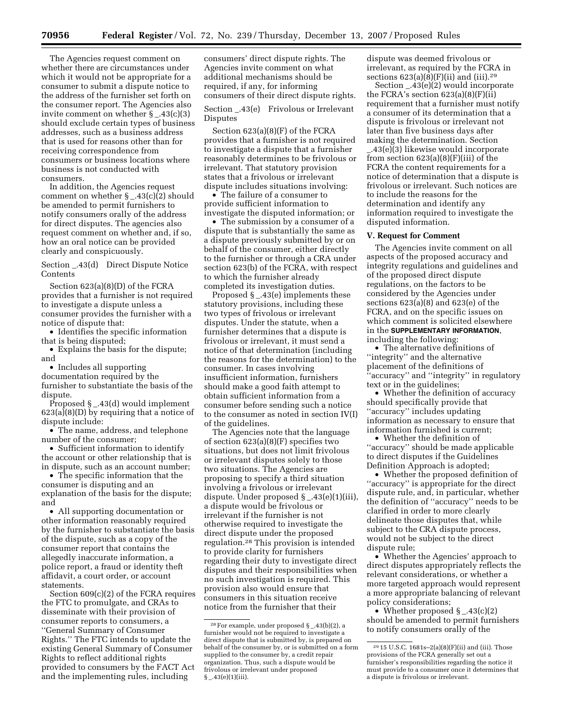The Agencies request comment on whether there are circumstances under which it would not be appropriate for a consumer to submit a dispute notice to the address of the furnisher set forth on the consumer report. The Agencies also invite comment on whether  $\S$  .43(c)(3) should exclude certain types of business addresses, such as a business address that is used for reasons other than for receiving correspondence from consumers or business locations where business is not conducted with consumers.

In addition, the Agencies request comment on whether § \_.43(c)(2) should be amended to permit furnishers to notify consumers orally of the address for direct disputes. The agencies also request comment on whether and, if so, how an oral notice can be provided clearly and conspicuously.

Section \_.43(d) Direct Dispute Notice Contents

Section 623(a)(8)(D) of the FCRA provides that a furnisher is not required to investigate a dispute unless a consumer provides the furnisher with a notice of dispute that:

• Identifies the specific information that is being disputed;

• Explains the basis for the dispute; and

• Includes all supporting documentation required by the furnisher to substantiate the basis of the dispute.

Proposed § \_.43(d) would implement 623(a)(8)(D) by requiring that a notice of dispute include:

• The name, address, and telephone number of the consumer;

• Sufficient information to identify the account or other relationship that is in dispute, such as an account number;

• The specific information that the consumer is disputing and an explanation of the basis for the dispute; and

• All supporting documentation or other information reasonably required by the furnisher to substantiate the basis of the dispute, such as a copy of the consumer report that contains the allegedly inaccurate information, a police report, a fraud or identity theft affidavit, a court order, or account statements.

Section 609(c)(2) of the FCRA requires the FTC to promulgate, and CRAs to disseminate with their provision of consumer reports to consumers, a ''General Summary of Consumer Rights.'' The FTC intends to update the existing General Summary of Consumer Rights to reflect additional rights provided to consumers by the FACT Act and the implementing rules, including

consumers' direct dispute rights. The Agencies invite comment on what additional mechanisms should be required, if any, for informing consumers of their direct dispute rights.

Section \_.43(e) Frivolous or Irrelevant Disputes

Section 623(a)(8)(F) of the FCRA provides that a furnisher is not required to investigate a dispute that a furnisher reasonably determines to be frivolous or irrelevant. That statutory provision states that a frivolous or irrelevant dispute includes situations involving:

• The failure of a consumer to provide sufficient information to investigate the disputed information; or

• The submission by a consumer of a dispute that is substantially the same as a dispute previously submitted by or on behalf of the consumer, either directly to the furnisher or through a CRA under section 623(b) of the FCRA, with respect to which the furnisher already completed its investigation duties.

Proposed § \_.43(e) implements these statutory provisions, including these two types of frivolous or irrelevant disputes. Under the statute, when a furnisher determines that a dispute is frivolous or irrelevant, it must send a notice of that determination (including the reasons for the determination) to the consumer. In cases involving insufficient information, furnishers should make a good faith attempt to obtain sufficient information from a consumer before sending such a notice to the consumer as noted in section IV(I) of the guidelines.

The Agencies note that the language of section 623(a)(8)(F) specifies two situations, but does not limit frivolous or irrelevant disputes solely to those two situations. The Agencies are proposing to specify a third situation involving a frivolous or irrelevant dispute. Under proposed § \_.43(e)(1)(iii), a dispute would be frivolous or irrelevant if the furnisher is not otherwise required to investigate the direct dispute under the proposed regulation.28 This provision is intended to provide clarity for furnishers regarding their duty to investigate direct disputes and their responsibilities when no such investigation is required. This provision also would ensure that consumers in this situation receive notice from the furnisher that their

dispute was deemed frivolous or irrelevant, as required by the FCRA in sections  $623(a)(8)(F)(ii)$  and (iii).<sup>29</sup>

Section \_.43(e)(2) would incorporate the FCRA's section 623(a)(8)(F)(ii) requirement that a furnisher must notify a consumer of its determination that a dispute is frivolous or irrelevant not later than five business days after making the determination. Section

\_.43(e)(3) likewise would incorporate from section 623(a)(8)(F)(iii) of the FCRA the content requirements for a notice of determination that a dispute is frivolous or irrelevant. Such notices are to include the reasons for the determination and identify any information required to investigate the disputed information.

#### **V. Request for Comment**

The Agencies invite comment on all aspects of the proposed accuracy and integrity regulations and guidelines and of the proposed direct dispute regulations, on the factors to be considered by the Agencies under sections 623(a)(8) and 623(e) of the FCRA, and on the specific issues on which comment is solicited elsewhere in the **SUPPLEMENTARY INFORMATION**, including the following:

• The alternative definitions of ''integrity'' and the alternative placement of the definitions of ''accuracy'' and ''integrity'' in regulatory text or in the guidelines;

• Whether the definition of accuracy should specifically provide that ''accuracy'' includes updating information as necessary to ensure that information furnished is current;

• Whether the definition of ''accuracy'' should be made applicable to direct disputes if the Guidelines Definition Approach is adopted;

• Whether the proposed definition of "accuracy" is appropriate for the direct dispute rule, and, in particular, whether the definition of ''accuracy'' needs to be clarified in order to more clearly delineate those disputes that, while subject to the CRA dispute process, would not be subject to the direct dispute rule;

• Whether the Agencies' approach to direct disputes appropriately reflects the relevant considerations, or whether a more targeted approach would represent a more appropriate balancing of relevant policy considerations;

• Whether proposed  $\S$  \_.43(c)(2) should be amended to permit furnishers to notify consumers orally of the

<sup>28</sup> For example, under proposed § \_.43(b)(2), a furnisher would not be required to investigate a direct dispute that is submitted by, is prepared on behalf of the consumer by, or is submitted on a form supplied to the consumer by, a credit repair organization. Thus, such a dispute would be frivolous or irrelevant under proposed  $§$  \_43(e)(1)(iii).

 $^{29}\,15$  U.S.C. 1681s–2(a)(8)(F)(ii) and (iii). Those provisions of the FCRA generally set out a furnisher's responsibilities regarding the notice it must provide to a consumer once it determines that a dispute is frivolous or irrelevant.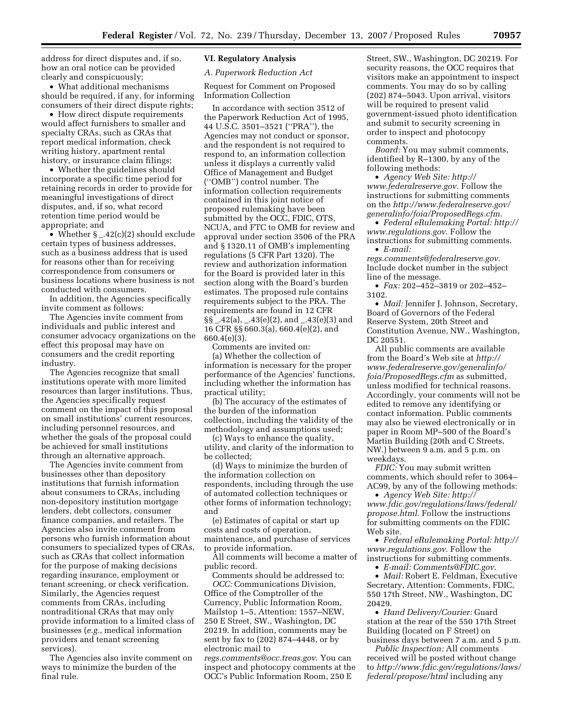address for direct disputes and, if so, how an oral notice can be provided clearly and conspicuously;

• What additional mechanisms should be required, if any, for informing consumers of their direct dispute rights;

• How direct dispute requirements would affect furnishers to smaller and specialty CRAs, such as CRAs that report medical information, check writing history, apartment rental history, or insurance claim filings;

• Whether the guidelines should incorporate a specific time period for retaining records in order to provide for meaningful investigations of direct disputes, and, if so, what record retention time period would be appropriate; and

• Whether § \_.42(c)(2) should exclude certain types of business addresses, such as a business address that is used for reasons other than for receiving correspondence from consumers or business locations where business is not conducted with consumers.

In addition, the Agencies specifically invite comment as follows:

The Agencies invite comment from individuals and public interest and consumer advocacy organizations on the effect this proposal may have on consumers and the credit reporting industry.

The Agencies recognize that small institutions operate with more limited resources than larger institutions. Thus, the Agencies specifically request comment on the impact of this proposal on small institutions' current resources, including personnel resources, and whether the goals of the proposal could be achieved for small institutions through an alternative approach.

The Agencies invite comment from businesses other than depository institutions that furnish information about consumers to CRAs, including non-depository institution mortgage lenders, debt collectors, consumer finance companies, and retailers. The Agencies also invite comment from persons who furnish information about consumers to specialized types of CRAs, such as CRAs that collect information for the purpose of making decisions regarding insurance, employment or tenant screening, or check verification. Similarly, the Agencies request comments from CRAs, including nontraditional CRAs that may only provide information to a limited class of businesses (*e.g.*, medical information providers and tenant screening services).

The Agencies also invite comment on ways to minimize the burden of the final rule.

#### **VI. Regulatory Analysis**

*A. Paperwork Reduction Act* 

Request for Comment on Proposed Information Collection

In accordance with section 3512 of the Paperwork Reduction Act of 1995, 44 U.S.C. 3501–3521 (''PRA''), the Agencies may not conduct or sponsor, and the respondent is not required to respond to, an information collection unless it displays a currently valid Office of Management and Budget (''OMB'') control number. The information collection requirements contained in this joint notice of proposed rulemaking have been submitted by the OCC, FDIC, OTS, NCUA, and FTC to OMB for review and approval under section 3506 of the PRA and § 1320.11 of OMB's implementing regulations (5 CFR Part 1320). The review and authorization information for the Board is provided later in this section along with the Board's burden estimates. The proposed rule contains requirements subject to the PRA. The requirements are found in 12 CFR  $\S\S_$ \_.42(a), \_.43(e)(2), and \_.43(e)(3) and 16 CFR §§ 660.3(a), 660.4(e)(2), and 660.4(e)(3).

Comments are invited on:

(a) Whether the collection of information is necessary for the proper performance of the Agencies' functions, including whether the information has practical utility;

(b) The accuracy of the estimates of the burden of the information collection, including the validity of the methodology and assumptions used;

(c) Ways to enhance the quality, utility, and clarity of the information to be collected;

(d) Ways to minimize the burden of the information collection on respondents, including through the use of automated collection techniques or other forms of information technology; and

(e) Estimates of capital or start up costs and costs of operation, maintenance, and purchase of services to provide information.

All comments will become a matter of public record.

Comments should be addressed to: *OCC:* Communications Division, Office of the Comptroller of the Currency, Public Information Room, Mailstop 1–5, Attention: 1557–NEW, 250 E Street, SW., Washington, DC 20219. In addition, comments may be sent by fax to (202) 874–4448, or by electronic mail to

*[regs.comments@occ.treas.gov](mailto:regs.comments@occ.treas.gov)*. You can inspect and photocopy comments at the OCC's Public Information Room, 250 E

Street, SW., Washington, DC 20219. For security reasons, the OCC requires that visitors make an appointment to inspect comments. You may do so by calling (202) 874–5043. Upon arrival, visitors will be required to present valid government-issued photo identification and submit to security screening in order to inspect and photocopy comments.

*Board:* You may submit comments, identified by R–1300, by any of the following methods:

• *[Agency Web Site: http://](http://www.federalreserve.gov)  www.federalreserve.gov*. Follow the instructions for submitting comments on the *http://www.federalreserve.gov/ [generalinfo/foia/ProposedRegs.cfm](http://www.federalreserve.gov/generalinfo/foia/ProposedRegs.cfm)*.

• *[Federal eRulemaking Portal: http://](http://www.regulations.gov)  www.regulations.gov*. Follow the instructions for submitting comments. • *E-mail:* 

*[regs.comments@federalreserve.gov](mailto:regs.comments@federalreserve.gov)*. Include docket number in the subject line of the message.

• *Fax:* 202–452–3819 or 202–452– 3102.

• *Mail:* Jennifer J. Johnson, Secretary, Board of Governors of the Federal Reserve System, 20th Street and Constitution Avenue, NW., Washington, DC 20551.

All public comments are available from the Board's Web site at *http:// [www.federalreserve.gov/generalinfo/](http://www.federalreserve.gov/generalinfo/foia/ProposedRegs.cfm)  foia/ProposedRegs.cfm* as submitted, unless modified for technical reasons. Accordingly, your comments will not be edited to remove any identifying or contact information. Public comments may also be viewed electronically or in paper in Room MP–500 of the Board's Martin Building (20th and C Streets, NW.) between 9 a.m. and 5 p.m. on weekdays.

*FDIC:* You may submit written comments, which should refer to 3064– AC99, by any of the following methods:

• *Agency Web Site: http:// [www.fdic.gov/regulations/laws/federal/](http://www.fdic.gov/regulations/laws/federal/propose.html)  propose.html*. Follow the instructions for submitting comments on the FDIC Web site.

• *[Federal eRulemaking Portal: http://](http://www.regulations.gov)  www.regulations.gov*. Follow the instructions for submitting comments.

• *E-mail: [Comments@FDIC.gov](mailto:Comments@FDIC.gov)*.

• *Mail:* Robert E. Feldman, Executive Secretary, Attention: Comments, FDIC, 550 17th Street, NW., Washington, DC 20429.

• *Hand Delivery/Courier:* Guard station at the rear of the 550 17th Street Building (located on F Street) on business days between 7 a.m. and 5 p.m.

*Public Inspection:* All comments received will be posted without change to *[http://www.fdic.gov/regulations/laws/](http://www.fdic.gov/regulations/laws/federal/propose.html)  federal/propose/html* including any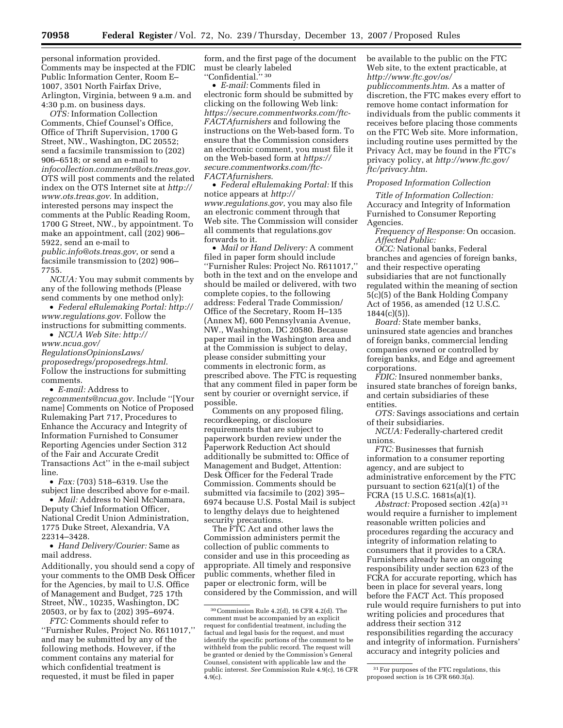personal information provided. Comments may be inspected at the FDIC Public Information Center, Room E– 1007, 3501 North Fairfax Drive, Arlington, Virginia, between 9 a.m. and 4:30 p.m. on business days.

*OTS:* Information Collection Comments, Chief Counsel's Office, Office of Thrift Supervision, 1700 G Street, NW., Washington, DC 20552; send a facsimile transmission to (202) 906–6518; or send an e-mail to *[infocollection.comments@ots.treas.gov](mailto:infocollection.comments@ots.treas.gov)*. OTS will post comments and the related [index on the OTS Internet site at](http://www.ots.treas.gov) *http:// www.ots.treas.gov*. In addition, interested persons may inspect the comments at the Public Reading Room, 1700 G Street, NW., by appointment. To make an appointment, call (202) 906– 5922, send an e-mail to *[public.info@ots.treas.gov](mailto:public.info@ots.treas.gov)*, or send a facsimile transmission to (202) 906–

7755. *NCUA:* You may submit comments by any of the following methods (Please send comments by one method only):

• *[Federal eRulemaking Portal: http://](http://www.regulations.gov)  www.regulations.gov*. Follow the instructions for submitting comments.

• *NCUA Web Site: http:// www.ncua.gov/ RegulationsOpinionsLaws/ [proposedregs/proposedregs.html](http://www.ncua.gov/RegulationsOpinionsLaws/proposedregs/proposedregs.html)*. Follow the instructions for submitting comments.

• *E-mail:* Address to

*[regcomments@ncua.gov](mailto:regcomments@ncua.gov)*. Include ''[Your name] Comments on Notice of Proposed Rulemaking Part 717, Procedures to Enhance the Accuracy and Integrity of Information Furnished to Consumer Reporting Agencies under Section 312 of the Fair and Accurate Credit Transactions Act'' in the e-mail subject line.

• *Fax:* (703) 518–6319. Use the subject line described above for e-mail.

• *Mail:* Address to Neil McNamara, Deputy Chief Information Officer, National Credit Union Administration, 1775 Duke Street, Alexandria, VA 22314–3428.

• *Hand Delivery/Courier:* Same as mail address.

Additionally, you should send a copy of your comments to the OMB Desk Officer for the Agencies, by mail to U.S. Office of Management and Budget, 725 17th Street, NW., 10235, Washington, DC 20503, or by fax to (202) 395–6974.

*FTC:* Comments should refer to ''Furnisher Rules, Project No. R611017,'' and may be submitted by any of the following methods. However, if the comment contains any material for which confidential treatment is requested, it must be filed in paper

form, and the first page of the document must be clearly labeled ''Confidential.'' 30

• *E-mail:* Comments filed in electronic form should be submitted by clicking on the following Web link: *[https://secure.commentworks.com/ftc-](https://secure.commentworks.com/ftc-FACTAfurnishers)FACTAfurnishers* and following the instructions on the Web-based form. To ensure that the Commission considers an electronic comment, you must file it on the Web-based form at *https:// [secure.commentworks.com/ftc-](https://secure.commentworks.com/ftc-FACTAfurnishers)FACTAfurnishers*.

• *Federal eRulemaking Portal:* If this notice appears at *http:// [www.regulations.gov](http://www.regulations.gov)*, you may also file an electronic comment through that Web site. The Commission will consider all comments that regulations.gov forwards to it.

• *Mail or Hand Delivery:* A comment filed in paper form should include ''Furnisher Rules: Project No. R611017,'' both in the text and on the envelope and should be mailed or delivered, with two complete copies, to the following address: Federal Trade Commission/ Office of the Secretary, Room H–135 (Annex M), 600 Pennsylvania Avenue, NW., Washington, DC 20580. Because paper mail in the Washington area and at the Commission is subject to delay, please consider submitting your comments in electronic form, as prescribed above. The FTC is requesting that any comment filed in paper form be sent by courier or overnight service, if possible.

Comments on any proposed filing, recordkeeping, or disclosure requirements that are subject to paperwork burden review under the Paperwork Reduction Act should additionally be submitted to: Office of Management and Budget, Attention: Desk Officer for the Federal Trade Commission. Comments should be submitted via facsimile to (202) 395– 6974 because U.S. Postal Mail is subject to lengthy delays due to heightened security precautions.

The FTC Act and other laws the Commission administers permit the collection of public comments to consider and use in this proceeding as appropriate. All timely and responsive public comments, whether filed in paper or electronic form, will be considered by the Commission, and will be available to the public on the FTC Web site, to the extent practicable, at *[http://www.ftc.gov/os/](http://www.ftc.gov/os/publiccomments.htm)  publiccomments.htm*. As a matter of discretion, the FTC makes every effort to remove home contact information for individuals from the public comments it receives before placing those comments on the FTC Web site. More information, including routine uses permitted by the Privacy Act, may be found in the FTC's privacy policy, at *[http://www.ftc.gov/](http://www.ftc.gov/ftc/privacy.htm)  ftc/privacy.htm*.

#### *Proposed Information Collection*

*Title of Information Collection:*  Accuracy and Integrity of Information Furnished to Consumer Reporting Agencies.

*Frequency of Response:* On occasion. *Affected Public:* 

*OCC:* National banks, Federal branches and agencies of foreign banks, and their respective operating subsidiaries that are not functionally regulated within the meaning of section 5(c)(5) of the Bank Holding Company Act of 1956, as amended (12 U.S.C.  $1844(c)(5)$ ).

*Board:* State member banks, uninsured state agencies and branches of foreign banks, commercial lending companies owned or controlled by foreign banks, and Edge and agreement corporations.

*FDIC:* Insured nonmember banks, insured state branches of foreign banks, and certain subsidiaries of these entities.

*OTS:* Savings associations and certain of their subsidiaries.

*NCUA:* Federally-chartered credit unions.

*FTC:* Businesses that furnish information to a consumer reporting agency, and are subject to administrative enforcement by the FTC pursuant to section 621(a)(1) of the FCRA (15 U.S.C. 1681s(a)(1).

*Abstract:* Proposed section .42(a) 31 would require a furnisher to implement reasonable written policies and procedures regarding the accuracy and integrity of information relating to consumers that it provides to a CRA. Furnishers already have an ongoing responsibility under section 623 of the FCRA for accurate reporting, which has been in place for several years, long before the FACT Act. This proposed rule would require furnishers to put into writing policies and procedures that address their section 312 responsibilities regarding the accuracy and integrity of information. Furnishers' accuracy and integrity policies and

<sup>30</sup> Commission Rule 4.2(d), 16 CFR 4.2(d). The comment must be accompanied by an explicit request for confidential treatment, including the factual and legal basis for the request, and must identify the specific portions of the comment to be withheld from the public record. The request will be granted or denied by the Commission's General Counsel, consistent with applicable law and the public interest. *See* Commission Rule 4.9(c), 16 CFR  $4.9(c)$ .

<sup>&</sup>lt;sup>31</sup> For purposes of the FTC regulations, this proposed section is 16 CFR 660.3(a).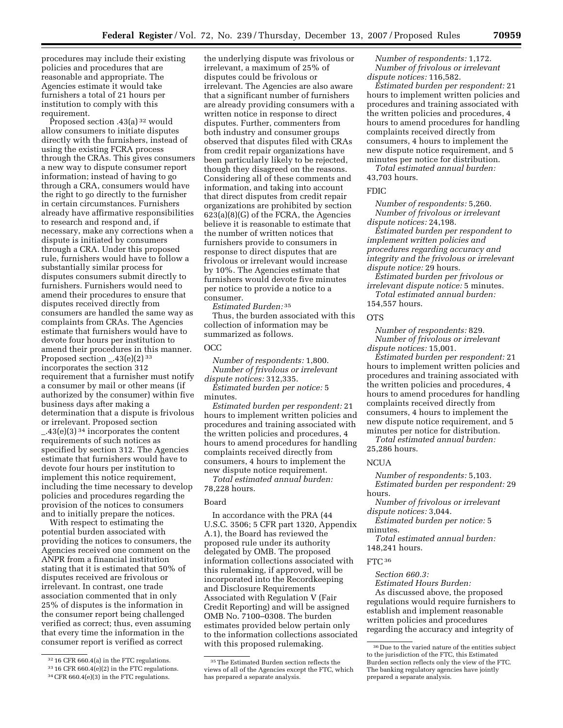procedures may include their existing policies and procedures that are reasonable and appropriate. The Agencies estimate it would take furnishers a total of 21 hours per

institution to comply with this

requirement. Proposed section .43(a) 32 would allow consumers to initiate disputes directly with the furnishers, instead of using the existing FCRA process through the CRAs. This gives consumers a new way to dispute consumer report information; instead of having to go through a CRA, consumers would have the right to go directly to the furnisher in certain circumstances. Furnishers already have affirmative responsibilities to research and respond and, if necessary, make any corrections when a dispute is initiated by consumers through a CRA. Under this proposed rule, furnishers would have to follow a substantially similar process for disputes consumers submit directly to furnishers. Furnishers would need to amend their procedures to ensure that disputes received directly from consumers are handled the same way as complaints from CRAs. The Agencies estimate that furnishers would have to devote four hours per institution to amend their procedures in this manner. Proposed section  $-.43(e)(2)^{33}$ incorporates the section 312 requirement that a furnisher must notify a consumer by mail or other means (if authorized by the consumer) within five business days after making a determination that a dispute is frivolous or irrelevant. Proposed section \_.43(e)(3) 34 incorporates the content requirements of such notices as specified by section 312. The Agencies estimate that furnishers would have to devote four hours per institution to implement this notice requirement, including the time necessary to develop policies and procedures regarding the provision of the notices to consumers and to initially prepare the notices.

With respect to estimating the potential burden associated with providing the notices to consumers, the Agencies received one comment on the ANPR from a financial institution stating that it is estimated that 50% of disputes received are frivolous or irrelevant. In contrast, one trade association commented that in only 25% of disputes is the information in the consumer report being challenged verified as correct; thus, even assuming that every time the information in the consumer report is verified as correct

the underlying dispute was frivolous or irrelevant, a maximum of 25% of disputes could be frivolous or irrelevant. The Agencies are also aware that a significant number of furnishers are already providing consumers with a written notice in response to direct disputes. Further, commenters from both industry and consumer groups observed that disputes filed with CRAs from credit repair organizations have been particularly likely to be rejected, though they disagreed on the reasons. Considering all of these comments and information, and taking into account that direct disputes from credit repair organizations are prohibited by section 623(a)(8)(G) of the FCRA, the Agencies believe it is reasonable to estimate that the number of written notices that furnishers provide to consumers in response to direct disputes that are frivolous or irrelevant would increase by 10%. The Agencies estimate that furnishers would devote five minutes per notice to provide a notice to a consumer.

*Estimated Burden:* 35

Thus, the burden associated with this collection of information may be summarized as follows.

#### OCC

*Number of respondents:* 1,800. *Number of frivolous or irrelevant dispute notices:* 312,335.

*Estimated burden per notice:* 5 minutes.

*Estimated burden per respondent:* 21 hours to implement written policies and procedures and training associated with the written policies and procedures, 4 hours to amend procedures for handling complaints received directly from consumers, 4 hours to implement the new dispute notice requirement.

*Total estimated annual burden:*  78,228 hours.

#### Board

In accordance with the PRA (44 U.S.C. 3506; 5 CFR part 1320, Appendix A.1), the Board has reviewed the proposed rule under its authority delegated by OMB. The proposed information collections associated with this rulemaking, if approved, will be incorporated into the Recordkeeping and Disclosure Requirements Associated with Regulation V (Fair Credit Reporting) and will be assigned OMB No. 7100–0308. The burden estimates provided below pertain only to the information collections associated with this proposed rulemaking.

*Number of respondents:* 1,172. *Number of frivolous or irrelevant dispute notices:* 116,582.

*Estimated burden per respondent:* 21 hours to implement written policies and procedures and training associated with the written policies and procedures, 4 hours to amend procedures for handling complaints received directly from consumers, 4 hours to implement the new dispute notice requirement, and 5 minutes per notice for distribution.

*Total estimated annual burden:*  43,703 hours.

#### FDIC

*Number of respondents:* 5,260. *Number of frivolous or irrelevant dispute notices:* 24,198.

*Estimated burden per respondent to implement written policies and procedures regarding accuracy and integrity and the frivolous or irrelevant dispute notice:* 29 hours.

*Estimated burden per frivolous or irrelevant dispute notice:* 5 minutes. *Total estimated annual burden:* 

154,557 hours.

#### **OTS**

*Number of respondents:* 829. *Number of frivolous or irrelevant dispute notices:* 15,001.

*Estimated burden per respondent:* 21 hours to implement written policies and procedures and training associated with the written policies and procedures, 4 hours to amend procedures for handling complaints received directly from consumers, 4 hours to implement the new dispute notice requirement, and 5 minutes per notice for distribution.

*Total estimated annual burden:*  25,286 hours.

#### **NCUA**

*Number of respondents:* 5,103. *Estimated burden per respondent:* 29 hours.

*Number of frivolous or irrelevant dispute notices:* 3,044.

*Estimated burden per notice:* 5 minutes.

*Total estimated annual burden:*  148,241 hours.

FTC<sup>36</sup>

*Section 660.3:* 

*Estimated Hours Burden:* 

As discussed above, the proposed regulations would require furnishers to establish and implement reasonable written policies and procedures regarding the accuracy and integrity of

<sup>32 16</sup> CFR 660.4(a) in the FTC regulations.

<sup>33 16</sup> CFR 660.4(e)(2) in the FTC regulations.

<sup>34</sup> CFR 660.4(e)(3) in the FTC regulations.

 $^{\rm 35}\rm{The\ Estimated\ Burden\ section\ reflects\ the}$ views of all of the Agencies except the FTC, which has prepared a separate analysis.

<sup>36</sup> Due to the varied nature of the entities subject to the jurisdiction of the FTC, this Estimated Burden section reflects only the view of the FTC. The banking regulatory agencies have jointly prepared a separate analysis.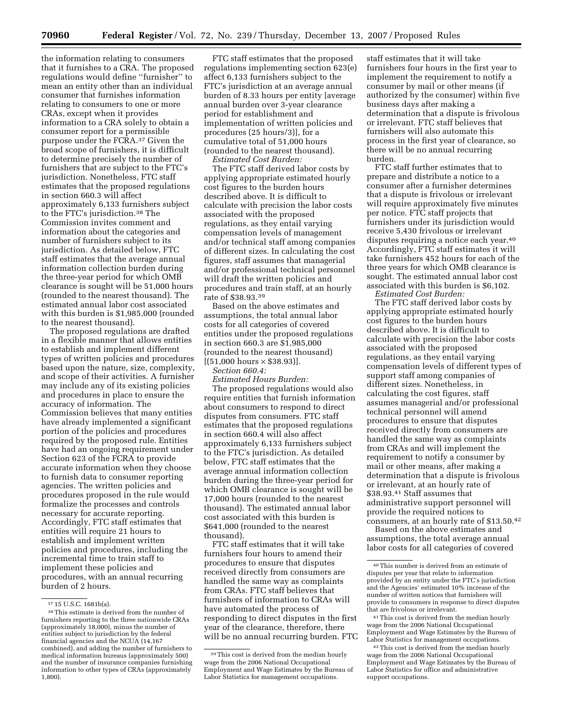the information relating to consumers that it furnishes to a CRA. The proposed regulations would define ''furnisher'' to mean an entity other than an individual consumer that furnishes information relating to consumers to one or more CRAs, except when it provides information to a CRA solely to obtain a consumer report for a permissible purpose under the FCRA.37 Given the broad scope of furnishers, it is difficult to determine precisely the number of furnishers that are subject to the FTC's jurisdiction. Nonetheless, FTC staff estimates that the proposed regulations in section 660.3 will affect approximately 6,133 furnishers subject to the FTC's jurisdiction.38 The Commission invites comment and information about the categories and number of furnishers subject to its jurisdiction. As detailed below, FTC staff estimates that the average annual information collection burden during the three-year period for which OMB clearance is sought will be 51,000 hours (rounded to the nearest thousand). The estimated annual labor cost associated with this burden is \$1,985,000 (rounded to the nearest thousand).

The proposed regulations are drafted in a flexible manner that allows entities to establish and implement different types of written policies and procedures based upon the nature, size, complexity, and scope of their activities. A furnisher may include any of its existing policies and procedures in place to ensure the accuracy of information. The Commission believes that many entities have already implemented a significant portion of the policies and procedures required by the proposed rule. Entities have had an ongoing requirement under Section 623 of the FCRA to provide accurate information when they choose to furnish data to consumer reporting agencies. The written policies and procedures proposed in the rule would formalize the processes and controls necessary for accurate reporting. Accordingly, FTC staff estimates that entities will require 21 hours to establish and implement written policies and procedures, including the incremental time to train staff to implement these policies and procedures, with an annual recurring burden of 2 hours.

FTC staff estimates that the proposed regulations implementing section 623(e) affect 6,133 furnishers subject to the FTC's jurisdiction at an average annual burden of 8.33 hours per entity [average annual burden over 3-year clearance period for establishment and implementation of written policies and procedures (25 hours/3)], for a cumulative total of 51,000 hours (rounded to the nearest thousand). *Estimated Cost Burden:* 

The FTC staff derived labor costs by applying appropriate estimated hourly cost figures to the burden hours described above. It is difficult to calculate with precision the labor costs associated with the proposed regulations, as they entail varying compensation levels of management and/or technical staff among companies of different sizes. In calculating the cost figures, staff assumes that managerial and/or professional technical personnel will draft the written policies and procedures and train staff, at an hourly rate of \$38.93.39

Based on the above estimates and assumptions, the total annual labor costs for all categories of covered entities under the proposed regulations in section 660.3 are \$1,985,000 (rounded to the nearest thousand)  $[(51,000 \text{ hours} \times $38.93)].$ 

*Section 660.4:* 

*Estimated Hours Burden:* 

The proposed regulations would also require entities that furnish information about consumers to respond to direct disputes from consumers. FTC staff estimates that the proposed regulations in section 660.4 will also affect approximately 6,133 furnishers subject to the FTC's jurisdiction. As detailed below, FTC staff estimates that the average annual information collection burden during the three-year period for which OMB clearance is sought will be 17,000 hours (rounded to the nearest thousand). The estimated annual labor cost associated with this burden is \$641,000 (rounded to the nearest thousand).

FTC staff estimates that it will take furnishers four hours to amend their procedures to ensure that disputes received directly from consumers are handled the same way as complaints from CRAs. FTC staff believes that furnishers of information to CRAs will have automated the process of responding to direct disputes in the first year of the clearance, therefore, there will be no annual recurring burden. FTC

staff estimates that it will take furnishers four hours in the first year to implement the requirement to notify a consumer by mail or other means (if authorized by the consumer) within five business days after making a determination that a dispute is frivolous or irrelevant. FTC staff believes that furnishers will also automate this process in the first year of clearance, so there will be no annual recurring burden.

FTC staff further estimates that to prepare and distribute a notice to a consumer after a furnisher determines that a dispute is frivolous or irrelevant will require approximately five minutes per notice. FTC staff projects that furnishers under its jurisdiction would receive 5,430 frivolous or irrelevant disputes requiring a notice each year.40 Accordingly, FTC staff estimates it will take furnishers 452 hours for each of the three years for which OMB clearance is sought. The estimated annual labor cost associated with this burden is \$6,102.

*Estimated Cost Burden:* 

The FTC staff derived labor costs by applying appropriate estimated hourly cost figures to the burden hours described above. It is difficult to calculate with precision the labor costs associated with the proposed regulations, as they entail varying compensation levels of different types of support staff among companies of different sizes. Nonetheless, in calculating the cost figures, staff assumes managerial and/or professional technical personnel will amend procedures to ensure that disputes received directly from consumers are handled the same way as complaints from CRAs and will implement the requirement to notify a consumer by mail or other means, after making a determination that a dispute is frivolous or irrelevant, at an hourly rate of \$38.93.41 Staff assumes that administrative support personnel will provide the required notices to consumers, at an hourly rate of \$13.50.42

Based on the above estimates and assumptions, the total average annual labor costs for all categories of covered

 $37 15$  U.S.C. 1681b(a).<br> $38$  This estimate is derived from the number of furnishers reporting to the three nationwide CRAs (approximately 18,000), minus the number of entities subject to jurisdiction by the federal financial agencies and the NCUA (14,167 combined), and adding the number of furnishers to medical information bureaus (approximately 500) and the number of insurance companies furnishing information to other types of CRAs (approximately 1,800).

<sup>39</sup> This cost is derived from the median hourly wage from the 2006 National Occupational Employment and Wage Estimates by the Bureau of Labor Statistics for management occupations.

<sup>40</sup> This number is derived from an estimate of disputes per year that relate to information provided by an entity under the FTC's jurisdiction and the Agencies' estimated 10% increase of the number of written notices that furnishers will provide to consumers in response to direct disputes that are frivolous or irrelevant.

<sup>41</sup> This cost is derived from the median hourly wage from the 2006 National Occupational Employment and Wage Estimates by the Bureau of Labor Statistics for management occupations.

<sup>42</sup> This cost is derived from the median hourly wage from the 2006 National Occupational Employment and Wage Estimates by the Bureau of Labor Statistics for office and administrative support occupations.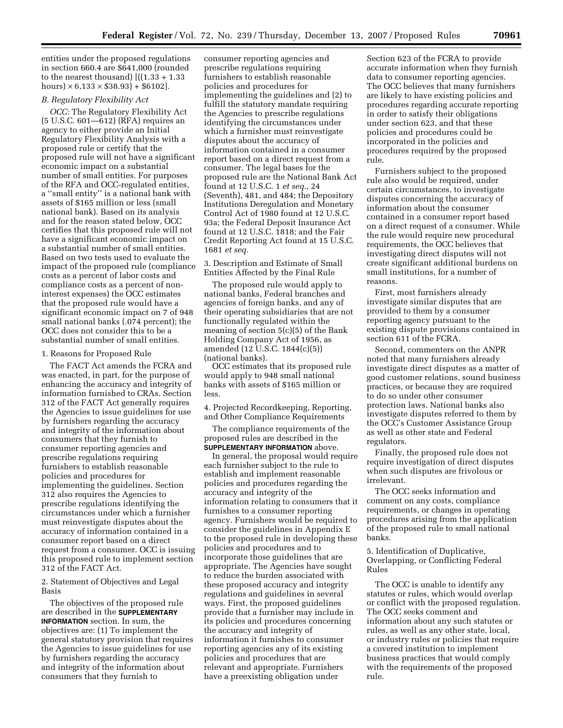entities under the proposed regulations in section 660.4 are \$641,000 (rounded to the nearest thousand)  $[((1.33 + 1.33$ hours)  $\times$  6,133  $\times$  \$38.93) + \$6102].

#### *B. Regulatory Flexibility Act*

*OCC:* The Regulatory Flexibility Act (5 U.S.C. 601—612) (RFA) requires an agency to either provide an Initial Regulatory Flexibility Analysis with a proposed rule or certify that the proposed rule will not have a significant economic impact on a substantial number of small entities. For purposes of the RFA and OCC-regulated entities, a ''small entity'' is a national bank with assets of \$165 million or less (small national bank). Based on its analysis and for the reason stated below, OCC certifies that this proposed rule will not have a significant economic impact on a substantial number of small entities. Based on two tests used to evaluate the impact of the proposed rule (compliance costs as a percent of labor costs and compliance costs as a percent of noninterest expenses) the OCC estimates that the proposed rule would have a significant economic impact on 7 of 948 small national banks (.074 percent); the OCC does not consider this to be a substantial number of small entities.

#### 1. Reasons for Proposed Rule

The FACT Act amends the FCRA and was enacted, in part, for the purpose of enhancing the accuracy and integrity of information furnished to CRAs. Section 312 of the FACT Act generally requires the Agencies to issue guidelines for use by furnishers regarding the accuracy and integrity of the information about consumers that they furnish to consumer reporting agencies and prescribe regulations requiring furnishers to establish reasonable policies and procedures for implementing the guidelines. Section 312 also requires the Agencies to prescribe regulations identifying the circumstances under which a furnisher must reinvestigate disputes about the accuracy of information contained in a consumer report based on a direct request from a consumer. OCC is issuing this proposed rule to implement section 312 of the FACT Act.

2. Statement of Objectives and Legal Basis

The objectives of the proposed rule are described in the **SUPPLEMENTARY INFORMATION** section. In sum, the objectives are: (1) To implement the general statutory provision that requires the Agencies to issue guidelines for use by furnishers regarding the accuracy and integrity of the information about consumers that they furnish to

consumer reporting agencies and prescribe regulations requiring furnishers to establish reasonable policies and procedures for implementing the guidelines and (2) to fulfill the statutory mandate requiring the Agencies to prescribe regulations identifying the circumstances under which a furnisher must reinvestigate disputes about the accuracy of information contained in a consumer report based on a direct request from a consumer. The legal bases for the proposed rule are the National Bank Act found at 12 U.S.C. 1 *et seq.*, 24 (Seventh), 481, and 484; the Depository Institutions Deregulation and Monetary Control Act of 1980 found at 12 U.S.C. 93a; the Federal Deposit Insurance Act found at 12 U.S.C. 1818; and the Fair Credit Reporting Act found at 15 U.S.C. 1681 *et seq.* 

3. Description and Estimate of Small Entities Affected by the Final Rule

The proposed rule would apply to national banks, Federal branches and agencies of foreign banks, and any of their operating subsidiaries that are not functionally regulated within the meaning of section 5(c)(5) of the Bank Holding Company Act of 1956, as amended (12 U.S.C. 1844(c)(5)) (national banks).

OCC estimates that its proposed rule would apply to 948 small national banks with assets of \$165 million or less.

4. Projected Recordkeeping, Reporting, and Other Compliance Requirements

The compliance requirements of the proposed rules are described in the **SUPPLEMENTARY INFORMATION** above.

In general, the proposal would require each furnisher subject to the rule to establish and implement reasonable policies and procedures regarding the accuracy and integrity of the information relating to consumers that it furnishes to a consumer reporting agency. Furnishers would be required to consider the guidelines in Appendix E to the proposed rule in developing these policies and procedures and to incorporate those guidelines that are appropriate. The Agencies have sought to reduce the burden associated with these proposed accuracy and integrity regulations and guidelines in several ways. First, the proposed guidelines provide that a furnisher may include in its policies and procedures concerning the accuracy and integrity of information it furnishes to consumer reporting agencies any of its existing policies and procedures that are relevant and appropriate. Furnishers have a preexisting obligation under

Section 623 of the FCRA to provide accurate information when they furnish data to consumer reporting agencies. The OCC believes that many furnishers are likely to have existing policies and procedures regarding accurate reporting in order to satisfy their obligations under section 623, and that these policies and procedures could be incorporated in the policies and procedures required by the proposed rule.

Furnishers subject to the proposed rule also would be required, under certain circumstances, to investigate disputes concerning the accuracy of information about the consumer contained in a consumer report based on a direct request of a consumer. While the rule would require new procedural requirements, the OCC believes that investigating direct disputes will not create significant additional burdens on small institutions, for a number of reasons.

First, most furnishers already investigate similar disputes that are provided to them by a consumer reporting agency pursuant to the existing dispute provisions contained in section 611 of the FCRA.

Second, commenters on the ANPR noted that many furnishers already investigate direct disputes as a matter of good customer relations, sound business practices, or because they are required to do so under other consumer protection laws. National banks also investigate disputes referred to them by the OCC's Customer Assistance Group as well as other state and Federal regulators.

Finally, the proposed rule does not require investigation of direct disputes when such disputes are frivolous or irrelevant.

The OCC seeks information and comment on any costs, compliance requirements, or changes in operating procedures arising from the application of the proposed rule to small national banks.

5. Identification of Duplicative, Overlapping, or Conflicting Federal Rules

The OCC is unable to identify any statutes or rules, which would overlap or conflict with the proposed regulation. The OCC seeks comment and information about any such statutes or rules, as well as any other state, local, or industry rules or policies that require a covered institution to implement business practices that would comply with the requirements of the proposed rule.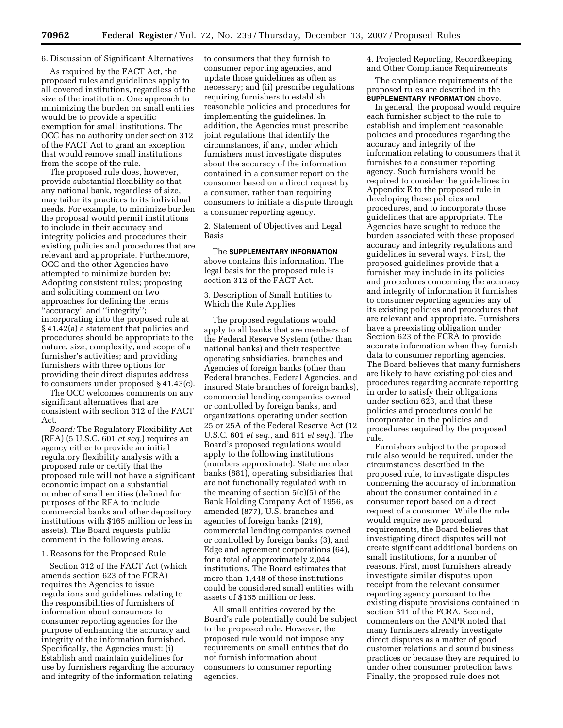#### 6. Discussion of Significant Alternatives

As required by the FACT Act, the proposed rules and guidelines apply to all covered institutions, regardless of the size of the institution. One approach to minimizing the burden on small entities would be to provide a specific exemption for small institutions. The OCC has no authority under section 312 of the FACT Act to grant an exception that would remove small institutions from the scope of the rule.

The proposed rule does, however, provide substantial flexibility so that any national bank, regardless of size, may tailor its practices to its individual needs. For example, to minimize burden the proposal would permit institutions to include in their accuracy and integrity policies and procedures their existing policies and procedures that are relevant and appropriate. Furthermore, OCC and the other Agencies have attempted to minimize burden by: Adopting consistent rules; proposing and soliciting comment on two approaches for defining the terms ''accuracy'' and ''integrity''; incorporating into the proposed rule at § 41.42(a) a statement that policies and procedures should be appropriate to the nature, size, complexity, and scope of a furnisher's activities; and providing furnishers with three options for providing their direct disputes address to consumers under proposed § 41.43(c).

The OCC welcomes comments on any significant alternatives that are consistent with section 312 of the FACT Act.

*Board:* The Regulatory Flexibility Act (RFA) (5 U.S.C. 601 *et seq.*) requires an agency either to provide an initial regulatory flexibility analysis with a proposed rule or certify that the proposed rule will not have a significant economic impact on a substantial number of small entities (defined for purposes of the RFA to include commercial banks and other depository institutions with \$165 million or less in assets). The Board requests public comment in the following areas.

#### 1. Reasons for the Proposed Rule

Section 312 of the FACT Act (which amends section 623 of the FCRA) requires the Agencies to issue regulations and guidelines relating to the responsibilities of furnishers of information about consumers to consumer reporting agencies for the purpose of enhancing the accuracy and integrity of the information furnished. Specifically, the Agencies must: (i) Establish and maintain guidelines for use by furnishers regarding the accuracy and integrity of the information relating

to consumers that they furnish to consumer reporting agencies, and update those guidelines as often as necessary; and (ii) prescribe regulations requiring furnishers to establish reasonable policies and procedures for implementing the guidelines. In addition, the Agencies must prescribe joint regulations that identify the circumstances, if any, under which furnishers must investigate disputes about the accuracy of the information contained in a consumer report on the consumer based on a direct request by a consumer, rather than requiring consumers to initiate a dispute through a consumer reporting agency.

2. Statement of Objectives and Legal Basis

The **SUPPLEMENTARY INFORMATION**  above contains this information. The legal basis for the proposed rule is section 312 of the FACT Act.

3. Description of Small Entities to Which the Rule Applies

The proposed regulations would apply to all banks that are members of the Federal Reserve System (other than national banks) and their respective operating subsidiaries, branches and Agencies of foreign banks (other than Federal branches, Federal Agencies, and insured State branches of foreign banks), commercial lending companies owned or controlled by foreign banks, and organizations operating under section 25 or 25A of the Federal Reserve Act (12 U.S.C. 601 *et seq.*, and 611 *et seq.*). The Board's proposed regulations would apply to the following institutions (numbers approximate): State member banks (881), operating subsidiaries that are not functionally regulated with in the meaning of section 5(c)(5) of the Bank Holding Company Act of 1956, as amended (877), U.S. branches and agencies of foreign banks (219), commercial lending companies owned or controlled by foreign banks (3), and Edge and agreement corporations (64), for a total of approximately 2,044 institutions. The Board estimates that more than 1,448 of these institutions could be considered small entities with assets of \$165 million or less.

All small entities covered by the Board's rule potentially could be subject to the proposed rule. However, the proposed rule would not impose any requirements on small entities that do not furnish information about consumers to consumer reporting agencies.

4. Projected Reporting, Recordkeeping and Other Compliance Requirements

The compliance requirements of the proposed rules are described in the **SUPPLEMENTARY INFORMATION** above.

In general, the proposal would require each furnisher subject to the rule to establish and implement reasonable policies and procedures regarding the accuracy and integrity of the information relating to consumers that it furnishes to a consumer reporting agency. Such furnishers would be required to consider the guidelines in Appendix E to the proposed rule in developing these policies and procedures, and to incorporate those guidelines that are appropriate. The Agencies have sought to reduce the burden associated with these proposed accuracy and integrity regulations and guidelines in several ways. First, the proposed guidelines provide that a furnisher may include in its policies and procedures concerning the accuracy and integrity of information it furnishes to consumer reporting agencies any of its existing policies and procedures that are relevant and appropriate. Furnishers have a preexisting obligation under Section 623 of the FCRA to provide accurate information when they furnish data to consumer reporting agencies. The Board believes that many furnishers are likely to have existing policies and procedures regarding accurate reporting in order to satisfy their obligations under section 623, and that these policies and procedures could be incorporated in the policies and procedures required by the proposed rule.

Furnishers subject to the proposed rule also would be required, under the circumstances described in the proposed rule, to investigate disputes concerning the accuracy of information about the consumer contained in a consumer report based on a direct request of a consumer. While the rule would require new procedural requirements, the Board believes that investigating direct disputes will not create significant additional burdens on small institutions, for a number of reasons. First, most furnishers already investigate similar disputes upon receipt from the relevant consumer reporting agency pursuant to the existing dispute provisions contained in section 611 of the FCRA. Second, commenters on the ANPR noted that many furnishers already investigate direct disputes as a matter of good customer relations and sound business practices or because they are required to under other consumer protection laws. Finally, the proposed rule does not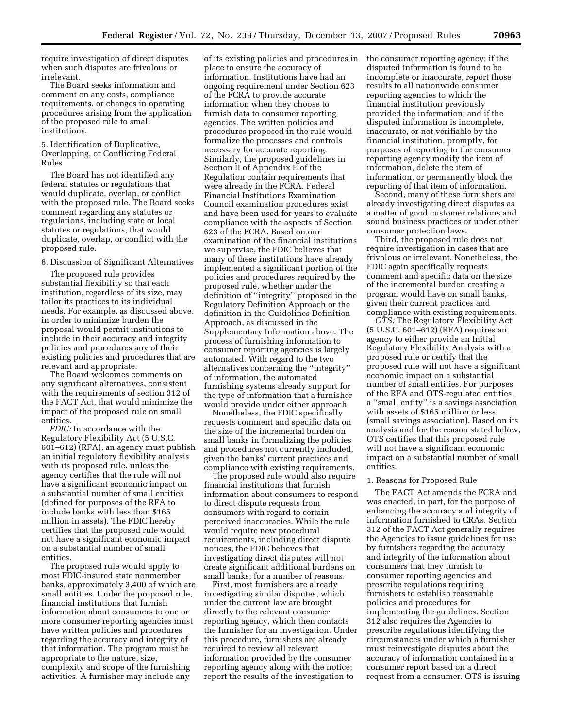require investigation of direct disputes when such disputes are frivolous or irrelevant.

The Board seeks information and comment on any costs, compliance requirements, or changes in operating procedures arising from the application of the proposed rule to small institutions.

5. Identification of Duplicative, Overlapping, or Conflicting Federal Rules

The Board has not identified any federal statutes or regulations that would duplicate, overlap, or conflict with the proposed rule. The Board seeks comment regarding any statutes or regulations, including state or local statutes or regulations, that would duplicate, overlap, or conflict with the proposed rule.

6. Discussion of Significant Alternatives

The proposed rule provides substantial flexibility so that each institution, regardless of its size, may tailor its practices to its individual needs. For example, as discussed above, in order to minimize burden the proposal would permit institutions to include in their accuracy and integrity policies and procedures any of their existing policies and procedures that are relevant and appropriate.

The Board welcomes comments on any significant alternatives, consistent with the requirements of section 312 of the FACT Act, that would minimize the impact of the proposed rule on small entities.

*FDIC:* In accordance with the Regulatory Flexibility Act (5 U.S.C. 601–612) (RFA), an agency must publish an initial regulatory flexibility analysis with its proposed rule, unless the agency certifies that the rule will not have a significant economic impact on a substantial number of small entities (defined for purposes of the RFA to include banks with less than \$165 million in assets). The FDIC hereby certifies that the proposed rule would not have a significant economic impact on a substantial number of small entities.

The proposed rule would apply to most FDIC-insured state nonmember banks, approximately 3,400 of which are small entities. Under the proposed rule, financial institutions that furnish information about consumers to one or more consumer reporting agencies must have written policies and procedures regarding the accuracy and integrity of that information. The program must be appropriate to the nature, size, complexity and scope of the furnishing activities. A furnisher may include any

of its existing policies and procedures in place to ensure the accuracy of information. Institutions have had an ongoing requirement under Section 623 of the FCRA to provide accurate information when they choose to furnish data to consumer reporting agencies. The written policies and procedures proposed in the rule would formalize the processes and controls necessary for accurate reporting. Similarly, the proposed guidelines in Section II of Appendix E of the Regulation contain requirements that were already in the FCRA. Federal Financial Institutions Examination Council examination procedures exist and have been used for years to evaluate compliance with the aspects of Section 623 of the FCRA. Based on our examination of the financial institutions we supervise, the FDIC believes that many of these institutions have already implemented a significant portion of the policies and procedures required by the proposed rule, whether under the definition of ''integrity'' proposed in the Regulatory Definition Approach or the definition in the Guidelines Definition Approach, as discussed in the Supplementary Information above. The process of furnishing information to consumer reporting agencies is largely automated. With regard to the two alternatives concerning the ''integrity'' of information, the automated furnishing systems already support for the type of information that a furnisher would provide under either approach.

Nonetheless, the FDIC specifically requests comment and specific data on the size of the incremental burden on small banks in formalizing the policies and procedures not currently included, given the banks' current practices and compliance with existing requirements.

The proposed rule would also require financial institutions that furnish information about consumers to respond to direct dispute requests from consumers with regard to certain perceived inaccuracies. While the rule would require new procedural requirements, including direct dispute notices, the FDIC believes that investigating direct disputes will not create significant additional burdens on small banks, for a number of reasons.

First, most furnishers are already investigating similar disputes, which under the current law are brought directly to the relevant consumer reporting agency, which then contacts the furnisher for an investigation. Under this procedure, furnishers are already required to review all relevant information provided by the consumer reporting agency along with the notice; report the results of the investigation to

the consumer reporting agency; if the disputed information is found to be incomplete or inaccurate, report those results to all nationwide consumer reporting agencies to which the financial institution previously provided the information; and if the disputed information is incomplete, inaccurate, or not verifiable by the financial institution, promptly, for purposes of reporting to the consumer reporting agency modify the item of information, delete the item of information, or permanently block the reporting of that item of information.

Second, many of these furnishers are already investigating direct disputes as a matter of good customer relations and sound business practices or under other consumer protection laws.

Third, the proposed rule does not require investigation in cases that are frivolous or irrelevant. Nonetheless, the FDIC again specifically requests comment and specific data on the size of the incremental burden creating a program would have on small banks, given their current practices and compliance with existing requirements.

*OTS:* The Regulatory Flexibility Act (5 U.S.C. 601–612) (RFA) requires an agency to either provide an Initial Regulatory Flexibility Analysis with a proposed rule or certify that the proposed rule will not have a significant economic impact on a substantial number of small entities. For purposes of the RFA and OTS-regulated entities, a ''small entity'' is a savings association with assets of \$165 million or less (small savings association). Based on its analysis and for the reason stated below, OTS certifies that this proposed rule will not have a significant economic impact on a substantial number of small entities.

#### 1. Reasons for Proposed Rule

The FACT Act amends the FCRA and was enacted, in part, for the purpose of enhancing the accuracy and integrity of information furnished to CRAs. Section 312 of the FACT Act generally requires the Agencies to issue guidelines for use by furnishers regarding the accuracy and integrity of the information about consumers that they furnish to consumer reporting agencies and prescribe regulations requiring furnishers to establish reasonable policies and procedures for implementing the guidelines. Section 312 also requires the Agencies to prescribe regulations identifying the circumstances under which a furnisher must reinvestigate disputes about the accuracy of information contained in a consumer report based on a direct request from a consumer. OTS is issuing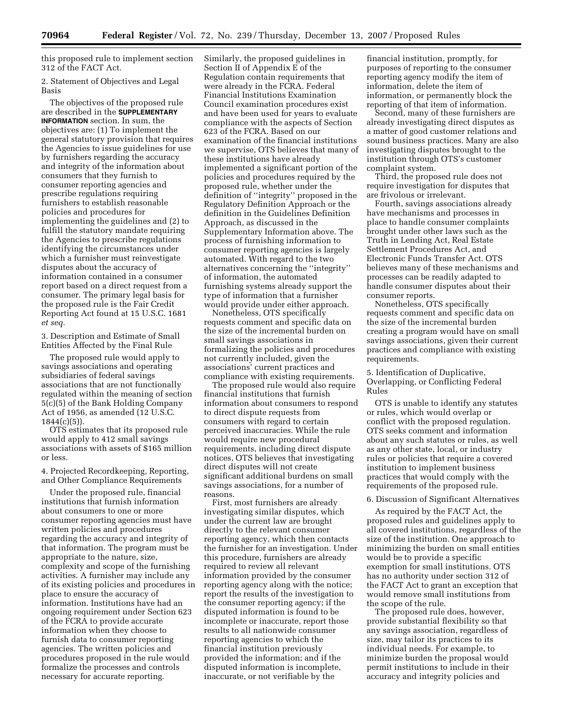this proposed rule to implement section 312 of the FACT Act.

2. Statement of Objectives and Legal Basis

The objectives of the proposed rule are described in the **SUPPLEMENTARY INFORMATION** section. In sum, the objectives are: (1) To implement the general statutory provision that requires the Agencies to issue guidelines for use by furnishers regarding the accuracy and integrity of the information about consumers that they furnish to consumer reporting agencies and prescribe regulations requiring furnishers to establish reasonable policies and procedures for implementing the guidelines and (2) to fulfill the statutory mandate requiring the Agencies to prescribe regulations identifying the circumstances under which a furnisher must reinvestigate disputes about the accuracy of information contained in a consumer report based on a direct request from a consumer. The primary legal basis for the proposed rule is the Fair Credit Reporting Act found at 15 U.S.C. 1681 *et seq.* 

3. Description and Estimate of Small Entities Affected by the Final Rule

The proposed rule would apply to savings associations and operating subsidiaries of federal savings associations that are not functionally regulated within the meaning of section 5(c)(5) of the Bank Holding Company Act of 1956, as amended (12 U.S.C.  $1844(c)(5)$ ).

OTS estimates that its proposed rule would apply to 412 small savings associations with assets of \$165 million or less.

4. Projected Recordkeeping, Reporting, and Other Compliance Requirements

Under the proposed rule, financial institutions that furnish information about consumers to one or more consumer reporting agencies must have written policies and procedures regarding the accuracy and integrity of that information. The program must be appropriate to the nature, size, complexity and scope of the furnishing activities. A furnisher may include any of its existing policies and procedures in place to ensure the accuracy of information. Institutions have had an ongoing requirement under Section 623 of the FCRA to provide accurate information when they choose to furnish data to consumer reporting agencies. The written policies and procedures proposed in the rule would formalize the processes and controls necessary for accurate reporting.

Similarly, the proposed guidelines in Section II of Appendix E of the Regulation contain requirements that were already in the FCRA. Federal Financial Institutions Examination Council examination procedures exist and have been used for years to evaluate compliance with the aspects of Section 623 of the FCRA. Based on our examination of the financial institutions we supervise, OTS believes that many of these institutions have already implemented a significant portion of the policies and procedures required by the proposed rule, whether under the definition of ''integrity'' proposed in the Regulatory Definition Approach or the definition in the Guidelines Definition Approach, as discussed in the Supplementary Information above. The process of furnishing information to consumer reporting agencies is largely automated. With regard to the two alternatives concerning the ''integrity'' of information, the automated furnishing systems already support the type of information that a furnisher would provide under either approach.

Nonetheless, OTS specifically requests comment and specific data on the size of the incremental burden on small savings associations in formalizing the policies and procedures not currently included, given the associations' current practices and compliance with existing requirements.

The proposed rule would also require financial institutions that furnish information about consumers to respond to direct dispute requests from consumers with regard to certain perceived inaccuracies. While the rule would require new procedural requirements, including direct dispute notices, OTS believes that investigating direct disputes will not create significant additional burdens on small savings associations, for a number of reasons.

First, most furnishers are already investigating similar disputes, which under the current law are brought directly to the relevant consumer reporting agency, which then contacts the furnisher for an investigation. Under this procedure, furnishers are already required to review all relevant information provided by the consumer reporting agency along with the notice; report the results of the investigation to the consumer reporting agency; if the disputed information is found to be incomplete or inaccurate, report those results to all nationwide consumer reporting agencies to which the financial institution previously provided the information; and if the disputed information is incomplete, inaccurate, or not verifiable by the

financial institution, promptly, for purposes of reporting to the consumer reporting agency modify the item of information, delete the item of information, or permanently block the reporting of that item of information.

Second, many of these furnishers are already investigating direct disputes as a matter of good customer relations and sound business practices. Many are also investigating disputes brought to the institution through OTS's customer complaint system.

Third, the proposed rule does not require investigation for disputes that are frivolous or irrelevant.

Fourth, savings associations already have mechanisms and processes in place to handle consumer complaints brought under other laws such as the Truth in Lending Act, Real Estate Settlement Procedures Act, and Electronic Funds Transfer Act. OTS believes many of these mechanisms and processes can be readily adapted to handle consumer disputes about their consumer reports.

Nonetheless, OTS specifically requests comment and specific data on the size of the incremental burden creating a program would have on small savings associations, given their current practices and compliance with existing requirements.

5. Identification of Duplicative, Overlapping, or Conflicting Federal Rules

OTS is unable to identify any statutes or rules, which would overlap or conflict with the proposed regulation. OTS seeks comment and information about any such statutes or rules, as well as any other state, local, or industry rules or policies that require a covered institution to implement business practices that would comply with the requirements of the proposed rule.

#### 6. Discussion of Significant Alternatives

As required by the FACT Act, the proposed rules and guidelines apply to all covered institutions, regardless of the size of the institution. One approach to minimizing the burden on small entities would be to provide a specific exemption for small institutions. OTS has no authority under section 312 of the FACT Act to grant an exception that would remove small institutions from the scope of the rule.

The proposed rule does, however, provide substantial flexibility so that any savings association, regardless of size, may tailor its practices to its individual needs. For example, to minimize burden the proposal would permit institutions to include in their accuracy and integrity policies and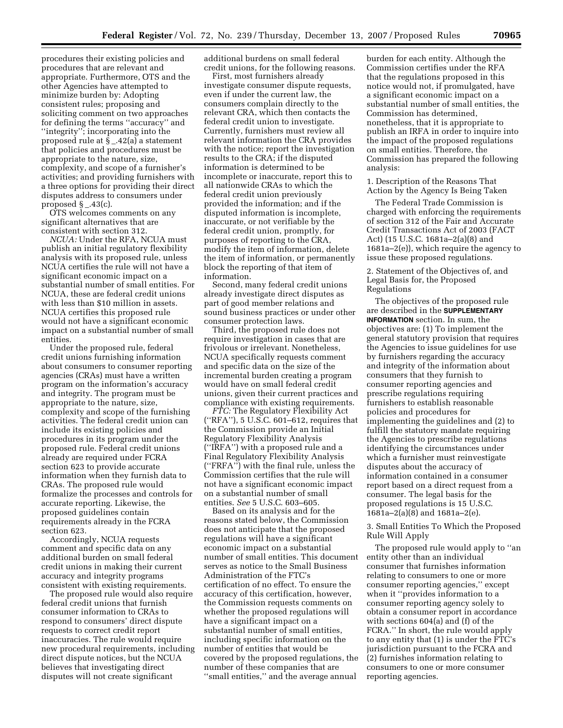procedures their existing policies and procedures that are relevant and appropriate. Furthermore, OTS and the other Agencies have attempted to minimize burden by: Adopting consistent rules; proposing and soliciting comment on two approaches for defining the terms ''accuracy'' and ''integrity''; incorporating into the proposed rule at § \_.42(a) a statement that policies and procedures must be appropriate to the nature, size, complexity, and scope of a furnisher's activities; and providing furnishers with a three options for providing their direct disputes address to consumers under proposed  $\S$  \_.43(c).

OTS welcomes comments on any significant alternatives that are consistent with section 312.

*NCUA:* Under the RFA, NCUA must publish an initial regulatory flexibility analysis with its proposed rule, unless NCUA certifies the rule will not have a significant economic impact on a substantial number of small entities. For NCUA, these are federal credit unions with less than \$10 million in assets. NCUA certifies this proposed rule would not have a significant economic impact on a substantial number of small entities.

Under the proposed rule, federal credit unions furnishing information about consumers to consumer reporting agencies (CRAs) must have a written program on the information's accuracy and integrity. The program must be appropriate to the nature, size, complexity and scope of the furnishing activities. The federal credit union can include its existing policies and procedures in its program under the proposed rule. Federal credit unions already are required under FCRA section 623 to provide accurate information when they furnish data to CRAs. The proposed rule would formalize the processes and controls for accurate reporting. Likewise, the proposed guidelines contain requirements already in the FCRA section 623.

Accordingly, NCUA requests comment and specific data on any additional burden on small federal credit unions in making their current accuracy and integrity programs consistent with existing requirements.

The proposed rule would also require federal credit unions that furnish consumer information to CRAs to respond to consumers' direct dispute requests to correct credit report inaccuracies. The rule would require new procedural requirements, including direct dispute notices, but the NCUA believes that investigating direct disputes will not create significant

additional burdens on small federal credit unions, for the following reasons.

First, most furnishers already investigate consumer dispute requests, even if under the current law, the consumers complain directly to the relevant CRA, which then contacts the federal credit union to investigate. Currently, furnishers must review all relevant information the CRA provides with the notice; report the investigation results to the CRA; if the disputed information is determined to be incomplete or inaccurate, report this to all nationwide CRAs to which the federal credit union previously provided the information; and if the disputed information is incomplete, inaccurate, or not verifiable by the federal credit union, promptly, for purposes of reporting to the CRA, modify the item of information, delete the item of information, or permanently block the reporting of that item of information.

Second, many federal credit unions already investigate direct disputes as part of good member relations and sound business practices or under other consumer protection laws.

Third, the proposed rule does not require investigation in cases that are frivolous or irrelevant. Nonetheless, NCUA specifically requests comment and specific data on the size of the incremental burden creating a program would have on small federal credit unions, given their current practices and compliance with existing requirements.

*FTC:* The Regulatory Flexibility Act (''RFA''), 5 U.S.C. 601–612, requires that the Commission provide an Initial Regulatory Flexibility Analysis (''IRFA'') with a proposed rule and a Final Regulatory Flexibility Analysis (''FRFA'') with the final rule, unless the Commission certifies that the rule will not have a significant economic impact on a substantial number of small entities. *See* 5 U.S.C. 603–605.

Based on its analysis and for the reasons stated below, the Commission does not anticipate that the proposed regulations will have a significant economic impact on a substantial number of small entities. This document serves as notice to the Small Business Administration of the FTC's certification of no effect. To ensure the accuracy of this certification, however, the Commission requests comments on whether the proposed regulations will have a significant impact on a substantial number of small entities, including specific information on the number of entities that would be covered by the proposed regulations, the number of these companies that are ''small entities,'' and the average annual

burden for each entity. Although the Commission certifies under the RFA that the regulations proposed in this notice would not, if promulgated, have a significant economic impact on a substantial number of small entities, the Commission has determined, nonetheless, that it is appropriate to publish an IRFA in order to inquire into the impact of the proposed regulations on small entities. Therefore, the Commission has prepared the following analysis:

1. Description of the Reasons That Action by the Agency Is Being Taken

The Federal Trade Commission is charged with enforcing the requirements of section 312 of the Fair and Accurate Credit Transactions Act of 2003 (FACT Act) (15 U.S.C. 1681a–2(a)(8) and 1681a–2(e)), which require the agency to issue these proposed regulations.

2. Statement of the Objectives of, and Legal Basis for, the Proposed Regulations

The objectives of the proposed rule are described in the **SUPPLEMENTARY INFORMATION** section. In sum, the objectives are: (1) To implement the general statutory provision that requires the Agencies to issue guidelines for use by furnishers regarding the accuracy and integrity of the information about consumers that they furnish to consumer reporting agencies and prescribe regulations requiring furnishers to establish reasonable policies and procedures for implementing the guidelines and (2) to fulfill the statutory mandate requiring the Agencies to prescribe regulations identifying the circumstances under which a furnisher must reinvestigate disputes about the accuracy of information contained in a consumer report based on a direct request from a consumer. The legal basis for the proposed regulations is 15 U.S.C. 1681a–2(a)(8) and 1681a–2(e).

3. Small Entities To Which the Proposed Rule Will Apply

The proposed rule would apply to ''an entity other than an individual consumer that furnishes information relating to consumers to one or more consumer reporting agencies,'' except when it ''provides information to a consumer reporting agency solely to obtain a consumer report in accordance with sections 604(a) and (f) of the FCRA.'' In short, the rule would apply to any entity that (1) is under the FTC's jurisdiction pursuant to the FCRA and (2) furnishes information relating to consumers to one or more consumer reporting agencies.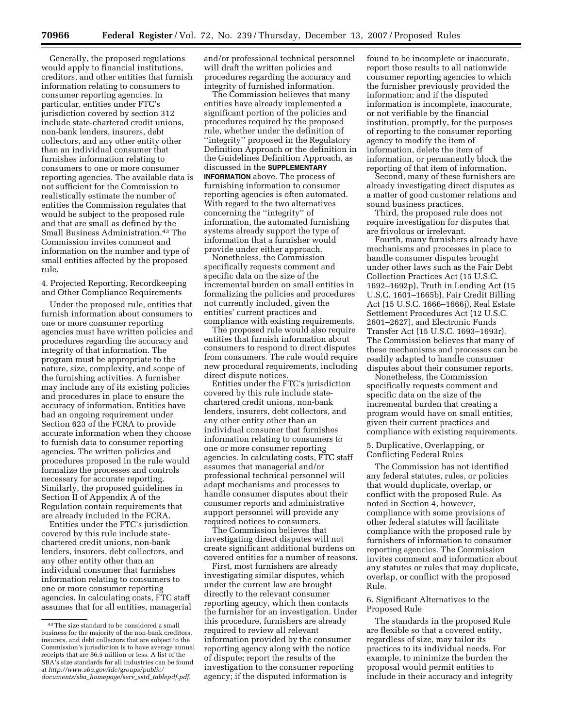Generally, the proposed regulations would apply to financial institutions, creditors, and other entities that furnish information relating to consumers to consumer reporting agencies. In particular, entities under FTC's jurisdiction covered by section 312 include state-chartered credit unions, non-bank lenders, insurers, debt collectors, and any other entity other than an individual consumer that furnishes information relating to consumers to one or more consumer reporting agencies. The available data is not sufficient for the Commission to realistically estimate the number of entities the Commission regulates that would be subject to the proposed rule and that are small as defined by the Small Business Administration.43 The Commission invites comment and information on the number and type of small entities affected by the proposed rule.

4. Projected Reporting, Recordkeeping and Other Compliance Requirements

Under the proposed rule, entities that furnish information about consumers to one or more consumer reporting agencies must have written policies and procedures regarding the accuracy and integrity of that information. The program must be appropriate to the nature, size, complexity, and scope of the furnishing activities. A furnisher may include any of its existing policies and procedures in place to ensure the accuracy of information. Entities have had an ongoing requirement under Section 623 of the FCRA to provide accurate information when they choose to furnish data to consumer reporting agencies. The written policies and procedures proposed in the rule would formalize the processes and controls necessary for accurate reporting. Similarly, the proposed guidelines in Section II of Appendix A of the Regulation contain requirements that are already included in the FCRA.

Entities under the FTC's jurisdiction covered by this rule include statechartered credit unions, non-bank lenders, insurers, debt collectors, and any other entity other than an individual consumer that furnishes information relating to consumers to one or more consumer reporting agencies. In calculating costs, FTC staff assumes that for all entities, managerial and/or professional technical personnel will draft the written policies and procedures regarding the accuracy and integrity of furnished information.

The Commission believes that many entities have already implemented a significant portion of the policies and procedures required by the proposed rule, whether under the definition of ''integrity'' proposed in the Regulatory Definition Approach or the definition in the Guidelines Definition Approach, as discussed in the **SUPPLEMENTARY INFORMATION** above. The process of furnishing information to consumer reporting agencies is often automated. With regard to the two alternatives concerning the ''integrity'' of information, the automated furnishing systems already support the type of information that a furnisher would provide under either approach.

Nonetheless, the Commission specifically requests comment and specific data on the size of the incremental burden on small entities in formalizing the policies and procedures not currently included, given the entities' current practices and compliance with existing requirements.

The proposed rule would also require entities that furnish information about consumers to respond to direct disputes from consumers. The rule would require new procedural requirements, including direct dispute notices.

Entities under the FTC's jurisdiction covered by this rule include statechartered credit unions, non-bank lenders, insurers, debt collectors, and any other entity other than an individual consumer that furnishes information relating to consumers to one or more consumer reporting agencies. In calculating costs, FTC staff assumes that managerial and/or professional technical personnel will adapt mechanisms and processes to handle consumer disputes about their consumer reports and administrative support personnel will provide any required notices to consumers.

The Commission believes that investigating direct disputes will not create significant additional burdens on covered entities for a number of reasons.

First, most furnishers are already investigating similar disputes, which under the current law are brought directly to the relevant consumer reporting agency, which then contacts the furnisher for an investigation. Under this procedure, furnishers are already required to review all relevant information provided by the consumer reporting agency along with the notice of dispute; report the results of the investigation to the consumer reporting agency; if the disputed information is

found to be incomplete or inaccurate, report those results to all nationwide consumer reporting agencies to which the furnisher previously provided the information; and if the disputed information is incomplete, inaccurate, or not verifiable by the financial institution, promptly, for the purposes of reporting to the consumer reporting agency to modify the item of information, delete the item of information, or permanently block the reporting of that item of information.

Second, many of these furnishers are already investigating direct disputes as a matter of good customer relations and sound business practices.

Third, the proposed rule does not require investigation for disputes that are frivolous or irrelevant.

Fourth, many furnishers already have mechanisms and processes in place to handle consumer disputes brought under other laws such as the Fair Debt Collection Practices Act (15 U.S.C. 1692–1692p), Truth in Lending Act (15 U.S.C. 1601–1665b), Fair Credit Billing Act (15 U.S.C. 1666–1666j), Real Estate Settlement Procedures Act (12 U.S.C. 2601–2627), and Electronic Funds Transfer Act (15 U.S.C. 1693–1693r). The Commission believes that many of these mechanisms and processes can be readily adapted to handle consumer disputes about their consumer reports.

Nonetheless, the Commission specifically requests comment and specific data on the size of the incremental burden that creating a program would have on small entities, given their current practices and compliance with existing requirements.

5. Duplicative, Overlapping, or Conflicting Federal Rules

The Commission has not identified any federal statutes, rules, or policies that would duplicate, overlap, or conflict with the proposed Rule. As noted in Section 4, however, compliance with some provisions of other federal statutes will facilitate compliance with the proposed rule by furnishers of information to consumer reporting agencies. The Commission invites comment and information about any statutes or rules that may duplicate, overlap, or conflict with the proposed Rule.

#### 6. Significant Alternatives to the Proposed Rule

The standards in the proposed Rule are flexible so that a covered entity, regardless of size, may tailor its practices to its individual needs. For example, to minimize the burden the proposal would permit entities to include in their accuracy and integrity

<sup>43</sup> The size standard to be considered a small business for the majority of the non-bank creditors, insurers, and debt collectors that are subject to the Commission's jurisdiction is to have average annual receipts that are \$6.5 million or less. A list of the SBA's size standards for all industries can be found at *[http://www.sba.gov/idc/groups/public/](http://www.sba.gov/idc/groups/public/documents/sba_homepage/serv_sstd_tablepdf.pdf)  documents/sba*\_*homepage/serv*\_*sstd*\_*tablepdf.pdf*.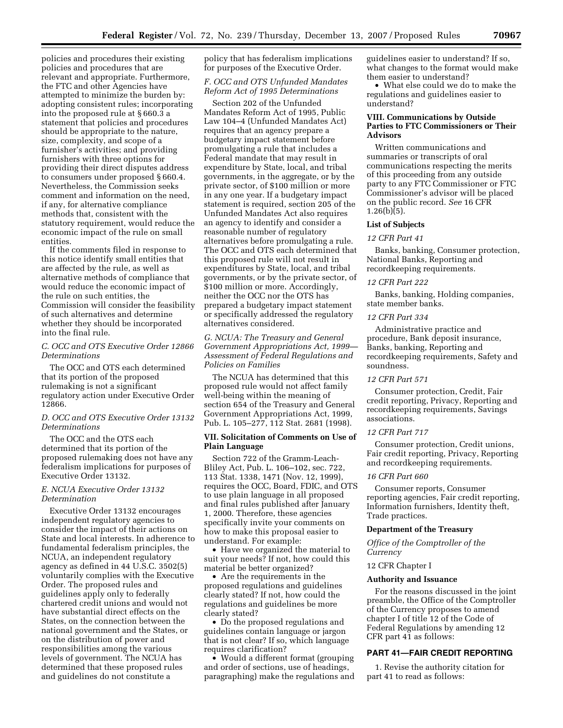policies and procedures their existing policies and procedures that are relevant and appropriate. Furthermore, the FTC and other Agencies have attempted to minimize the burden by: adopting consistent rules; incorporating into the proposed rule at § 660.3 a statement that policies and procedures should be appropriate to the nature, size, complexity, and scope of a furnisher's activities; and providing furnishers with three options for providing their direct disputes address to consumers under proposed § 660.4. Nevertheless, the Commission seeks comment and information on the need, if any, for alternative compliance methods that, consistent with the statutory requirement, would reduce the economic impact of the rule on small entities.

If the comments filed in response to this notice identify small entities that are affected by the rule, as well as alternative methods of compliance that would reduce the economic impact of the rule on such entities, the Commission will consider the feasibility of such alternatives and determine whether they should be incorporated into the final rule.

#### *C. OCC and OTS Executive Order 12866 Determinations*

The OCC and OTS each determined that its portion of the proposed rulemaking is not a significant regulatory action under Executive Order 12866.

#### *D. OCC and OTS Executive Order 13132 Determinations*

The OCC and the OTS each determined that its portion of the proposed rulemaking does not have any federalism implications for purposes of Executive Order 13132.

#### *E. NCUA Executive Order 13132 Determination*

Executive Order 13132 encourages independent regulatory agencies to consider the impact of their actions on State and local interests. In adherence to fundamental federalism principles, the NCUA, an independent regulatory agency as defined in 44 U.S.C. 3502(5) voluntarily complies with the Executive Order. The proposed rules and guidelines apply only to federally chartered credit unions and would not have substantial direct effects on the States, on the connection between the national government and the States, or on the distribution of power and responsibilities among the various levels of government. The NCUA has determined that these proposed rules and guidelines do not constitute a

policy that has federalism implications for purposes of the Executive Order.

#### *F. OCC and OTS Unfunded Mandates Reform Act of 1995 Determinations*

Section 202 of the Unfunded Mandates Reform Act of 1995, Public Law 104–4 (Unfunded Mandates Act) requires that an agency prepare a budgetary impact statement before promulgating a rule that includes a Federal mandate that may result in expenditure by State, local, and tribal governments, in the aggregate, or by the private sector, of \$100 million or more in any one year. If a budgetary impact statement is required, section 205 of the Unfunded Mandates Act also requires an agency to identify and consider a reasonable number of regulatory alternatives before promulgating a rule. The OCC and OTS each determined that this proposed rule will not result in expenditures by State, local, and tribal governments, or by the private sector, of \$100 million or more. Accordingly, neither the OCC nor the OTS has prepared a budgetary impact statement or specifically addressed the regulatory alternatives considered.

*G. NCUA: The Treasury and General Government Appropriations Act, 1999— Assessment of Federal Regulations and Policies on Families* 

The NCUA has determined that this proposed rule would not affect family well-being within the meaning of section 654 of the Treasury and General Government Appropriations Act, 1999, Pub. L. 105–277, 112 Stat. 2681 (1998).

#### **VII. Solicitation of Comments on Use of Plain Language**

Section 722 of the Gramm-Leach-Bliley Act, Pub. L. 106–102, sec. 722, 113 Stat. 1338, 1471 (Nov. 12, 1999), requires the OCC, Board, FDIC, and OTS to use plain language in all proposed and final rules published after January 1, 2000. Therefore, these agencies specifically invite your comments on how to make this proposal easier to understand. For example:

• Have we organized the material to suit your needs? If not, how could this material be better organized?

• Are the requirements in the proposed regulations and guidelines clearly stated? If not, how could the regulations and guidelines be more clearly stated?

• Do the proposed regulations and guidelines contain language or jargon that is not clear? If so, which language requires clarification?

• Would a different format (grouping and order of sections, use of headings, paragraphing) make the regulations and guidelines easier to understand? If so, what changes to the format would make them easier to understand?

• What else could we do to make the regulations and guidelines easier to understand?

#### **VIII. Communications by Outside Parties to FTC Commissioners or Their Advisors**

Written communications and summaries or transcripts of oral communications respecting the merits of this proceeding from any outside party to any FTC Commissioner or FTC Commissioner's advisor will be placed on the public record. *See* 16 CFR  $1.26(b)(5)$ .

#### **List of Subjects**

#### *12 CFR Part 41*

Banks, banking, Consumer protection, National Banks, Reporting and recordkeeping requirements.

#### *12 CFR Part 222*

Banks, banking, Holding companies, state member banks.

#### *12 CFR Part 334*

Administrative practice and procedure, Bank deposit insurance, Banks, banking, Reporting and recordkeeping requirements, Safety and soundness.

#### *12 CFR Part 571*

Consumer protection, Credit, Fair credit reporting, Privacy, Reporting and recordkeeping requirements, Savings associations.

#### *12 CFR Part 717*

Consumer protection, Credit unions, Fair credit reporting, Privacy, Reporting and recordkeeping requirements.

#### *16 CFR Part 660*

Consumer reports, Consumer reporting agencies, Fair credit reporting, Information furnishers, Identity theft, Trade practices.

#### **Department of the Treasury**

*Office of the Comptroller of the Currency* 

#### 12 CFR Chapter I

#### **Authority and Issuance**

For the reasons discussed in the joint preamble, the Office of the Comptroller of the Currency proposes to amend chapter I of title 12 of the Code of Federal Regulations by amending 12 CFR part 41 as follows:

#### **PART 41—FAIR CREDIT REPORTING**

1. Revise the authority citation for part 41 to read as follows: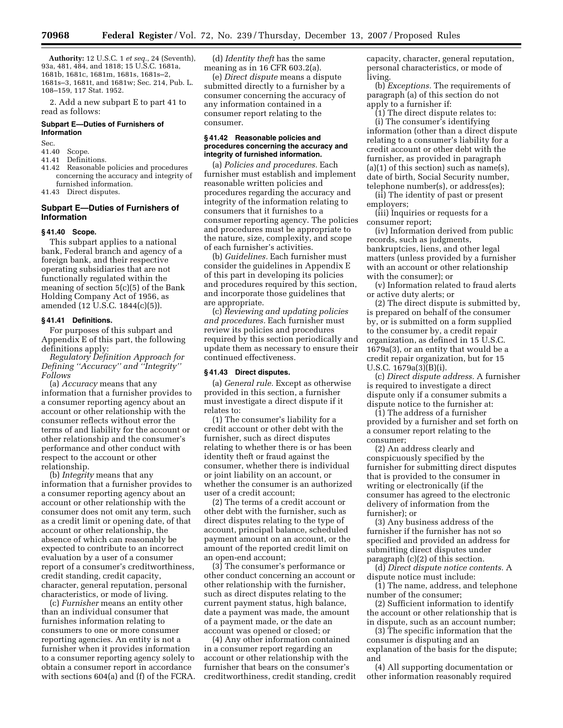**Authority:** 12 U.S.C. 1 *et seq.*, 24 (Seventh), 93a, 481, 484, and 1818; 15 U.S.C. 1681a, 1681b, 1681c, 1681m, 1681s, 1681s–2, 1681s–3, 1681t, and 1681w; Sec. 214, Pub. L. 108–159, 117 Stat. 1952.

2. Add a new subpart E to part 41 to read as follows:

#### **Subpart E—Duties of Furnishers of Information**

Sec.<br>41.40

### 41.40 Scope.<br>41.41 Definit

- Definitions.
- 41.42 Reasonable policies and procedures concerning the accuracy and integrity of furnished information.
- 41.43 Direct disputes.

#### **Subpart E—Duties of Furnishers of Information**

#### **§ 41.40 Scope.**

This subpart applies to a national bank, Federal branch and agency of a foreign bank, and their respective operating subsidiaries that are not functionally regulated within the meaning of section 5(c)(5) of the Bank Holding Company Act of 1956, as amended (12 U.S.C. 1844(c)(5)).

#### **§ 41.41 Definitions.**

For purposes of this subpart and Appendix E of this part, the following definitions apply:

*Regulatory Definition Approach for Defining ''Accuracy'' and ''Integrity'' Follows* 

(a) *Accuracy* means that any information that a furnisher provides to a consumer reporting agency about an account or other relationship with the consumer reflects without error the terms of and liability for the account or other relationship and the consumer's performance and other conduct with respect to the account or other relationship.

(b) *Integrity* means that any information that a furnisher provides to a consumer reporting agency about an account or other relationship with the consumer does not omit any term, such as a credit limit or opening date, of that account or other relationship, the absence of which can reasonably be expected to contribute to an incorrect evaluation by a user of a consumer report of a consumer's creditworthiness, credit standing, credit capacity, character, general reputation, personal characteristics, or mode of living.

(c) *Furnisher* means an entity other than an individual consumer that furnishes information relating to consumers to one or more consumer reporting agencies. An entity is not a furnisher when it provides information to a consumer reporting agency solely to obtain a consumer report in accordance with sections 604(a) and (f) of the FCRA.

(d) *Identity theft* has the same meaning as in 16 CFR 603.2(a).

(e) *Direct dispute* means a dispute submitted directly to a furnisher by a consumer concerning the accuracy of any information contained in a consumer report relating to the consumer.

#### **§ 41.42 Reasonable policies and procedures concerning the accuracy and integrity of furnished information.**

(a) *Policies and procedures.* Each furnisher must establish and implement reasonable written policies and procedures regarding the accuracy and integrity of the information relating to consumers that it furnishes to a consumer reporting agency. The policies and procedures must be appropriate to the nature, size, complexity, and scope of each furnisher's activities.

(b) *Guidelines.* Each furnisher must consider the guidelines in Appendix E of this part in developing its policies and procedures required by this section, and incorporate those guidelines that are appropriate.

(c) *Reviewing and updating policies and procedures.* Each furnisher must review its policies and procedures required by this section periodically and update them as necessary to ensure their continued effectiveness.

#### **§ 41.43 Direct disputes.**

(a) *General rule.* Except as otherwise provided in this section, a furnisher must investigate a direct dispute if it relates to:

(1) The consumer's liability for a credit account or other debt with the furnisher, such as direct disputes relating to whether there is or has been identity theft or fraud against the consumer, whether there is individual or joint liability on an account, or whether the consumer is an authorized user of a credit account;

(2) The terms of a credit account or other debt with the furnisher, such as direct disputes relating to the type of account, principal balance, scheduled payment amount on an account, or the amount of the reported credit limit on an open-end account;

(3) The consumer's performance or other conduct concerning an account or other relationship with the furnisher, such as direct disputes relating to the current payment status, high balance, date a payment was made, the amount of a payment made, or the date an account was opened or closed; or

(4) Any other information contained in a consumer report regarding an account or other relationship with the furnisher that bears on the consumer's creditworthiness, credit standing, credit capacity, character, general reputation, personal characteristics, or mode of living.

(b) *Exceptions.* The requirements of paragraph (a) of this section do not apply to a furnisher if:

(1) The direct dispute relates to: (i) The consumer's identifying information (other than a direct dispute relating to a consumer's liability for a credit account or other debt with the furnisher, as provided in paragraph  $(a)(1)$  of this section) such as name(s), date of birth, Social Security number, telephone number(s), or address(es);

(ii) The identity of past or present employers;

(iii) Inquiries or requests for a consumer report;

(iv) Information derived from public records, such as judgments, bankruptcies, liens, and other legal matters (unless provided by a furnisher with an account or other relationship with the consumer); or

(v) Information related to fraud alerts or active duty alerts; or

(2) The direct dispute is submitted by, is prepared on behalf of the consumer by, or is submitted on a form supplied to the consumer by, a credit repair organization, as defined in 15 U.S.C. 1679a(3), or an entity that would be a credit repair organization, but for 15 U.S.C. 1679a(3)(B)(i).

(c) *Direct dispute address.* A furnisher is required to investigate a direct dispute only if a consumer submits a dispute notice to the furnisher at:

(1) The address of a furnisher provided by a furnisher and set forth on a consumer report relating to the consumer;

(2) An address clearly and conspicuously specified by the furnisher for submitting direct disputes that is provided to the consumer in writing or electronically (if the consumer has agreed to the electronic delivery of information from the furnisher); or

(3) Any business address of the furnisher if the furnisher has not so specified and provided an address for submitting direct disputes under paragraph (c)(2) of this section.

(d) *Direct dispute notice contents.* A dispute notice must include:

(1) The name, address, and telephone number of the consumer;

(2) Sufficient information to identify the account or other relationship that is in dispute, such as an account number;

(3) The specific information that the consumer is disputing and an explanation of the basis for the dispute; and

(4) All supporting documentation or other information reasonably required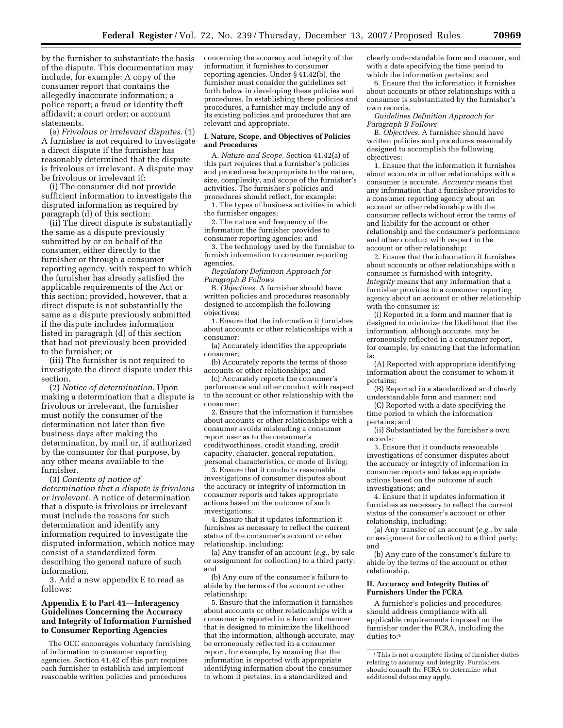by the furnisher to substantiate the basis of the dispute. This documentation may include, for example: A copy of the consumer report that contains the allegedly inaccurate information; a police report; a fraud or identity theft affidavit; a court order; or account statements.

(e) *Frivolous or irrelevant disputes.* (1) A furnisher is not required to investigate a direct dispute if the furnisher has reasonably determined that the dispute is frivolous or irrelevant. A dispute may be frivolous or irrelevant if:

(i) The consumer did not provide sufficient information to investigate the disputed information as required by paragraph (d) of this section;

(ii) The direct dispute is substantially the same as a dispute previously submitted by or on behalf of the consumer, either directly to the furnisher or through a consumer reporting agency, with respect to which the furnisher has already satisfied the applicable requirements of the Act or this section; provided, however, that a direct dispute is not substantially the same as a dispute previously submitted if the dispute includes information listed in paragraph (d) of this section that had not previously been provided to the furnisher; or

(iii) The furnisher is not required to investigate the direct dispute under this section.

(2) *Notice of determination.* Upon making a determination that a dispute is frivolous or irrelevant, the furnisher must notify the consumer of the determination not later than five business days after making the determination, by mail or, if authorized by the consumer for that purpose, by any other means available to the furnisher.

(3) *Contents of notice of determination that a dispute is frivolous or irrelevant.* A notice of determination that a dispute is frivolous or irrelevant must include the reasons for such determination and identify any information required to investigate the disputed information, which notice may consist of a standardized form describing the general nature of such information.

3. Add a new appendix E to read as follows:

#### **Appendix E to Part 41—Interagency Guidelines Concerning the Accuracy and Integrity of Information Furnished to Consumer Reporting Agencies**

The OCC encourages voluntary furnishing of information to consumer reporting agencies. Section 41.42 of this part requires each furnisher to establish and implement reasonable written policies and procedures

concerning the accuracy and integrity of the information it furnishes to consumer reporting agencies. Under § 41.42(b), the furnisher must consider the guidelines set forth below in developing these policies and procedures. In establishing these policies and procedures, a furnisher may include any of its existing policies and procedures that are relevant and appropriate.

#### **I. Nature, Scope, and Objectives of Policies and Procedures**

A. *Nature and Scope.* Section 41.42(a) of this part requires that a furnisher's policies and procedures be appropriate to the nature, size, complexity, and scope of the furnisher's activities. The furnisher's policies and procedures should reflect, for example:

1. The types of business activities in which the furnisher engages;

2. The nature and frequency of the information the furnisher provides to consumer reporting agencies; and

3. The technology used by the furnisher to furnish information to consumer reporting agencies.

*Regulatory Definition Approach for Paragraph B Follows* 

B. *Objectives.* A furnisher should have written policies and procedures reasonably designed to accomplish the following objectives:

1. Ensure that the information it furnishes about accounts or other relationships with a consumer:

(a) Accurately identifies the appropriate consumer;

(b) Accurately reports the terms of those accounts or other relationships; and

(c) Accurately reports the consumer's performance and other conduct with respect to the account or other relationship with the consumer;

2. Ensure that the information it furnishes about accounts or other relationships with a consumer avoids misleading a consumer report user as to the consumer's creditworthiness, credit standing, credit capacity, character, general reputation, personal characteristics, or mode of living;

3. Ensure that it conducts reasonable investigations of consumer disputes about the accuracy or integrity of information in consumer reports and takes appropriate actions based on the outcome of such investigations;

4. Ensure that it updates information it furnishes as necessary to reflect the current status of the consumer's account or other relationship, including:

(a) Any transfer of an account (*e.g.*, by sale or assignment for collection) to a third party; and

(b) Any cure of the consumer's failure to abide by the terms of the account or other relationship;

5. Ensure that the information it furnishes about accounts or other relationships with a consumer is reported in a form and manner that is designed to minimize the likelihood that the information, although accurate, may be erroneously reflected in a consumer report, for example, by ensuring that the information is reported with appropriate identifying information about the consumer to whom it pertains, in a standardized and

clearly understandable form and manner, and with a date specifying the time period to which the information pertains; and

6. Ensure that the information it furnishes about accounts or other relationships with a consumer is substantiated by the furnisher's own records.

*Guidelines Definition Approach for Paragraph B Follows* 

B. *Objectives.* A furnisher should have written policies and procedures reasonably designed to accomplish the following objectives:

1. Ensure that the information it furnishes about accounts or other relationships with a consumer is accurate. *Accuracy* means that any information that a furnisher provides to a consumer reporting agency about an account or other relationship with the consumer reflects without error the terms of and liability for the account or other relationship and the consumer's performance and other conduct with respect to the account or other relationship;

2. Ensure that the information it furnishes about accounts or other relationships with a consumer is furnished with integrity. *Integrity* means that any information that a furnisher provides to a consumer reporting agency about an account or other relationship with the consumer is:

(i) Reported in a form and manner that is designed to minimize the likelihood that the information, although accurate, may be erroneously reflected in a consumer report, for example, by ensuring that the information is:

(A) Reported with appropriate identifying information about the consumer to whom it pertains;

(B) Reported in a standardized and clearly understandable form and manner; and

(C) Reported with a date specifying the time period to which the information pertains; and

(ii) Substantiated by the furnisher's own records;

3. Ensure that it conducts reasonable investigations of consumer disputes about the accuracy or integrity of information in consumer reports and takes appropriate actions based on the outcome of such investigations; and

4. Ensure that it updates information it furnishes as necessary to reflect the current status of the consumer's account or other relationship, including:

(a) Any transfer of an account (*e.g.*, by sale or assignment for collection) to a third party; and

(b) Any cure of the consumer's failure to abide by the terms of the account or other relationship.

#### **II. Accuracy and Integrity Duties of Furnishers Under the FCRA**

A furnisher's policies and procedures should address compliance with all applicable requirements imposed on the furnisher under the FCRA, including the duties to:<sup>1</sup>

<sup>1</sup> This is not a complete listing of furnisher duties relating to accuracy and integrity. Furnishers should consult the FCRA to determine what additional duties may apply.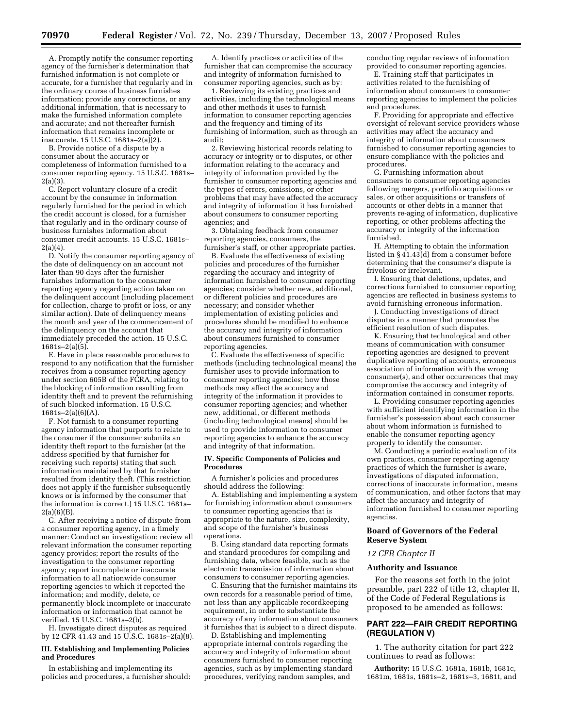A. Promptly notify the consumer reporting agency of the furnisher's determination that furnished information is not complete or accurate, for a furnisher that regularly and in the ordinary course of business furnishes information; provide any corrections, or any additional information, that is necessary to make the furnished information complete and accurate; and not thereafter furnish information that remains incomplete or inaccurate. 15 U.S.C. 1681s–2(a)(2).

B. Provide notice of a dispute by a consumer about the accuracy or completeness of information furnished to a consumer reporting agency. 15 U.S.C. 1681s–  $2(a)(3)$ .

C. Report voluntary closure of a credit account by the consumer in information regularly furnished for the period in which the credit account is closed, for a furnisher that regularly and in the ordinary course of business furnishes information about consumer credit accounts. 15 U.S.C. 1681s–  $2(a)(4)$ .

D. Notify the consumer reporting agency of the date of delinquency on an account not later than 90 days after the furnisher furnishes information to the consumer reporting agency regarding action taken on the delinquent account (including placement for collection, charge to profit or loss, or any similar action). Date of delinquency means the month and year of the commencement of the delinquency on the account that immediately preceded the action. 15 U.S.C. 1681s–2(a)(5).

E. Have in place reasonable procedures to respond to any notification that the furnisher receives from a consumer reporting agency under section 605B of the FCRA, relating to the blocking of information resulting from identity theft and to prevent the refurnishing of such blocked information. 15 U.S.C. 1681s–2(a)(6)(A).

F. Not furnish to a consumer reporting agency information that purports to relate to the consumer if the consumer submits an identity theft report to the furnisher (at the address specified by that furnisher for receiving such reports) stating that such information maintained by that furnisher resulted from identity theft. (This restriction does not apply if the furnisher subsequently knows or is informed by the consumer that the information is correct.) 15 U.S.C. 1681s– 2(a)(6)(B).

G. After receiving a notice of dispute from a consumer reporting agency, in a timely manner: Conduct an investigation; review all relevant information the consumer reporting agency provides; report the results of the investigation to the consumer reporting agency; report incomplete or inaccurate information to all nationwide consumer reporting agencies to which it reported the information; and modify, delete, or permanently block incomplete or inaccurate information or information that cannot be verified. 15 U.S.C. 1681s–2(b).

H. Investigate direct disputes as required by 12 CFR 41.43 and 15 U.S.C. 1681s–2(a)(8).

#### **III. Establishing and Implementing Policies and Procedures**

In establishing and implementing its policies and procedures, a furnisher should:

A. Identify practices or activities of the furnisher that can compromise the accuracy and integrity of information furnished to consumer reporting agencies, such as by:

1. Reviewing its existing practices and activities, including the technological means and other methods it uses to furnish information to consumer reporting agencies and the frequency and timing of its furnishing of information, such as through an audit;

2. Reviewing historical records relating to accuracy or integrity or to disputes, or other information relating to the accuracy and integrity of information provided by the furnisher to consumer reporting agencies and the types of errors, omissions, or other problems that may have affected the accuracy and integrity of information it has furnished about consumers to consumer reporting agencies; and

3. Obtaining feedback from consumer reporting agencies, consumers, the furnisher's staff, or other appropriate parties.

B. Evaluate the effectiveness of existing policies and procedures of the furnisher regarding the accuracy and integrity of information furnished to consumer reporting agencies; consider whether new, additional, or different policies and procedures are necessary; and consider whether implementation of existing policies and procedures should be modified to enhance the accuracy and integrity of information about consumers furnished to consumer reporting agencies.

C. Evaluate the effectiveness of specific methods (including technological means) the furnisher uses to provide information to consumer reporting agencies; how those methods may affect the accuracy and integrity of the information it provides to consumer reporting agencies; and whether new, additional, or different methods (including technological means) should be used to provide information to consumer reporting agencies to enhance the accuracy and integrity of that information.

#### **IV. Specific Components of Policies and Procedures**

A furnisher's policies and procedures should address the following:

A. Establishing and implementing a system for furnishing information about consumers to consumer reporting agencies that is appropriate to the nature, size, complexity, and scope of the furnisher's business operations.

B. Using standard data reporting formats and standard procedures for compiling and furnishing data, where feasible, such as the electronic transmission of information about consumers to consumer reporting agencies.

C. Ensuring that the furnisher maintains its own records for a reasonable period of time, not less than any applicable recordkeeping requirement, in order to substantiate the accuracy of any information about consumers it furnishes that is subject to a direct dispute.

D. Establishing and implementing appropriate internal controls regarding the accuracy and integrity of information about consumers furnished to consumer reporting agencies, such as by implementing standard procedures, verifying random samples, and

conducting regular reviews of information provided to consumer reporting agencies.

E. Training staff that participates in activities related to the furnishing of information about consumers to consumer reporting agencies to implement the policies and procedures.

F. Providing for appropriate and effective oversight of relevant service providers whose activities may affect the accuracy and integrity of information about consumers furnished to consumer reporting agencies to ensure compliance with the policies and procedures.

G. Furnishing information about consumers to consumer reporting agencies following mergers, portfolio acquisitions or sales, or other acquisitions or transfers of accounts or other debts in a manner that prevents re-aging of information, duplicative reporting, or other problems affecting the accuracy or integrity of the information furnished.

H. Attempting to obtain the information listed in § 41.43(d) from a consumer before determining that the consumer's dispute is frivolous or irrelevant.

I. Ensuring that deletions, updates, and corrections furnished to consumer reporting agencies are reflected in business systems to avoid furnishing erroneous information.

J. Conducting investigations of direct disputes in a manner that promotes the efficient resolution of such disputes.

K. Ensuring that technological and other means of communication with consumer reporting agencies are designed to prevent duplicative reporting of accounts, erroneous association of information with the wrong consumer(s), and other occurrences that may compromise the accuracy and integrity of information contained in consumer reports.

L. Providing consumer reporting agencies with sufficient identifying information in the furnisher's possession about each consumer about whom information is furnished to enable the consumer reporting agency properly to identify the consumer.

M. Conducting a periodic evaluation of its own practices, consumer reporting agency practices of which the furnisher is aware, investigations of disputed information, corrections of inaccurate information, means of communication, and other factors that may affect the accuracy and integrity of information furnished to consumer reporting agencies.

#### **Board of Governors of the Federal Reserve System**

#### *12 CFR Chapter II*

#### **Authority and Issuance**

For the reasons set forth in the joint preamble, part 222 of title 12, chapter II, of the Code of Federal Regulations is proposed to be amended as follows:

#### **PART 222—FAIR CREDIT REPORTING (REGULATION V)**

1. The authority citation for part 222 continues to read as follows:

**Authority:** 15 U.S.C. 1681a, 1681b, 1681c, 1681m, 1681s, 1681s–2, 1681s–3, 1681t, and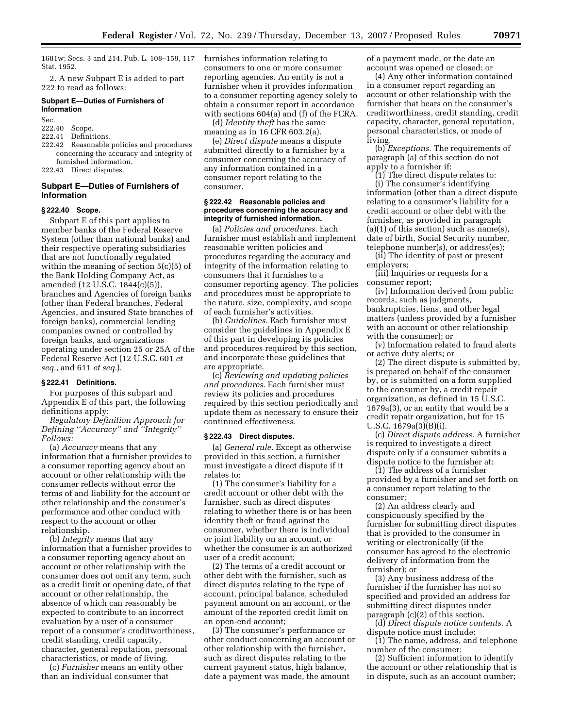1681w; Secs. 3 and 214, Pub. L. 108–159, 117 Stat. 1952.

2. A new Subpart E is added to part 222 to read as follows:

#### **Subpart E—Duties of Furnishers of Information**

Sec.

- 222.40 Scope.
- 222.41 Definitions.
- 222.42 Reasonable policies and procedures concerning the accuracy and integrity of furnished information.
- 222.43 Direct disputes.

#### **Subpart E—Duties of Furnishers of Information**

#### **§ 222.40 Scope.**

Subpart E of this part applies to member banks of the Federal Reserve System (other than national banks) and their respective operating subsidiaries that are not functionally regulated within the meaning of section 5(c)(5) of the Bank Holding Company Act, as amended (12 U.S.C. 1844(c)(5)), branches and Agencies of foreign banks (other than Federal branches, Federal Agencies, and insured State branches of foreign banks), commercial lending companies owned or controlled by foreign banks, and organizations operating under section 25 or 25A of the Federal Reserve Act (12 U.S.C. 601 *et seq.*, and 611 *et seq.*).

#### **§ 222.41 Definitions.**

For purposes of this subpart and Appendix E of this part, the following definitions apply:

*Regulatory Definition Approach for Defining ''Accuracy'' and ''Integrity'' Follows:* 

(a) *Accuracy* means that any information that a furnisher provides to a consumer reporting agency about an account or other relationship with the consumer reflects without error the terms of and liability for the account or other relationship and the consumer's performance and other conduct with respect to the account or other relationship.

(b) *Integrity* means that any information that a furnisher provides to a consumer reporting agency about an account or other relationship with the consumer does not omit any term, such as a credit limit or opening date, of that account or other relationship, the absence of which can reasonably be expected to contribute to an incorrect evaluation by a user of a consumer report of a consumer's creditworthiness, credit standing, credit capacity, character, general reputation, personal characteristics, or mode of living.

(c) *Furnisher* means an entity other than an individual consumer that

furnishes information relating to consumers to one or more consumer reporting agencies. An entity is not a furnisher when it provides information to a consumer reporting agency solely to obtain a consumer report in accordance with sections 604(a) and (f) of the FCRA.

(d) *Identity theft* has the same meaning as in 16 CFR 603.2(a).

(e) *Direct dispute* means a dispute submitted directly to a furnisher by a consumer concerning the accuracy of any information contained in a consumer report relating to the consumer.

#### **§ 222.42 Reasonable policies and procedures concerning the accuracy and integrity of furnished information.**

(a) *Policies and procedures.* Each furnisher must establish and implement reasonable written policies and procedures regarding the accuracy and integrity of the information relating to consumers that it furnishes to a consumer reporting agency. The policies and procedures must be appropriate to the nature, size, complexity, and scope of each furnisher's activities.

(b) *Guidelines.* Each furnisher must consider the guidelines in Appendix E of this part in developing its policies and procedures required by this section, and incorporate those guidelines that are appropriate.

(c) *Reviewing and updating policies and procedures.* Each furnisher must review its policies and procedures required by this section periodically and update them as necessary to ensure their continued effectiveness.

#### **§ 222.43 Direct disputes.**

(a) *General rule.* Except as otherwise provided in this section, a furnisher must investigate a direct dispute if it relates to:

(1) The consumer's liability for a credit account or other debt with the furnisher, such as direct disputes relating to whether there is or has been identity theft or fraud against the consumer, whether there is individual or joint liability on an account, or whether the consumer is an authorized user of a credit account;

(2) The terms of a credit account or other debt with the furnisher, such as direct disputes relating to the type of account, principal balance, scheduled payment amount on an account, or the amount of the reported credit limit on an open-end account;

(3) The consumer's performance or other conduct concerning an account or other relationship with the furnisher, such as direct disputes relating to the current payment status, high balance, date a payment was made, the amount

of a payment made, or the date an account was opened or closed; or

(4) Any other information contained in a consumer report regarding an account or other relationship with the furnisher that bears on the consumer's creditworthiness, credit standing, credit capacity, character, general reputation, personal characteristics, or mode of living.

(b) *Exceptions.* The requirements of paragraph (a) of this section do not apply to a furnisher if:

(1) The direct dispute relates to: (i) The consumer's identifying information (other than a direct dispute relating to a consumer's liability for a credit account or other debt with the furnisher, as provided in paragraph  $(a)(1)$  of this section) such as name(s), date of birth, Social Security number, telephone number(s), or address(es);

(ii) The identity of past or present employers;

(iii) Inquiries or requests for a consumer report;

(iv) Information derived from public records, such as judgments, bankruptcies, liens, and other legal matters (unless provided by a furnisher with an account or other relationship with the consumer); or

(v) Information related to fraud alerts or active duty alerts; or

(2) The direct dispute is submitted by, is prepared on behalf of the consumer by, or is submitted on a form supplied to the consumer by, a credit repair organization, as defined in 15 U.S.C. 1679a(3), or an entity that would be a credit repair organization, but for 15 U.S.C. 1679a(3)(B)(i).

(c) *Direct dispute address.* A furnisher is required to investigate a direct dispute only if a consumer submits a dispute notice to the furnisher at:

(1) The address of a furnisher provided by a furnisher and set forth on a consumer report relating to the consumer;

(2) An address clearly and conspicuously specified by the furnisher for submitting direct disputes that is provided to the consumer in writing or electronically (if the consumer has agreed to the electronic delivery of information from the furnisher); or

(3) Any business address of the furnisher if the furnisher has not so specified and provided an address for submitting direct disputes under paragraph (c)(2) of this section.

(d) *Direct dispute notice contents.* A dispute notice must include:

(1) The name, address, and telephone number of the consumer;

(2) Sufficient information to identify the account or other relationship that is in dispute, such as an account number;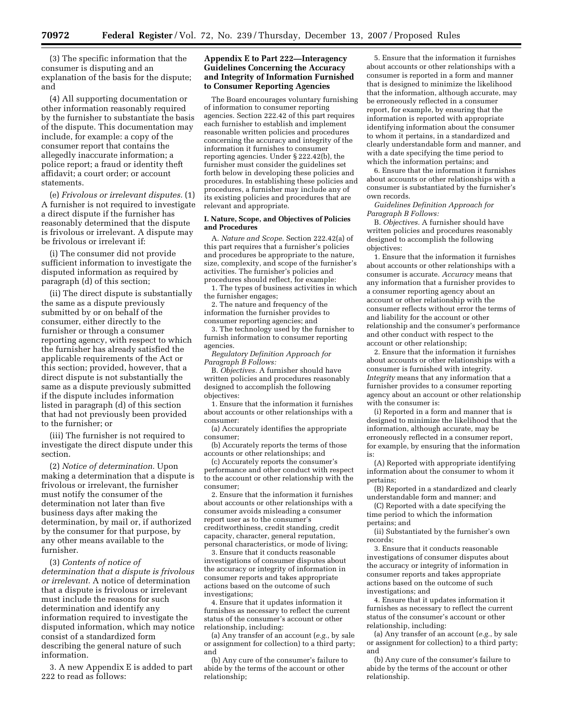(3) The specific information that the consumer is disputing and an explanation of the basis for the dispute; and

(4) All supporting documentation or other information reasonably required by the furnisher to substantiate the basis of the dispute. This documentation may include, for example: a copy of the consumer report that contains the allegedly inaccurate information; a police report; a fraud or identity theft affidavit; a court order; or account statements.

(e) *Frivolous or irrelevant disputes.* (1) A furnisher is not required to investigate a direct dispute if the furnisher has reasonably determined that the dispute is frivolous or irrelevant. A dispute may be frivolous or irrelevant if:

(i) The consumer did not provide sufficient information to investigate the disputed information as required by paragraph (d) of this section;

(ii) The direct dispute is substantially the same as a dispute previously submitted by or on behalf of the consumer, either directly to the furnisher or through a consumer reporting agency, with respect to which the furnisher has already satisfied the applicable requirements of the Act or this section; provided, however, that a direct dispute is not substantially the same as a dispute previously submitted if the dispute includes information listed in paragraph (d) of this section that had not previously been provided to the furnisher; or

(iii) The furnisher is not required to investigate the direct dispute under this section.

(2) *Notice of determination.* Upon making a determination that a dispute is frivolous or irrelevant, the furnisher must notify the consumer of the determination not later than five business days after making the determination, by mail or, if authorized by the consumer for that purpose, by any other means available to the furnisher.

(3) *Contents of notice of determination that a dispute is frivolous or irrelevant.* A notice of determination that a dispute is frivolous or irrelevant must include the reasons for such determination and identify any information required to investigate the disputed information, which may notice consist of a standardized form describing the general nature of such information.

3. A new Appendix E is added to part 222 to read as follows:

#### **Appendix E to Part 222—Interagency Guidelines Concerning the Accuracy and Integrity of Information Furnished to Consumer Reporting Agencies**

The Board encourages voluntary furnishing of information to consumer reporting agencies. Section 222.42 of this part requires each furnisher to establish and implement reasonable written policies and procedures concerning the accuracy and integrity of the information it furnishes to consumer reporting agencies. Under § 222.42(b), the furnisher must consider the guidelines set forth below in developing these policies and procedures. In establishing these policies and procedures, a furnisher may include any of its existing policies and procedures that are relevant and appropriate.

#### **I. Nature, Scope, and Objectives of Policies and Procedures**

A. *Nature and Scope.* Section 222.42(a) of this part requires that a furnisher's policies and procedures be appropriate to the nature, size, complexity, and scope of the furnisher's activities. The furnisher's policies and procedures should reflect, for example:

1. The types of business activities in which the furnisher engages;

2. The nature and frequency of the information the furnisher provides to consumer reporting agencies; and

3. The technology used by the furnisher to furnish information to consumer reporting agencies.

*Regulatory Definition Approach for Paragraph B Follows:* 

B. *Objectives.* A furnisher should have written policies and procedures reasonably designed to accomplish the following objectives:

1. Ensure that the information it furnishes about accounts or other relationships with a consumer:

(a) Accurately identifies the appropriate consumer;

(b) Accurately reports the terms of those accounts or other relationships; and

(c) Accurately reports the consumer's performance and other conduct with respect to the account or other relationship with the consumer;

2. Ensure that the information it furnishes about accounts or other relationships with a consumer avoids misleading a consumer report user as to the consumer's creditworthiness, credit standing, credit capacity, character, general reputation, personal characteristics, or mode of living;

3. Ensure that it conducts reasonable investigations of consumer disputes about the accuracy or integrity of information in consumer reports and takes appropriate actions based on the outcome of such investigations;

4. Ensure that it updates information it furnishes as necessary to reflect the current status of the consumer's account or other relationship, including:

(a) Any transfer of an account (*e.g.*, by sale or assignment for collection) to a third party; and

(b) Any cure of the consumer's failure to abide by the terms of the account or other relationship;

5. Ensure that the information it furnishes about accounts or other relationships with a consumer is reported in a form and manner that is designed to minimize the likelihood that the information, although accurate, may be erroneously reflected in a consumer report, for example, by ensuring that the information is reported with appropriate identifying information about the consumer to whom it pertains, in a standardized and clearly understandable form and manner, and with a date specifying the time period to which the information pertains; and

6. Ensure that the information it furnishes about accounts or other relationships with a consumer is substantiated by the furnisher's own records.

*Guidelines Definition Approach for Paragraph B Follows:* 

B. *Objectives.* A furnisher should have written policies and procedures reasonably designed to accomplish the following objectives:

1. Ensure that the information it furnishes about accounts or other relationships with a consumer is accurate. *Accuracy* means that any information that a furnisher provides to a consumer reporting agency about an account or other relationship with the consumer reflects without error the terms of and liability for the account or other relationship and the consumer's performance and other conduct with respect to the account or other relationship;

2. Ensure that the information it furnishes about accounts or other relationships with a consumer is furnished with integrity. *Integrity* means that any information that a furnisher provides to a consumer reporting agency about an account or other relationship with the consumer is:

(i) Reported in a form and manner that is designed to minimize the likelihood that the information, although accurate, may be erroneously reflected in a consumer report, for example, by ensuring that the information is:

(A) Reported with appropriate identifying information about the consumer to whom it pertains;

(B) Reported in a standardized and clearly understandable form and manner; and

(C) Reported with a date specifying the time period to which the information pertains; and

(ii) Substantiated by the furnisher's own records;

3. Ensure that it conducts reasonable investigations of consumer disputes about the accuracy or integrity of information in consumer reports and takes appropriate actions based on the outcome of such investigations; and

4. Ensure that it updates information it furnishes as necessary to reflect the current status of the consumer's account or other relationship, including:

(a) Any transfer of an account (*e.g.*, by sale or assignment for collection) to a third party; and

(b) Any cure of the consumer's failure to abide by the terms of the account or other relationship.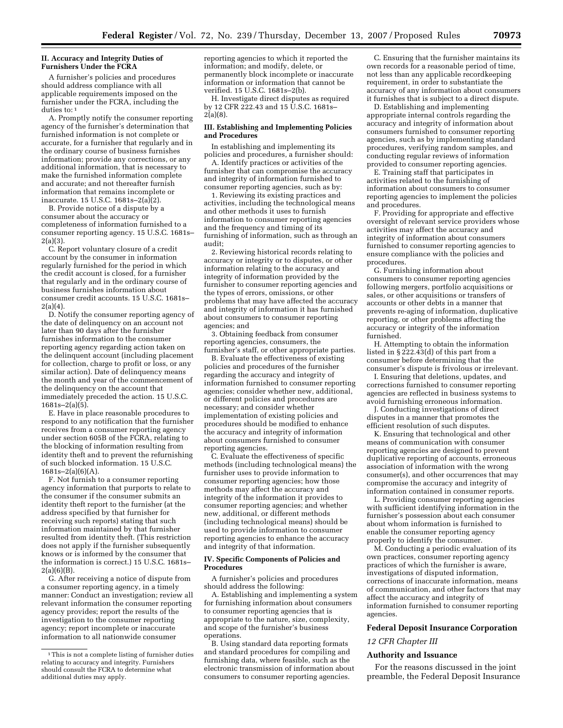#### **II. Accuracy and Integrity Duties of Furnishers Under the FCRA**

A furnisher's policies and procedures should address compliance with all applicable requirements imposed on the furnisher under the FCRA, including the duties to: 1

A. Promptly notify the consumer reporting agency of the furnisher's determination that furnished information is not complete or accurate, for a furnisher that regularly and in the ordinary course of business furnishes information; provide any corrections, or any additional information, that is necessary to make the furnished information complete and accurate; and not thereafter furnish information that remains incomplete or inaccurate. 15 U.S.C. 1681s–2(a)(2).

B. Provide notice of a dispute by a consumer about the accuracy or completeness of information furnished to a consumer reporting agency. 15 U.S.C. 1681s–  $2(a)(3)$ .

C. Report voluntary closure of a credit account by the consumer in information regularly furnished for the period in which the credit account is closed, for a furnisher that regularly and in the ordinary course of business furnishes information about consumer credit accounts. 15 U.S.C. 1681s– 2(a)(4).

D. Notify the consumer reporting agency of the date of delinquency on an account not later than 90 days after the furnisher furnishes information to the consumer reporting agency regarding action taken on the delinquent account (including placement for collection, charge to profit or loss, or any similar action). Date of delinquency means the month and year of the commencement of the delinquency on the account that immediately preceded the action. 15 U.S.C. 1681s–2(a)(5).

E. Have in place reasonable procedures to respond to any notification that the furnisher receives from a consumer reporting agency under section 605B of the FCRA, relating to the blocking of information resulting from identity theft and to prevent the refurnishing of such blocked information. 15 U.S.C.  $1681s-2(a)(6)(A)$ .

F. Not furnish to a consumer reporting agency information that purports to relate to the consumer if the consumer submits an identity theft report to the furnisher (at the address specified by that furnisher for receiving such reports) stating that such information maintained by that furnisher resulted from identity theft. (This restriction does not apply if the furnisher subsequently knows or is informed by the consumer that the information is correct.) 15 U.S.C. 1681s– 2(a)(6)(B).

G. After receiving a notice of dispute from a consumer reporting agency, in a timely manner: Conduct an investigation; review all relevant information the consumer reporting agency provides; report the results of the investigation to the consumer reporting agency; report incomplete or inaccurate information to all nationwide consumer

reporting agencies to which it reported the information; and modify, delete, or permanently block incomplete or inaccurate information or information that cannot be verified. 15 U.S.C. 1681s–2(b).

H. Investigate direct disputes as required by 12 CFR 222.43 and 15 U.S.C. 1681s-2(a)(8).

#### **III. Establishing and Implementing Policies and Procedures**

In establishing and implementing its policies and procedures, a furnisher should:

A. Identify practices or activities of the furnisher that can compromise the accuracy and integrity of information furnished to consumer reporting agencies, such as by:

1. Reviewing its existing practices and activities, including the technological means and other methods it uses to furnish information to consumer reporting agencies and the frequency and timing of its furnishing of information, such as through an audit;

2. Reviewing historical records relating to accuracy or integrity or to disputes, or other information relating to the accuracy and integrity of information provided by the furnisher to consumer reporting agencies and the types of errors, omissions, or other problems that may have affected the accuracy and integrity of information it has furnished about consumers to consumer reporting agencies; and

3. Obtaining feedback from consumer reporting agencies, consumers, the furnisher's staff, or other appropriate parties.

B. Evaluate the effectiveness of existing policies and procedures of the furnisher regarding the accuracy and integrity of information furnished to consumer reporting agencies; consider whether new, additional, or different policies and procedures are necessary; and consider whether implementation of existing policies and procedures should be modified to enhance the accuracy and integrity of information about consumers furnished to consumer reporting agencies.

C. Evaluate the effectiveness of specific methods (including technological means) the furnisher uses to provide information to consumer reporting agencies; how those methods may affect the accuracy and integrity of the information it provides to consumer reporting agencies; and whether new, additional, or different methods (including technological means) should be used to provide information to consumer reporting agencies to enhance the accuracy and integrity of that information.

#### **IV. Specific Components of Policies and Procedures**

A furnisher's policies and procedures should address the following:

A. Establishing and implementing a system for furnishing information about consumers to consumer reporting agencies that is appropriate to the nature, size, complexity, and scope of the furnisher's business operations.

B. Using standard data reporting formats and standard procedures for compiling and furnishing data, where feasible, such as the electronic transmission of information about consumers to consumer reporting agencies.

C. Ensuring that the furnisher maintains its own records for a reasonable period of time, not less than any applicable recordkeeping requirement, in order to substantiate the accuracy of any information about consumers it furnishes that is subject to a direct dispute.

D. Establishing and implementing appropriate internal controls regarding the accuracy and integrity of information about consumers furnished to consumer reporting agencies, such as by implementing standard procedures, verifying random samples, and conducting regular reviews of information provided to consumer reporting agencies.

E. Training staff that participates in activities related to the furnishing of information about consumers to consumer reporting agencies to implement the policies and procedures.

F. Providing for appropriate and effective oversight of relevant service providers whose activities may affect the accuracy and integrity of information about consumers furnished to consumer reporting agencies to ensure compliance with the policies and procedures.

G. Furnishing information about consumers to consumer reporting agencies following mergers, portfolio acquisitions or sales, or other acquisitions or transfers of accounts or other debts in a manner that prevents re-aging of information, duplicative reporting, or other problems affecting the accuracy or integrity of the information furnished.

H. Attempting to obtain the information listed in § 222.43(d) of this part from a consumer before determining that the consumer's dispute is frivolous or irrelevant.

I. Ensuring that deletions, updates, and corrections furnished to consumer reporting agencies are reflected in business systems to avoid furnishing erroneous information.

J. Conducting investigations of direct disputes in a manner that promotes the efficient resolution of such disputes.

K. Ensuring that technological and other means of communication with consumer reporting agencies are designed to prevent duplicative reporting of accounts, erroneous association of information with the wrong consumer(s), and other occurrences that may compromise the accuracy and integrity of information contained in consumer reports.

L. Providing consumer reporting agencies with sufficient identifying information in the furnisher's possession about each consumer about whom information is furnished to enable the consumer reporting agency properly to identify the consumer.

M. Conducting a periodic evaluation of its own practices, consumer reporting agency practices of which the furnisher is aware, investigations of disputed information, corrections of inaccurate information, means of communication, and other factors that may affect the accuracy and integrity of information furnished to consumer reporting agencies.

#### **Federal Deposit Insurance Corporation**

#### *12 CFR Chapter III*

#### **Authority and Issuance**

For the reasons discussed in the joint preamble, the Federal Deposit Insurance

<sup>1</sup> This is not a complete listing of furnisher duties relating to accuracy and integrity. Furnishers should consult the FCRA to determine what additional duties may apply.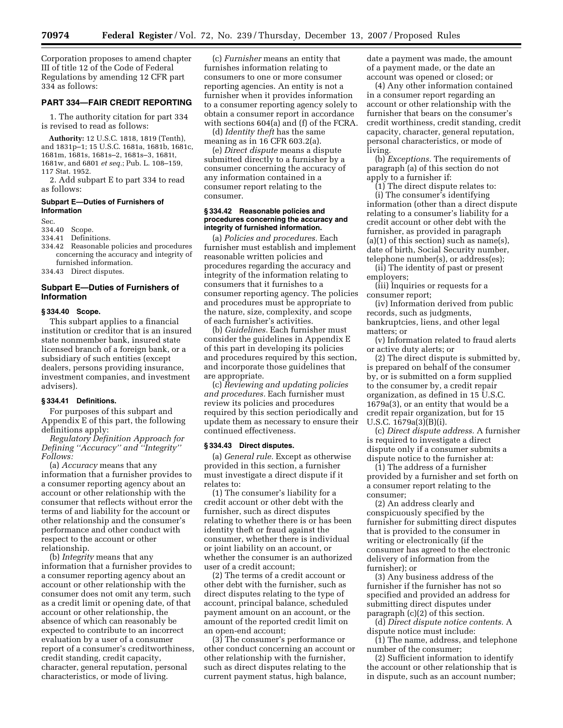Corporation proposes to amend chapter III of title 12 of the Code of Federal Regulations by amending 12 CFR part 334 as follows:

#### **PART 334—FAIR CREDIT REPORTING**

1. The authority citation for part 334 is revised to read as follows:

**Authority:** 12 U.S.C. 1818, 1819 (Tenth), and 1831p–1; 15 U.S.C. 1681a, 1681b, 1681c, 1681m, 1681s, 1681s–2, 1681s–3, 1681t, 1681w, and 6801 *et seq.*; Pub. L. 108–159, 117 Stat. 1952.

2. Add subpart E to part 334 to read as follows:

#### **Subpart E—Duties of Furnishers of Information**

Sec.

334.40 Scope.

334.41 Definitions.

334.42 Reasonable policies and procedures concerning the accuracy and integrity of furnished information.

334.43 Direct disputes.

#### **Subpart E—Duties of Furnishers of Information**

#### **§ 334.40 Scope.**

This subpart applies to a financial institution or creditor that is an insured state nonmember bank, insured state licensed branch of a foreign bank, or a subsidiary of such entities (except dealers, persons providing insurance, investment companies, and investment advisers).

#### **§ 334.41 Definitions.**

For purposes of this subpart and Appendix E of this part, the following definitions apply:

*Regulatory Definition Approach for Defining ''Accuracy'' and ''Integrity'' Follows:* 

(a) *Accuracy* means that any information that a furnisher provides to a consumer reporting agency about an account or other relationship with the consumer that reflects without error the terms of and liability for the account or other relationship and the consumer's performance and other conduct with respect to the account or other relationship.

(b) *Integrity* means that any information that a furnisher provides to a consumer reporting agency about an account or other relationship with the consumer does not omit any term, such as a credit limit or opening date, of that account or other relationship, the absence of which can reasonably be expected to contribute to an incorrect evaluation by a user of a consumer report of a consumer's creditworthiness, credit standing, credit capacity, character, general reputation, personal characteristics, or mode of living.

(c) *Furnisher* means an entity that furnishes information relating to consumers to one or more consumer reporting agencies. An entity is not a furnisher when it provides information to a consumer reporting agency solely to obtain a consumer report in accordance with sections 604(a) and (f) of the FCRA.

(d) *Identity theft* has the same meaning as in 16 CFR 603.2(a).

(e) *Direct dispute* means a dispute submitted directly to a furnisher by a consumer concerning the accuracy of any information contained in a consumer report relating to the consumer.

#### **§ 334.42 Reasonable policies and procedures concerning the accuracy and integrity of furnished information.**

(a) *Policies and procedures.* Each furnisher must establish and implement reasonable written policies and procedures regarding the accuracy and integrity of the information relating to consumers that it furnishes to a consumer reporting agency. The policies and procedures must be appropriate to the nature, size, complexity, and scope of each furnisher's activities.

(b) *Guidelines.* Each furnisher must consider the guidelines in Appendix E of this part in developing its policies and procedures required by this section, and incorporate those guidelines that are appropriate.

(c) *Reviewing and updating policies and procedures.* Each furnisher must review its policies and procedures required by this section periodically and update them as necessary to ensure their continued effectiveness.

#### **§ 334.43 Direct disputes.**

(a) *General rule.* Except as otherwise provided in this section, a furnisher must investigate a direct dispute if it relates to:

(1) The consumer's liability for a credit account or other debt with the furnisher, such as direct disputes relating to whether there is or has been identity theft or fraud against the consumer, whether there is individual or joint liability on an account, or whether the consumer is an authorized user of a credit account;

(2) The terms of a credit account or other debt with the furnisher, such as direct disputes relating to the type of account, principal balance, scheduled payment amount on an account, or the amount of the reported credit limit on an open-end account;

(3) The consumer's performance or other conduct concerning an account or other relationship with the furnisher, such as direct disputes relating to the current payment status, high balance,

date a payment was made, the amount of a payment made, or the date an account was opened or closed; or

(4) Any other information contained in a consumer report regarding an account or other relationship with the furnisher that bears on the consumer's credit worthiness, credit standing, credit capacity, character, general reputation, personal characteristics, or mode of living.

(b) *Exceptions.* The requirements of paragraph (a) of this section do not apply to a furnisher if:

(1) The direct dispute relates to: (i) The consumer's identifying information (other than a direct dispute relating to a consumer's liability for a credit account or other debt with the furnisher, as provided in paragraph  $(a)(1)$  of this section) such as name $(s)$ , date of birth, Social Security number, telephone number(s), or address(es);

(ii) The identity of past or present employers;

(iii) Inquiries or requests for a consumer report;

(iv) Information derived from public records, such as judgments, bankruptcies, liens, and other legal matters; or

(v) Information related to fraud alerts or active duty alerts; or

(2) The direct dispute is submitted by, is prepared on behalf of the consumer by, or is submitted on a form supplied to the consumer by, a credit repair organization, as defined in 15 U.S.C. 1679a(3), or an entity that would be a credit repair organization, but for 15 U.S.C. 1679a(3)(B)(i).

(c) *Direct dispute address.* A furnisher is required to investigate a direct dispute only if a consumer submits a dispute notice to the furnisher at:

(1) The address of a furnisher provided by a furnisher and set forth on a consumer report relating to the consumer;

(2) An address clearly and conspicuously specified by the furnisher for submitting direct disputes that is provided to the consumer in writing or electronically (if the consumer has agreed to the electronic delivery of information from the furnisher); or

(3) Any business address of the furnisher if the furnisher has not so specified and provided an address for submitting direct disputes under paragraph (c)(2) of this section.

(d) *Direct dispute notice contents.* A dispute notice must include:

(1) The name, address, and telephone number of the consumer;

(2) Sufficient information to identify the account or other relationship that is in dispute, such as an account number;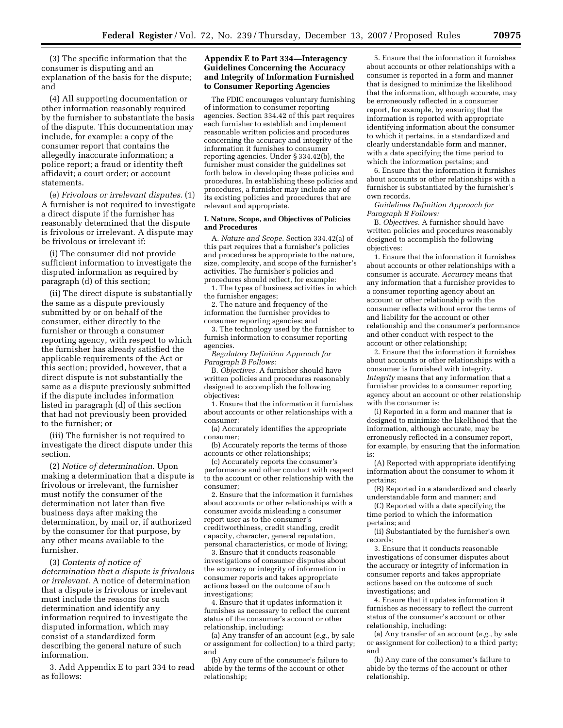(3) The specific information that the consumer is disputing and an explanation of the basis for the dispute; and

(4) All supporting documentation or other information reasonably required by the furnisher to substantiate the basis of the dispute. This documentation may include, for example: a copy of the consumer report that contains the allegedly inaccurate information; a police report; a fraud or identity theft affidavit; a court order; or account statements.

(e) *Frivolous or irrelevant disputes.* (1) A furnisher is not required to investigate a direct dispute if the furnisher has reasonably determined that the dispute is frivolous or irrelevant. A dispute may be frivolous or irrelevant if:

(i) The consumer did not provide sufficient information to investigate the disputed information as required by paragraph (d) of this section;

(ii) The direct dispute is substantially the same as a dispute previously submitted by or on behalf of the consumer, either directly to the furnisher or through a consumer reporting agency, with respect to which the furnisher has already satisfied the applicable requirements of the Act or this section; provided, however, that a direct dispute is not substantially the same as a dispute previously submitted if the dispute includes information listed in paragraph (d) of this section that had not previously been provided to the furnisher; or

(iii) The furnisher is not required to investigate the direct dispute under this section.

(2) *Notice of determination.* Upon making a determination that a dispute is frivolous or irrelevant, the furnisher must notify the consumer of the determination not later than five business days after making the determination, by mail or, if authorized by the consumer for that purpose, by any other means available to the furnisher.

(3) *Contents of notice of determination that a dispute is frivolous or irrelevant.* A notice of determination that a dispute is frivolous or irrelevant must include the reasons for such determination and identify any information required to investigate the disputed information, which may consist of a standardized form describing the general nature of such information.

3. Add Appendix E to part 334 to read as follows:

#### **Appendix E to Part 334—Interagency Guidelines Concerning the Accuracy and Integrity of Information Furnished to Consumer Reporting Agencies**

The FDIC encourages voluntary furnishing of information to consumer reporting agencies. Section 334.42 of this part requires each furnisher to establish and implement reasonable written policies and procedures concerning the accuracy and integrity of the information it furnishes to consumer reporting agencies. Under § 334.42(b), the furnisher must consider the guidelines set forth below in developing these policies and procedures. In establishing these policies and procedures, a furnisher may include any of its existing policies and procedures that are relevant and appropriate.

#### **I. Nature, Scope, and Objectives of Policies and Procedures**

A. *Nature and Scope.* Section 334.42(a) of this part requires that a furnisher's policies and procedures be appropriate to the nature, size, complexity, and scope of the furnisher's activities. The furnisher's policies and procedures should reflect, for example:

1. The types of business activities in which the furnisher engages;

2. The nature and frequency of the information the furnisher provides to consumer reporting agencies; and

3. The technology used by the furnisher to furnish information to consumer reporting agencies.

*Regulatory Definition Approach for Paragraph B Follows:* 

B. *Objectives.* A furnisher should have written policies and procedures reasonably designed to accomplish the following objectives:

1. Ensure that the information it furnishes about accounts or other relationships with a consumer:

(a) Accurately identifies the appropriate consumer;

(b) Accurately reports the terms of those accounts or other relationships;

(c) Accurately reports the consumer's performance and other conduct with respect to the account or other relationship with the consumer;

2. Ensure that the information it furnishes about accounts or other relationships with a consumer avoids misleading a consumer report user as to the consumer's creditworthiness, credit standing, credit capacity, character, general reputation, personal characteristics, or mode of living;

3. Ensure that it conducts reasonable investigations of consumer disputes about the accuracy or integrity of information in consumer reports and takes appropriate actions based on the outcome of such investigations;

4. Ensure that it updates information it furnishes as necessary to reflect the current status of the consumer's account or other relationship, including:

(a) Any transfer of an account (*e.g.*, by sale or assignment for collection) to a third party; and

(b) Any cure of the consumer's failure to abide by the terms of the account or other relationship;

5. Ensure that the information it furnishes about accounts or other relationships with a consumer is reported in a form and manner that is designed to minimize the likelihood that the information, although accurate, may be erroneously reflected in a consumer report, for example, by ensuring that the information is reported with appropriate identifying information about the consumer to which it pertains, in a standardized and clearly understandable form and manner, with a date specifying the time period to which the information pertains; and

6. Ensure that the information it furnishes about accounts or other relationships with a furnisher is substantiated by the furnisher's own records.

*Guidelines Definition Approach for Paragraph B Follows:* 

B. *Objectives.* A furnisher should have written policies and procedures reasonably designed to accomplish the following objectives:

1. Ensure that the information it furnishes about accounts or other relationships with a consumer is accurate. *Accuracy* means that any information that a furnisher provides to a consumer reporting agency about an account or other relationship with the consumer reflects without error the terms of and liability for the account or other relationship and the consumer's performance and other conduct with respect to the account or other relationship;

2. Ensure that the information it furnishes about accounts or other relationships with a consumer is furnished with integrity. *Integrity* means that any information that a furnisher provides to a consumer reporting agency about an account or other relationship with the consumer is:

(i) Reported in a form and manner that is designed to minimize the likelihood that the information, although accurate, may be erroneously reflected in a consumer report, for example, by ensuring that the information is:

(A) Reported with appropriate identifying information about the consumer to whom it pertains;

(B) Reported in a standardized and clearly understandable form and manner; and

(C) Reported with a date specifying the time period to which the information pertains; and

(ii) Substantiated by the furnisher's own records;

3. Ensure that it conducts reasonable investigations of consumer disputes about the accuracy or integrity of information in consumer reports and takes appropriate actions based on the outcome of such investigations; and

4. Ensure that it updates information it furnishes as necessary to reflect the current status of the consumer's account or other relationship, including:

(a) Any transfer of an account (*e.g.*, by sale or assignment for collection) to a third party; and

(b) Any cure of the consumer's failure to abide by the terms of the account or other relationship.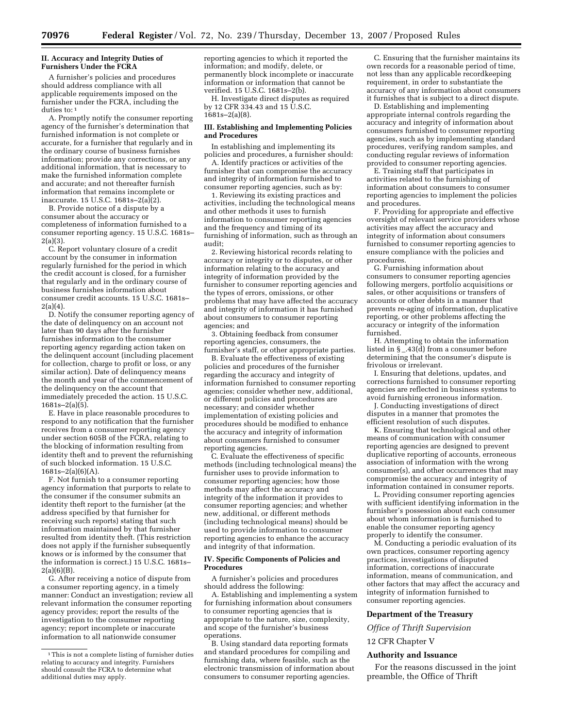#### **II. Accuracy and Integrity Duties of Furnishers Under the FCRA**

A furnisher's policies and procedures should address compliance with all applicable requirements imposed on the furnisher under the FCRA, including the duties to: 1

A. Promptly notify the consumer reporting agency of the furnisher's determination that furnished information is not complete or accurate, for a furnisher that regularly and in the ordinary course of business furnishes information; provide any corrections, or any additional information, that is necessary to make the furnished information complete and accurate; and not thereafter furnish information that remains incomplete or inaccurate. 15 U.S.C. 1681s–2(a)(2).

B. Provide notice of a dispute by a consumer about the accuracy or completeness of information furnished to a consumer reporting agency. 15 U.S.C. 1681s– 2(a)(3).

C. Report voluntary closure of a credit account by the consumer in information regularly furnished for the period in which the credit account is closed, for a furnisher that regularly and in the ordinary course of business furnishes information about consumer credit accounts. 15 U.S.C. 1681s– 2(a)(4).

D. Notify the consumer reporting agency of the date of delinquency on an account not later than 90 days after the furnisher furnishes information to the consumer reporting agency regarding action taken on the delinquent account (including placement for collection, charge to profit or loss, or any similar action). Date of delinquency means the month and year of the commencement of the delinquency on the account that immediately preceded the action. 15 U.S.C. 1681s–2(a)(5).

E. Have in place reasonable procedures to respond to any notification that the furnisher receives from a consumer reporting agency under section 605B of the FCRA, relating to the blocking of information resulting from identity theft and to prevent the refurnishing of such blocked information. 15 U.S.C.  $1681s-2(a)(6)(A)$ .

F. Not furnish to a consumer reporting agency information that purports to relate to the consumer if the consumer submits an identity theft report to the furnisher (at the address specified by that furnisher for receiving such reports) stating that such information maintained by that furnisher resulted from identity theft. (This restriction does not apply if the furnisher subsequently knows or is informed by the consumer that the information is correct.) 15 U.S.C. 1681s– 2(a)(6)(B).

G. After receiving a notice of dispute from a consumer reporting agency, in a timely manner: Conduct an investigation; review all relevant information the consumer reporting agency provides; report the results of the investigation to the consumer reporting agency; report incomplete or inaccurate information to all nationwide consumer

reporting agencies to which it reported the information; and modify, delete, or permanently block incomplete or inaccurate information or information that cannot be verified. 15 U.S.C. 1681s–2(b).

H. Investigate direct disputes as required by 12 CFR 334.43 and 15 U.S.C. 1681s–2(a)(8).

#### **III. Establishing and Implementing Policies and Procedures**

In establishing and implementing its policies and procedures, a furnisher should:

A. Identify practices or activities of the furnisher that can compromise the accuracy and integrity of information furnished to consumer reporting agencies, such as by:

1. Reviewing its existing practices and activities, including the technological means and other methods it uses to furnish information to consumer reporting agencies and the frequency and timing of its furnishing of information, such as through an audit;

2. Reviewing historical records relating to accuracy or integrity or to disputes, or other information relating to the accuracy and integrity of information provided by the furnisher to consumer reporting agencies and the types of errors, omissions, or other problems that may have affected the accuracy and integrity of information it has furnished about consumers to consumer reporting agencies; and

3. Obtaining feedback from consumer reporting agencies, consumers, the furnisher's staff, or other appropriate parties.

B. Evaluate the effectiveness of existing policies and procedures of the furnisher regarding the accuracy and integrity of information furnished to consumer reporting agencies; consider whether new, additional, or different policies and procedures are necessary; and consider whether implementation of existing policies and procedures should be modified to enhance the accuracy and integrity of information about consumers furnished to consumer reporting agencies.

C. Evaluate the effectiveness of specific methods (including technological means) the furnisher uses to provide information to consumer reporting agencies; how those methods may affect the accuracy and integrity of the information it provides to consumer reporting agencies; and whether new, additional, or different methods (including technological means) should be used to provide information to consumer reporting agencies to enhance the accuracy and integrity of that information.

#### **IV. Specific Components of Policies and Procedures**

A furnisher's policies and procedures should address the following:

A. Establishing and implementing a system for furnishing information about consumers to consumer reporting agencies that is appropriate to the nature, size, complexity, and scope of the furnisher's business operations.

B. Using standard data reporting formats and standard procedures for compiling and furnishing data, where feasible, such as the electronic transmission of information about consumers to consumer reporting agencies.

C. Ensuring that the furnisher maintains its own records for a reasonable period of time, not less than any applicable recordkeeping requirement, in order to substantiate the accuracy of any information about consumers it furnishes that is subject to a direct dispute.

D. Establishing and implementing appropriate internal controls regarding the accuracy and integrity of information about consumers furnished to consumer reporting agencies, such as by implementing standard procedures, verifying random samples, and conducting regular reviews of information provided to consumer reporting agencies.

E. Training staff that participates in activities related to the furnishing of information about consumers to consumer reporting agencies to implement the policies and procedures.

F. Providing for appropriate and effective oversight of relevant service providers whose activities may affect the accuracy and integrity of information about consumers furnished to consumer reporting agencies to ensure compliance with the policies and procedures.

G. Furnishing information about consumers to consumer reporting agencies following mergers, portfolio acquisitions or sales, or other acquisitions or transfers of accounts or other debts in a manner that prevents re-aging of information, duplicative reporting, or other problems affecting the accuracy or integrity of the information furnished.

H. Attempting to obtain the information listed in  $\S$   $\hat{A}3(\vec{d})$  from a consumer before determining that the consumer's dispute is frivolous or irrelevant.

I. Ensuring that deletions, updates, and corrections furnished to consumer reporting agencies are reflected in business systems to avoid furnishing erroneous information.

J. Conducting investigations of direct disputes in a manner that promotes the efficient resolution of such disputes.

K. Ensuring that technological and other means of communication with consumer reporting agencies are designed to prevent duplicative reporting of accounts, erroneous association of information with the wrong consumer(s), and other occurrences that may compromise the accuracy and integrity of information contained in consumer reports.

L. Providing consumer reporting agencies with sufficient identifying information in the furnisher's possession about each consumer about whom information is furnished to enable the consumer reporting agency properly to identify the consumer.

M. Conducting a periodic evaluation of its own practices, consumer reporting agency practices, investigations of disputed information, corrections of inaccurate information, means of communication, and other factors that may affect the accuracy and integrity of information furnished to consumer reporting agencies.

#### **Department of the Treasury**

*Office of Thrift Supervision* 

#### 12 CFR Chapter V

#### **Authority and Issuance**

For the reasons discussed in the joint preamble, the Office of Thrift

<sup>1</sup> This is not a complete listing of furnisher duties relating to accuracy and integrity. Furnishers should consult the FCRA to determine what additional duties may apply.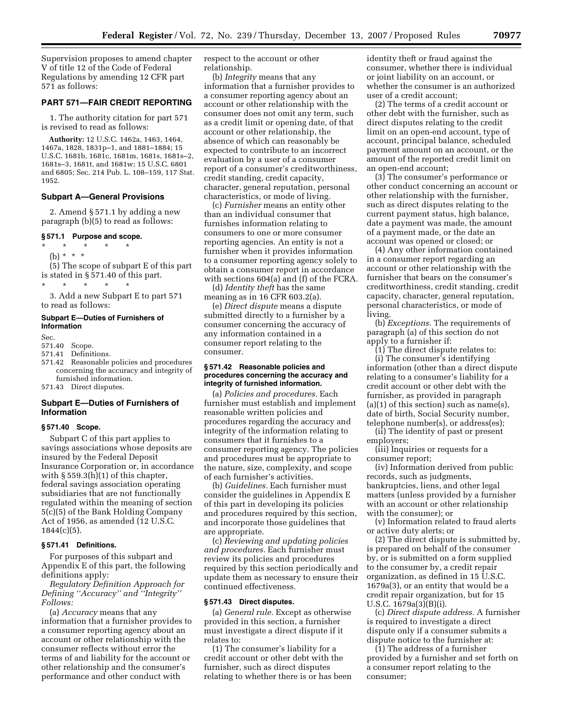Supervision proposes to amend chapter V of title 12 of the Code of Federal Regulations by amending 12 CFR part 571 as follows:

#### **PART 571—FAIR CREDIT REPORTING**

1. The authority citation for part 571 is revised to read as follows:

**Authority:** 12 U.S.C. 1462a, 1463, 1464, 1467a, 1828, 1831p–1, and 1881–1884; 15 U.S.C. 1681b, 1681c, 1681m, 1681s, 1681s–2, 1681s–3, 1681t, and 1681w; 15 U.S.C. 6801 and 6805; Sec. 214 Pub. L. 108–159, 117 Stat. 1952.

#### **Subpart A—General Provisions**

2. Amend § 571.1 by adding a new paragraph (b)(5) to read as follows:

#### **§ 571.1 Purpose and scope.**

- \* \* \* \* \*
- (b) \* \* \*

(5) The scope of subpart E of this part is stated in § 571.40 of this part.

\* \* \* \* \* 3. Add a new Subpart E to part 571

#### **Subpart E—Duties of Furnishers of Information**

Sec.

#### 571.40 Scope.

to read as follows:

- 571.41 Definitions.
- 571.42 Reasonable policies and procedures concerning the accuracy and integrity of furnished information.

571.43 Direct disputes.

#### **Subpart E—Duties of Furnishers of Information**

#### **§ 571.40 Scope.**

Subpart C of this part applies to savings associations whose deposits are insured by the Federal Deposit Insurance Corporation or, in accordance with  $\S 559.3(h)(1)$  of this chapter, federal savings association operating subsidiaries that are not functionally regulated within the meaning of section 5(c)(5) of the Bank Holding Company Act of 1956, as amended (12 U.S.C.  $1844(c)(5)$ .

#### **§ 571.41 Definitions.**

For purposes of this subpart and Appendix E of this part, the following definitions apply:

*Regulatory Definition Approach for Defining ''Accuracy'' and ''Integrity'' Follows:* 

(a) *Accuracy* means that any information that a furnisher provides to a consumer reporting agency about an account or other relationship with the consumer reflects without error the terms of and liability for the account or other relationship and the consumer's performance and other conduct with

respect to the account or other relationship.

(b) *Integrity* means that any information that a furnisher provides to a consumer reporting agency about an account or other relationship with the consumer does not omit any term, such as a credit limit or opening date, of that account or other relationship, the absence of which can reasonably be expected to contribute to an incorrect evaluation by a user of a consumer report of a consumer's creditworthiness, credit standing, credit capacity, character, general reputation, personal characteristics, or mode of living.

(c) *Furnisher* means an entity other than an individual consumer that furnishes information relating to consumers to one or more consumer reporting agencies. An entity is not a furnisher when it provides information to a consumer reporting agency solely to obtain a consumer report in accordance with sections 604(a) and (f) of the FCRA.

(d) *Identity theft* has the same meaning as in 16 CFR 603.2(a).

(e) *Direct dispute* means a dispute submitted directly to a furnisher by a consumer concerning the accuracy of any information contained in a consumer report relating to the consumer.

#### **§ 571.42 Reasonable policies and procedures concerning the accuracy and integrity of furnished information.**

(a) *Policies and procedures.* Each furnisher must establish and implement reasonable written policies and procedures regarding the accuracy and integrity of the information relating to consumers that it furnishes to a consumer reporting agency. The policies and procedures must be appropriate to the nature, size, complexity, and scope of each furnisher's activities.

(b) *Guidelines.* Each furnisher must consider the guidelines in Appendix E of this part in developing its policies and procedures required by this section, and incorporate those guidelines that are appropriate.

(c) *Reviewing and updating policies and procedures.* Each furnisher must review its policies and procedures required by this section periodically and update them as necessary to ensure their continued effectiveness.

#### **§ 571.43 Direct disputes.**

(a) *General rule.* Except as otherwise provided in this section, a furnisher must investigate a direct dispute if it relates to:

(1) The consumer's liability for a credit account or other debt with the furnisher, such as direct disputes relating to whether there is or has been identity theft or fraud against the consumer, whether there is individual or joint liability on an account, or whether the consumer is an authorized user of a credit account;

(2) The terms of a credit account or other debt with the furnisher, such as direct disputes relating to the credit limit on an open-end account, type of account, principal balance, scheduled payment amount on an account, or the amount of the reported credit limit on an open-end account;

(3) The consumer's performance or other conduct concerning an account or other relationship with the furnisher, such as direct disputes relating to the current payment status, high balance, date a payment was made, the amount of a payment made, or the date an account was opened or closed; or

(4) Any other information contained in a consumer report regarding an account or other relationship with the furnisher that bears on the consumer's creditworthiness, credit standing, credit capacity, character, general reputation, personal characteristics, or mode of living.

(b) *Exceptions.* The requirements of paragraph (a) of this section do not apply to a furnisher if:

(1) The direct dispute relates to: (i) The consumer's identifying information (other than a direct dispute relating to a consumer's liability for a credit account or other debt with the furnisher, as provided in paragraph  $(a)(1)$  of this section) such as name(s), date of birth, Social Security number, telephone number(s), or address(es);

(ii) The identity of past or present employers;

(iii) Inquiries or requests for a consumer report;

(iv) Information derived from public records, such as judgments, bankruptcies, liens, and other legal matters (unless provided by a furnisher with an account or other relationship with the consumer); or

(v) Information related to fraud alerts or active duty alerts; or

(2) The direct dispute is submitted by, is prepared on behalf of the consumer by, or is submitted on a form supplied to the consumer by, a credit repair organization, as defined in 15 U.S.C. 1679a(3), or an entity that would be a credit repair organization, but for 15 U.S.C. 1679a(3)(B)(i).

(c) *Direct dispute address.* A furnisher is required to investigate a direct dispute only if a consumer submits a dispute notice to the furnisher at:

(1) The address of a furnisher provided by a furnisher and set forth on a consumer report relating to the consumer;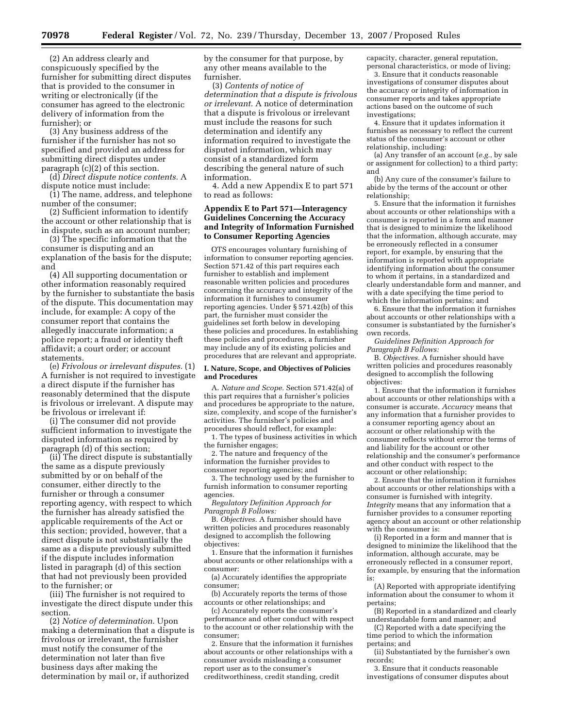(2) An address clearly and conspicuously specified by the furnisher for submitting direct disputes that is provided to the consumer in writing or electronically (if the consumer has agreed to the electronic delivery of information from the furnisher); or

(3) Any business address of the furnisher if the furnisher has not so specified and provided an address for submitting direct disputes under paragraph (c)(2) of this section.

(d) *Direct dispute notice contents.* A dispute notice must include:

(1) The name, address, and telephone number of the consumer;

(2) Sufficient information to identify the account or other relationship that is in dispute, such as an account number;

(3) The specific information that the consumer is disputing and an explanation of the basis for the dispute; and

(4) All supporting documentation or other information reasonably required by the furnisher to substantiate the basis of the dispute. This documentation may include, for example: A copy of the consumer report that contains the allegedly inaccurate information; a police report; a fraud or identity theft affidavit; a court order; or account statements.

(e) *Frivolous or irrelevant disputes.* (1) A furnisher is not required to investigate a direct dispute if the furnisher has reasonably determined that the dispute is frivolous or irrelevant. A dispute may be frivolous or irrelevant if:

(i) The consumer did not provide sufficient information to investigate the disputed information as required by paragraph (d) of this section;

(ii) The direct dispute is substantially the same as a dispute previously submitted by or on behalf of the consumer, either directly to the furnisher or through a consumer reporting agency, with respect to which the furnisher has already satisfied the applicable requirements of the Act or this section; provided, however, that a direct dispute is not substantially the same as a dispute previously submitted if the dispute includes information listed in paragraph (d) of this section that had not previously been provided to the furnisher; or

(iii) The furnisher is not required to investigate the direct dispute under this section.

(2) *Notice of determination.* Upon making a determination that a dispute is frivolous or irrelevant, the furnisher must notify the consumer of the determination not later than five business days after making the determination by mail or, if authorized

by the consumer for that purpose, by any other means available to the furnisher.

(3) *Contents of notice of determination that a dispute is frivolous or irrelevant.* A notice of determination that a dispute is frivolous or irrelevant must include the reasons for such determination and identify any information required to investigate the disputed information, which may consist of a standardized form describing the general nature of such information.

4. Add a new Appendix E to part 571 to read as follows:

#### **Appendix E to Part 571—Interagency Guidelines Concerning the Accuracy and Integrity of Information Furnished to Consumer Reporting Agencies**

OTS encourages voluntary furnishing of information to consumer reporting agencies. Section 571.42 of this part requires each furnisher to establish and implement reasonable written policies and procedures concerning the accuracy and integrity of the information it furnishes to consumer reporting agencies. Under § 571.42(b) of this part, the furnisher must consider the guidelines set forth below in developing these policies and procedures. In establishing these policies and procedures, a furnisher may include any of its existing policies and procedures that are relevant and appropriate.

#### **I. Nature, Scope, and Objectives of Policies and Procedures**

A. *Nature and Scope.* Section 571.42(a) of this part requires that a furnisher's policies and procedures be appropriate to the nature, size, complexity, and scope of the furnisher's activities. The furnisher's policies and procedures should reflect, for example:

1. The types of business activities in which the furnisher engages;

2. The nature and frequency of the information the furnisher provides to consumer reporting agencies; and

3. The technology used by the furnisher to furnish information to consumer reporting agencies.

*Regulatory Definition Approach for Paragraph B Follows:* 

B. *Objectives.* A furnisher should have written policies and procedures reasonably designed to accomplish the following objectives:

1. Ensure that the information it furnishes about accounts or other relationships with a consumer:

(a) Accurately identifies the appropriate consumer;

(b) Accurately reports the terms of those accounts or other relationships; and

(c) Accurately reports the consumer's performance and other conduct with respect to the account or other relationship with the consumer;

2. Ensure that the information it furnishes about accounts or other relationships with a consumer avoids misleading a consumer report user as to the consumer's creditworthiness, credit standing, credit

capacity, character, general reputation, personal characteristics, or mode of living; 3. Ensure that it conducts reasonable

investigations of consumer disputes about the accuracy or integrity of information in consumer reports and takes appropriate actions based on the outcome of such investigations;

4. Ensure that it updates information it furnishes as necessary to reflect the current status of the consumer's account or other relationship, including:

(a) Any transfer of an account (*e.g.*, by sale or assignment for collection) to a third party; and

(b) Any cure of the consumer's failure to abide by the terms of the account or other relationship;

5. Ensure that the information it furnishes about accounts or other relationships with a consumer is reported in a form and manner that is designed to minimize the likelihood that the information, although accurate, may be erroneously reflected in a consumer report, for example, by ensuring that the information is reported with appropriate identifying information about the consumer to whom it pertains, in a standardized and clearly understandable form and manner, and with a date specifying the time period to which the information pertains; and

6. Ensure that the information it furnishes about accounts or other relationships with a consumer is substantiated by the furnisher's own records.

*Guidelines Definition Approach for Paragraph B Follows:* 

B. *Objectives.* A furnisher should have written policies and procedures reasonably designed to accomplish the following objectives:

1. Ensure that the information it furnishes about accounts or other relationships with a consumer is accurate. *Accuracy* means that any information that a furnisher provides to a consumer reporting agency about an account or other relationship with the consumer reflects without error the terms of and liability for the account or other relationship and the consumer's performance and other conduct with respect to the account or other relationship;

2. Ensure that the information it furnishes about accounts or other relationships with a consumer is furnished with integrity. *Integrity* means that any information that a furnisher provides to a consumer reporting agency about an account or other relationship with the consumer is:

(i) Reported in a form and manner that is designed to minimize the likelihood that the information, although accurate, may be erroneously reflected in a consumer report, for example, by ensuring that the information is:

(A) Reported with appropriate identifying information about the consumer to whom it pertains;

(B) Reported in a standardized and clearly understandable form and manner; and

(C) Reported with a date specifying the time period to which the information pertains; and

(ii) Substantiated by the furnisher's own records;

3. Ensure that it conducts reasonable investigations of consumer disputes about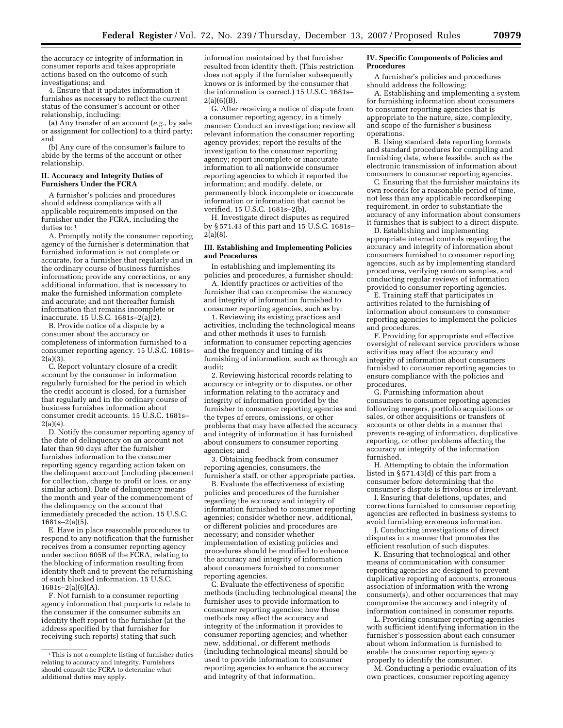the accuracy or integrity of information in consumer reports and takes appropriate actions based on the outcome of such investigations; and

4. Ensure that it updates information it furnishes as necessary to reflect the current status of the consumer's account or other relationship, including:

(a) Any transfer of an account (*e.g.*, by sale or assignment for collection) to a third party; and

(b) Any cure of the consumer's failure to abide by the terms of the account or other relationship.

#### **II. Accuracy and Integrity Duties of Furnishers Under the FCRA**

A furnisher's policies and procedures should address compliance with all applicable requirements imposed on the furnisher under the FCRA, including the duties to: 1

A. Promptly notify the consumer reporting agency of the furnisher's determination that furnished information is not complete or accurate, for a furnisher that regularly and in the ordinary course of business furnishes information; provide any corrections, or any additional information, that is necessary to make the furnished information complete and accurate; and not thereafter furnish information that remains incomplete or inaccurate. 15 U.S.C. 1681s–2(a)(2).

B. Provide notice of a dispute by a consumer about the accuracy or completeness of information furnished to a consumer reporting agency. 15 U.S.C. 1681s– 2(a)(3).

C. Report voluntary closure of a credit account by the consumer in information regularly furnished for the period in which the credit account is closed, for a furnisher that regularly and in the ordinary course of business furnishes information about consumer credit accounts. 15 U.S.C. 1681s–  $2(a)(4)$ .

D. Notify the consumer reporting agency of the date of delinquency on an account not later than 90 days after the furnisher furnishes information to the consumer reporting agency regarding action taken on the delinquent account (including placement for collection, charge to profit or loss, or any similar action). Date of delinquency means the month and year of the commencement of the delinquency on the account that immediately preceded the action. 15 U.S.C. 1681s–2(a)(5).

E. Have in place reasonable procedures to respond to any notification that the furnisher receives from a consumer reporting agency under section 605B of the FCRA, relating to the blocking of information resulting from identity theft and to prevent the refurnishing of such blocked information. 15 U.S.C.  $1681s-2(a)(6)(A)$ .

F. Not furnish to a consumer reporting agency information that purports to relate to the consumer if the consumer submits an identity theft report to the furnisher (at the address specified by that furnisher for receiving such reports) stating that such

information maintained by that furnisher resulted from identity theft. (This restriction does not apply if the furnisher subsequently knows or is informed by the consumer that the information is correct.) 15 U.S.C. 1681s– 2(a)(6)(B).

G. After receiving a notice of dispute from a consumer reporting agency, in a timely manner: Conduct an investigation; review all relevant information the consumer reporting agency provides; report the results of the investigation to the consumer reporting agency; report incomplete or inaccurate information to all nationwide consumer reporting agencies to which it reported the information; and modify, delete, or permanently block incomplete or inaccurate information or information that cannot be verified. 15 U.S.C. 1681s–2(b).

H. Investigate direct disputes as required by § 571.43 of this part and 15 U.S.C. 1681s– 2(a)(8).

#### **III. Establishing and Implementing Policies and Procedures**

In establishing and implementing its policies and procedures, a furnisher should:

A. Identify practices or activities of the furnisher that can compromise the accuracy and integrity of information furnished to consumer reporting agencies, such as by:

1. Reviewing its existing practices and activities, including the technological means and other methods it uses to furnish information to consumer reporting agencies and the frequency and timing of its furnishing of information, such as through an audit;

2. Reviewing historical records relating to accuracy or integrity or to disputes, or other information relating to the accuracy and integrity of information provided by the furnisher to consumer reporting agencies and the types of errors, omissions, or other problems that may have affected the accuracy and integrity of information it has furnished about consumers to consumer reporting agencies; and

3. Obtaining feedback from consumer reporting agencies, consumers, the furnisher's staff, or other appropriate parties.

B. Evaluate the effectiveness of existing policies and procedures of the furnisher regarding the accuracy and integrity of information furnished to consumer reporting agencies; consider whether new, additional, or different policies and procedures are necessary; and consider whether implementation of existing policies and procedures should be modified to enhance the accuracy and integrity of information about consumers furnished to consumer reporting agencies.

C. Evaluate the effectiveness of specific methods (including technological means) the furnisher uses to provide information to consumer reporting agencies; how those methods may affect the accuracy and integrity of the information it provides to consumer reporting agencies; and whether new, additional, or different methods (including technological means) should be used to provide information to consumer reporting agencies to enhance the accuracy and integrity of that information.

#### **IV. Specific Components of Policies and Procedures**

A furnisher's policies and procedures should address the following:

A. Establishing and implementing a system for furnishing information about consumers to consumer reporting agencies that is appropriate to the nature, size, complexity, and scope of the furnisher's business operations.

B. Using standard data reporting formats and standard procedures for compiling and furnishing data, where feasible, such as the electronic transmission of information about consumers to consumer reporting agencies.

C. Ensuring that the furnisher maintains its own records for a reasonable period of time, not less than any applicable recordkeeping requirement, in order to substantiate the accuracy of any information about consumers it furnishes that is subject to a direct dispute.

D. Establishing and implementing appropriate internal controls regarding the accuracy and integrity of information about consumers furnished to consumer reporting agencies, such as by implementing standard procedures, verifying random samples, and conducting regular reviews of information provided to consumer reporting agencies.

E. Training staff that participates in activities related to the furnishing of information about consumers to consumer reporting agencies to implement the policies and procedures.

F. Providing for appropriate and effective oversight of relevant service providers whose activities may affect the accuracy and integrity of information about consumers furnished to consumer reporting agencies to ensure compliance with the policies and procedures.

G. Furnishing information about consumers to consumer reporting agencies following mergers, portfolio acquisitions or sales, or other acquisitions or transfers of accounts or other debts in a manner that prevents re-aging of information, duplicative reporting, or other problems affecting the accuracy or integrity of the information furnished.

H. Attempting to obtain the information listed in  $\S$  571.43(d) of this part from a consumer before determining that the consumer's dispute is frivolous or irrelevant.

I. Ensuring that deletions, updates, and corrections furnished to consumer reporting agencies are reflected in business systems to avoid furnishing erroneous information.

J. Conducting investigations of direct disputes in a manner that promotes the efficient resolution of such disputes.

K. Ensuring that technological and other means of communication with consumer reporting agencies are designed to prevent duplicative reporting of accounts, erroneous association of information with the wrong consumer(s), and other occurrences that may compromise the accuracy and integrity of information contained in consumer reports.

L. Providing consumer reporting agencies with sufficient identifying information in the furnisher's possession about each consumer about whom information is furnished to enable the consumer reporting agency properly to identify the consumer.

M. Conducting a periodic evaluation of its own practices, consumer reporting agency

<sup>1</sup> This is not a complete listing of furnisher duties relating to accuracy and integrity. Furnishers should consult the FCRA to determine what additional duties may apply.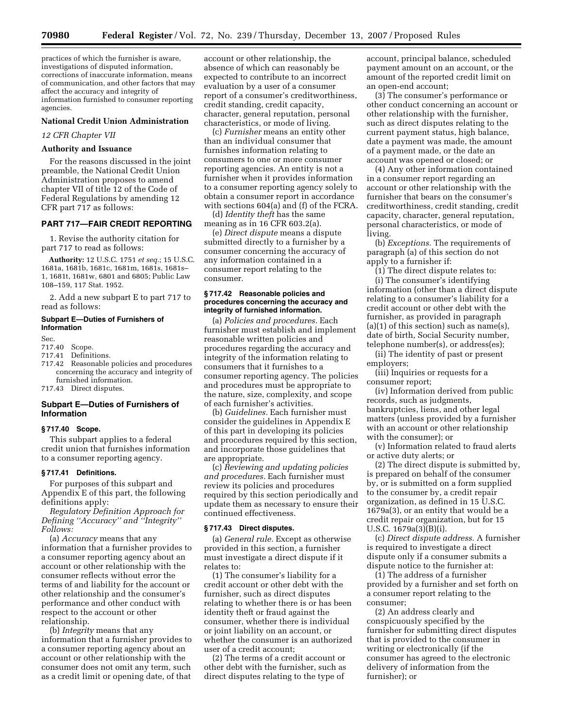practices of which the furnisher is aware, investigations of disputed information, corrections of inaccurate information, means of communication, and other factors that may affect the accuracy and integrity of information furnished to consumer reporting agencies.

#### **National Credit Union Administration**

*12 CFR Chapter VII* 

#### **Authority and Issuance**

For the reasons discussed in the joint preamble, the National Credit Union Administration proposes to amend chapter VII of title 12 of the Code of Federal Regulations by amending 12 CFR part 717 as follows:

#### **PART 717—FAIR CREDIT REPORTING**

1. Revise the authority citation for part 717 to read as follows:

**Authority:** 12 U.S.C. 1751 *et seq.*; 15 U.S.C. 1681a, 1681b, 1681c, 1681m, 1681s, 1681s– 1, 1681t, 1681w, 6801 and 6805; Public Law 108–159, 117 Stat. 1952.

2. Add a new subpart E to part 717 to read as follows:

#### **Subpart E—Duties of Furnishers of Information**

#### Sec.<br>717.40 Scope.

- 717.41 Definitions.
- Reasonable policies and procedures concerning the accuracy and integrity of furnished information.

717.43 Direct disputes.

#### **Subpart E—Duties of Furnishers of Information**

#### **§ 717.40 Scope.**

This subpart applies to a federal credit union that furnishes information to a consumer reporting agency.

#### **§ 717.41 Definitions.**

For purposes of this subpart and Appendix E of this part, the following definitions apply:

*Regulatory Definition Approach for Defining ''Accuracy'' and ''Integrity'' Follows:* 

(a) *Accuracy* means that any information that a furnisher provides to a consumer reporting agency about an account or other relationship with the consumer reflects without error the terms of and liability for the account or other relationship and the consumer's performance and other conduct with respect to the account or other relationship.

(b) *Integrity* means that any information that a furnisher provides to a consumer reporting agency about an account or other relationship with the consumer does not omit any term, such as a credit limit or opening date, of that

account or other relationship, the absence of which can reasonably be expected to contribute to an incorrect evaluation by a user of a consumer report of a consumer's creditworthiness, credit standing, credit capacity, character, general reputation, personal characteristics, or mode of living.

(c) *Furnisher* means an entity other than an individual consumer that furnishes information relating to consumers to one or more consumer reporting agencies. An entity is not a furnisher when it provides information to a consumer reporting agency solely to obtain a consumer report in accordance with sections 604(a) and (f) of the FCRA.

(d) *Identity theft* has the same meaning as in 16 CFR 603.2(a).

(e) *Direct dispute* means a dispute submitted directly to a furnisher by a consumer concerning the accuracy of any information contained in a consumer report relating to the consumer.

#### **§ 717.42 Reasonable policies and procedures concerning the accuracy and integrity of furnished information.**

(a) *Policies and procedures.* Each furnisher must establish and implement reasonable written policies and procedures regarding the accuracy and integrity of the information relating to consumers that it furnishes to a consumer reporting agency. The policies and procedures must be appropriate to the nature, size, complexity, and scope of each furnisher's activities.

(b) *Guidelines.* Each furnisher must consider the guidelines in Appendix E of this part in developing its policies and procedures required by this section, and incorporate those guidelines that are appropriate.

(c) *Reviewing and updating policies and procedures.* Each furnisher must review its policies and procedures required by this section periodically and update them as necessary to ensure their continued effectiveness.

#### **§ 717.43 Direct disputes.**

(a) *General rule.* Except as otherwise provided in this section, a furnisher must investigate a direct dispute if it relates to:

(1) The consumer's liability for a credit account or other debt with the furnisher, such as direct disputes relating to whether there is or has been identity theft or fraud against the consumer, whether there is individual or joint liability on an account, or whether the consumer is an authorized user of a credit account;

(2) The terms of a credit account or other debt with the furnisher, such as direct disputes relating to the type of

account, principal balance, scheduled payment amount on an account, or the amount of the reported credit limit on an open-end account;

(3) The consumer's performance or other conduct concerning an account or other relationship with the furnisher, such as direct disputes relating to the current payment status, high balance, date a payment was made, the amount of a payment made, or the date an account was opened or closed; or

(4) Any other information contained in a consumer report regarding an account or other relationship with the furnisher that bears on the consumer's creditworthiness, credit standing, credit capacity, character, general reputation, personal characteristics, or mode of living.

(b) *Exceptions.* The requirements of paragraph (a) of this section do not apply to a furnisher if:

(1) The direct dispute relates to:

(i) The consumer's identifying information (other than a direct dispute relating to a consumer's liability for a credit account or other debt with the furnisher, as provided in paragraph  $(a)(1)$  of this section) such as name(s), date of birth, Social Security number, telephone number(s), or address(es);

(ii) The identity of past or present employers;

(iii) Inquiries or requests for a consumer report;

(iv) Information derived from public records, such as judgments, bankruptcies, liens, and other legal matters (unless provided by a furnisher with an account or other relationship with the consumer); or

(v) Information related to fraud alerts or active duty alerts; or

(2) The direct dispute is submitted by, is prepared on behalf of the consumer by, or is submitted on a form supplied to the consumer by, a credit repair organization, as defined in 15 U.S.C. 1679a(3), or an entity that would be a credit repair organization, but for 15 U.S.C. 1679a(3)(B)(i).

(c) *Direct dispute address.* A furnisher is required to investigate a direct dispute only if a consumer submits a dispute notice to the furnisher at:

(1) The address of a furnisher provided by a furnisher and set forth on a consumer report relating to the consumer;

(2) An address clearly and conspicuously specified by the furnisher for submitting direct disputes that is provided to the consumer in writing or electronically (if the consumer has agreed to the electronic delivery of information from the furnisher); or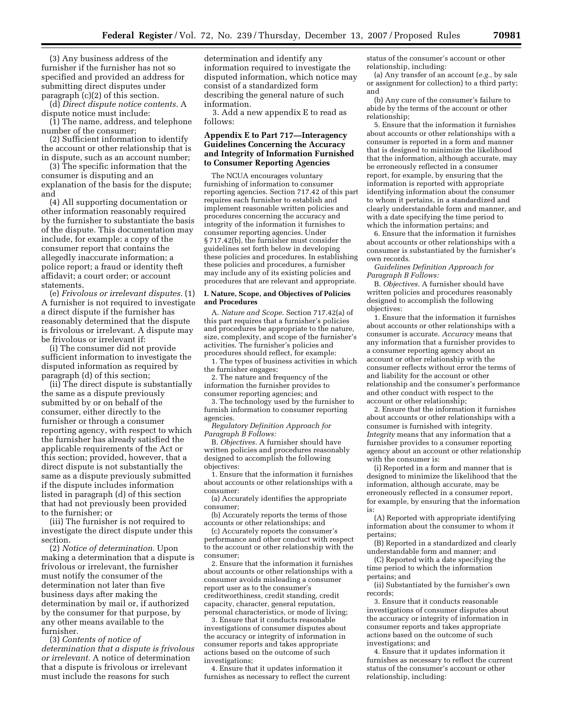(3) Any business address of the furnisher if the furnisher has not so specified and provided an address for submitting direct disputes under paragraph (c)(2) of this section.

(d) *Direct dispute notice contents.* A dispute notice must include:

(1) The name, address, and telephone number of the consumer;

(2) Sufficient information to identify the account or other relationship that is in dispute, such as an account number;

(3) The specific information that the consumer is disputing and an explanation of the basis for the dispute; and

(4) All supporting documentation or other information reasonably required by the furnisher to substantiate the basis of the dispute. This documentation may include, for example: a copy of the consumer report that contains the allegedly inaccurate information; a police report; a fraud or identity theft affidavit; a court order; or account statements.

(e) *Frivolous or irrelevant disputes.* (1) A furnisher is not required to investigate a direct dispute if the furnisher has reasonably determined that the dispute is frivolous or irrelevant. A dispute may be frivolous or irrelevant if:

(i) The consumer did not provide sufficient information to investigate the disputed information as required by paragraph (d) of this section;

(ii) The direct dispute is substantially the same as a dispute previously submitted by or on behalf of the consumer, either directly to the furnisher or through a consumer reporting agency, with respect to which the furnisher has already satisfied the applicable requirements of the Act or this section; provided, however, that a direct dispute is not substantially the same as a dispute previously submitted if the dispute includes information listed in paragraph (d) of this section that had not previously been provided to the furnisher; or

(iii) The furnisher is not required to investigate the direct dispute under this section.

(2) *Notice of determination.* Upon making a determination that a dispute is frivolous or irrelevant, the furnisher must notify the consumer of the determination not later than five business days after making the determination by mail or, if authorized by the consumer for that purpose, by any other means available to the furnisher.

(3) *Contents of notice of determination that a dispute is frivolous or irrelevant.* A notice of determination that a dispute is frivolous or irrelevant must include the reasons for such

determination and identify any information required to investigate the disputed information, which notice may consist of a standardized form describing the general nature of such information.

3. Add a new appendix E to read as follows:

#### **Appendix E to Part 717—Interagency Guidelines Concerning the Accuracy and Integrity of Information Furnished to Consumer Reporting Agencies**

The NCUA encourages voluntary furnishing of information to consumer reporting agencies. Section 717.42 of this part requires each furnisher to establish and implement reasonable written policies and procedures concerning the accuracy and integrity of the information it furnishes to consumer reporting agencies. Under § 717.42(b), the furnisher must consider the guidelines set forth below in developing these policies and procedures. In establishing these policies and procedures, a furnisher may include any of its existing policies and procedures that are relevant and appropriate.

#### **I. Nature, Scope, and Objectives of Policies and Procedures**

A. *Nature and Scope.* Section 717.42(a) of this part requires that a furnisher's policies and procedures be appropriate to the nature, size, complexity, and scope of the furnisher's activities. The furnisher's policies and procedures should reflect, for example:

1. The types of business activities in which the furnisher engages;

2. The nature and frequency of the information the furnisher provides to consumer reporting agencies; and

3. The technology used by the furnisher to furnish information to consumer reporting agencies.

*Regulatory Definition Approach for Paragraph B Follows:* 

B. *Objectives.* A furnisher should have written policies and procedures reasonably designed to accomplish the following objectives:

1. Ensure that the information it furnishes about accounts or other relationships with a consumer:

(a) Accurately identifies the appropriate consumer;

(b) Accurately reports the terms of those accounts or other relationships; and

(c) Accurately reports the consumer's performance and other conduct with respect to the account or other relationship with the consumer;

2. Ensure that the information it furnishes about accounts or other relationships with a consumer avoids misleading a consumer report user as to the consumer's creditworthiness, credit standing, credit capacity, character, general reputation, personal characteristics, or mode of living;

3. Ensure that it conducts reasonable investigations of consumer disputes about the accuracy or integrity of information in consumer reports and takes appropriate actions based on the outcome of such investigations;

4. Ensure that it updates information it furnishes as necessary to reflect the current

status of the consumer's account or other relationship, including:

(a) Any transfer of an account (*e.g.*, by sale or assignment for collection) to a third party; and

(b) Any cure of the consumer's failure to abide by the terms of the account or other relationship;

5. Ensure that the information it furnishes about accounts or other relationships with a consumer is reported in a form and manner that is designed to minimize the likelihood that the information, although accurate, may be erroneously reflected in a consumer report, for example, by ensuring that the information is reported with appropriate identifying information about the consumer to whom it pertains, in a standardized and clearly understandable form and manner, and with a date specifying the time period to which the information pertains; and

6. Ensure that the information it furnishes about accounts or other relationships with a consumer is substantiated by the furnisher's own records.

*Guidelines Definition Approach for Paragraph B Follows:* 

B. *Objectives.* A furnisher should have written policies and procedures reasonably designed to accomplish the following objectives:

1. Ensure that the information it furnishes about accounts or other relationships with a consumer is accurate. *Accuracy* means that any information that a furnisher provides to a consumer reporting agency about an account or other relationship with the consumer reflects without error the terms of and liability for the account or other relationship and the consumer's performance and other conduct with respect to the account or other relationship;

2. Ensure that the information it furnishes about accounts or other relationships with a consumer is furnished with integrity. *Integrity* means that any information that a furnisher provides to a consumer reporting agency about an account or other relationship with the consumer is:

(i) Reported in a form and manner that is designed to minimize the likelihood that the information, although accurate, may be erroneously reflected in a consumer report, for example, by ensuring that the information is:

(A) Reported with appropriate identifying information about the consumer to whom it pertains;

(B) Reported in a standardized and clearly understandable form and manner; and

(C) Reported with a date specifying the time period to which the information pertains; and

(ii) Substantiated by the furnisher's own records;

3. Ensure that it conducts reasonable investigations of consumer disputes about the accuracy or integrity of information in consumer reports and takes appropriate actions based on the outcome of such investigations; and

4. Ensure that it updates information it furnishes as necessary to reflect the current status of the consumer's account or other relationship, including: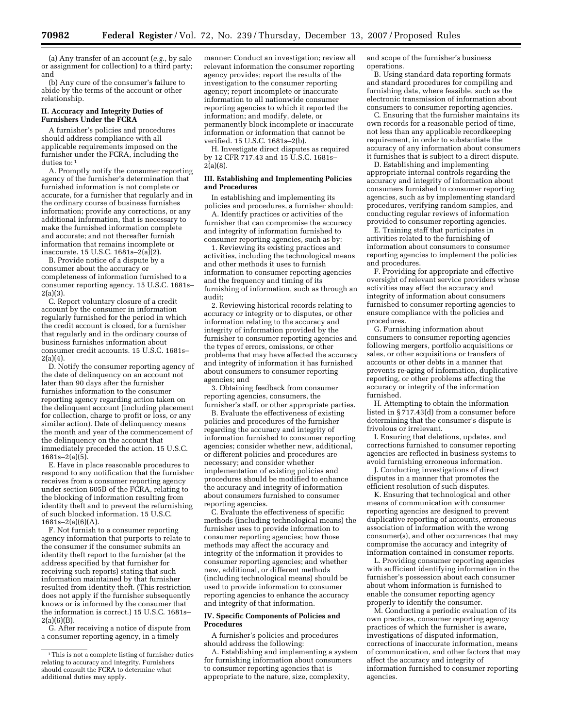(a) Any transfer of an account (*e.g.*, by sale or assignment for collection) to a third party; and

(b) Any cure of the consumer's failure to abide by the terms of the account or other relationship.

#### **II. Accuracy and Integrity Duties of Furnishers Under the FCRA**

A furnisher's policies and procedures should address compliance with all applicable requirements imposed on the furnisher under the FCRA, including the duties to: 1

A. Promptly notify the consumer reporting agency of the furnisher's determination that furnished information is not complete or accurate, for a furnisher that regularly and in the ordinary course of business furnishes information; provide any corrections, or any additional information, that is necessary to make the furnished information complete and accurate; and not thereafter furnish information that remains incomplete or inaccurate. 15 U.S.C.  $1681s - 2(a)(2)$ .

B. Provide notice of a dispute by a consumer about the accuracy or completeness of information furnished to a consumer reporting agency. 15 U.S.C. 1681s– 2(a)(3).

C. Report voluntary closure of a credit account by the consumer in information regularly furnished for the period in which the credit account is closed, for a furnisher that regularly and in the ordinary course of business furnishes information about consumer credit accounts. 15 U.S.C. 1681s– 2(a)(4).

D. Notify the consumer reporting agency of the date of delinquency on an account not later than 90 days after the furnisher furnishes information to the consumer reporting agency regarding action taken on the delinquent account (including placement for collection, charge to profit or loss, or any similar action). Date of delinquency means the month and year of the commencement of the delinquency on the account that immediately preceded the action. 15 U.S.C. 1681s–2(a)(5).

E. Have in place reasonable procedures to respond to any notification that the furnisher receives from a consumer reporting agency under section 605B of the FCRA, relating to the blocking of information resulting from identity theft and to prevent the refurnishing of such blocked information. 15 U.S.C.  $1681s-2(a)(6)(A)$ .

F. Not furnish to a consumer reporting agency information that purports to relate to the consumer if the consumer submits an identity theft report to the furnisher (at the address specified by that furnisher for receiving such reports) stating that such information maintained by that furnisher resulted from identity theft. (This restriction does not apply if the furnisher subsequently knows or is informed by the consumer that the information is correct.) 15 U.S.C. 1681s–  $2(a)(6)(B)$ .

G. After receiving a notice of dispute from a consumer reporting agency, in a timely

manner: Conduct an investigation; review all relevant information the consumer reporting agency provides; report the results of the investigation to the consumer reporting agency; report incomplete or inaccurate information to all nationwide consumer reporting agencies to which it reported the information; and modify, delete, or permanently block incomplete or inaccurate information or information that cannot be verified. 15 U.S.C. 1681s–2(b).

H. Investigate direct disputes as required by 12 CFR 717.43 and 15 U.S.C. 1681s–  $2(a)(8)$ .

#### **III. Establishing and Implementing Policies and Procedures**

In establishing and implementing its policies and procedures, a furnisher should:

A. Identify practices or activities of the furnisher that can compromise the accuracy and integrity of information furnished to consumer reporting agencies, such as by:

1. Reviewing its existing practices and activities, including the technological means and other methods it uses to furnish information to consumer reporting agencies and the frequency and timing of its furnishing of information, such as through an audit;

2. Reviewing historical records relating to accuracy or integrity or to disputes, or other information relating to the accuracy and integrity of information provided by the furnisher to consumer reporting agencies and the types of errors, omissions, or other problems that may have affected the accuracy and integrity of information it has furnished about consumers to consumer reporting agencies; and

3. Obtaining feedback from consumer reporting agencies, consumers, the furnisher's staff, or other appropriate parties.

B. Evaluate the effectiveness of existing policies and procedures of the furnisher regarding the accuracy and integrity of information furnished to consumer reporting agencies; consider whether new, additional, or different policies and procedures are necessary; and consider whether implementation of existing policies and procedures should be modified to enhance the accuracy and integrity of information about consumers furnished to consumer reporting agencies.

C. Evaluate the effectiveness of specific methods (including technological means) the furnisher uses to provide information to consumer reporting agencies; how those methods may affect the accuracy and integrity of the information it provides to consumer reporting agencies; and whether new, additional, or different methods (including technological means) should be used to provide information to consumer reporting agencies to enhance the accuracy and integrity of that information.

#### **IV. Specific Components of Policies and Procedures**

A furnisher's policies and procedures should address the following:

A. Establishing and implementing a system for furnishing information about consumers to consumer reporting agencies that is appropriate to the nature, size, complexity,

and scope of the furnisher's business operations.

B. Using standard data reporting formats and standard procedures for compiling and furnishing data, where feasible, such as the electronic transmission of information about consumers to consumer reporting agencies.

C. Ensuring that the furnisher maintains its own records for a reasonable period of time, not less than any applicable recordkeeping requirement, in order to substantiate the accuracy of any information about consumers it furnishes that is subject to a direct dispute.

D. Establishing and implementing appropriate internal controls regarding the accuracy and integrity of information about consumers furnished to consumer reporting agencies, such as by implementing standard procedures, verifying random samples, and conducting regular reviews of information provided to consumer reporting agencies.

E. Training staff that participates in activities related to the furnishing of information about consumers to consumer reporting agencies to implement the policies and procedures.

F. Providing for appropriate and effective oversight of relevant service providers whose activities may affect the accuracy and integrity of information about consumers furnished to consumer reporting agencies to ensure compliance with the policies and procedures.

G. Furnishing information about consumers to consumer reporting agencies following mergers, portfolio acquisitions or sales, or other acquisitions or transfers of accounts or other debts in a manner that prevents re-aging of information, duplicative reporting, or other problems affecting the accuracy or integrity of the information furnished.

H. Attempting to obtain the information listed in § 717.43(d) from a consumer before determining that the consumer's dispute is frivolous or irrelevant.

I. Ensuring that deletions, updates, and corrections furnished to consumer reporting agencies are reflected in business systems to avoid furnishing erroneous information.

J. Conducting investigations of direct disputes in a manner that promotes the efficient resolution of such disputes.

K. Ensuring that technological and other means of communication with consumer reporting agencies are designed to prevent duplicative reporting of accounts, erroneous association of information with the wrong consumer(s), and other occurrences that may compromise the accuracy and integrity of information contained in consumer reports.

L. Providing consumer reporting agencies with sufficient identifying information in the furnisher's possession about each consumer about whom information is furnished to enable the consumer reporting agency properly to identify the consumer.

M. Conducting a periodic evaluation of its own practices, consumer reporting agency practices of which the furnisher is aware, investigations of disputed information, corrections of inaccurate information, means of communication, and other factors that may affect the accuracy and integrity of information furnished to consumer reporting agencies.

<sup>1</sup> This is not a complete listing of furnisher duties relating to accuracy and integrity. Furnishers should consult the FCRA to determine what additional duties may apply.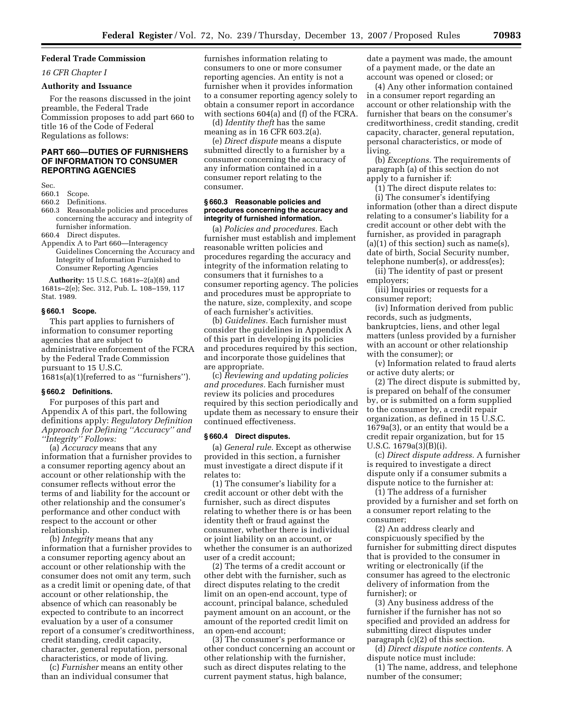#### **Federal Trade Commission**

*16 CFR Chapter I* 

#### **Authority and Issuance**

For the reasons discussed in the joint preamble, the Federal Trade Commission proposes to add part 660 to title 16 of the Code of Federal Regulations as follows:

#### **PART 660—DUTIES OF FURNISHERS OF INFORMATION TO CONSUMER REPORTING AGENCIES**

Sec.

#### 660.1 Scope.

660.2 Definitions.

- 660.3 Reasonable policies and procedures concerning the accuracy and integrity of furnisher information.
- 660.4 Direct disputes.
- Appendix A to Part 660—Interagency Guidelines Concerning the Accuracy and Integrity of Information Furnished to Consumer Reporting Agencies

**Authority:** 15 U.S.C. 1681s–2(a)(8) and 1681s–2(e); Sec. 312, Pub. L. 108–159, 117 Stat. 1989.

#### **§ 660.1 Scope.**

This part applies to furnishers of information to consumer reporting agencies that are subject to administrative enforcement of the FCRA by the Federal Trade Commission pursuant to 15 U.S.C.

1681s(a)(1)(referred to as ''furnishers'').

#### **§ 660.2 Definitions.**

For purposes of this part and Appendix A of this part, the following definitions apply: *Regulatory Definition Approach for Defining ''Accuracy'' and ''Integrity'' Follows:* 

(a) *Accuracy* means that any information that a furnisher provides to a consumer reporting agency about an account or other relationship with the consumer reflects without error the terms of and liability for the account or other relationship and the consumer's performance and other conduct with respect to the account or other relationship.

(b) *Integrity* means that any information that a furnisher provides to a consumer reporting agency about an account or other relationship with the consumer does not omit any term, such as a credit limit or opening date, of that account or other relationship, the absence of which can reasonably be expected to contribute to an incorrect evaluation by a user of a consumer report of a consumer's creditworthiness, credit standing, credit capacity, character, general reputation, personal characteristics, or mode of living.

(c) *Furnisher* means an entity other than an individual consumer that

furnishes information relating to consumers to one or more consumer reporting agencies. An entity is not a furnisher when it provides information to a consumer reporting agency solely to obtain a consumer report in accordance with sections 604(a) and (f) of the FCRA.

(d) *Identity theft* has the same meaning as in 16 CFR 603.2(a).

(e) *Direct dispute* means a dispute submitted directly to a furnisher by a consumer concerning the accuracy of any information contained in a consumer report relating to the consumer.

#### **§ 660.3 Reasonable policies and procedures concerning the accuracy and integrity of furnished information.**

(a) *Policies and procedures.* Each furnisher must establish and implement reasonable written policies and procedures regarding the accuracy and integrity of the information relating to consumers that it furnishes to a consumer reporting agency. The policies and procedures must be appropriate to the nature, size, complexity, and scope of each furnisher's activities.

(b) *Guidelines.* Each furnisher must consider the guidelines in Appendix A of this part in developing its policies and procedures required by this section, and incorporate those guidelines that are appropriate.

(c) *Reviewing and updating policies and procedures.* Each furnisher must review its policies and procedures required by this section periodically and update them as necessary to ensure their continued effectiveness.

#### **§ 660.4 Direct disputes.**

(a) *General rule.* Except as otherwise provided in this section, a furnisher must investigate a direct dispute if it relates to:

(1) The consumer's liability for a credit account or other debt with the furnisher, such as direct disputes relating to whether there is or has been identity theft or fraud against the consumer, whether there is individual or joint liability on an account, or whether the consumer is an authorized user of a credit account;

(2) The terms of a credit account or other debt with the furnisher, such as direct disputes relating to the credit limit on an open-end account, type of account, principal balance, scheduled payment amount on an account, or the amount of the reported credit limit on an open-end account;

(3) The consumer's performance or other conduct concerning an account or other relationship with the furnisher, such as direct disputes relating to the current payment status, high balance,

date a payment was made, the amount of a payment made, or the date an account was opened or closed; or

(4) Any other information contained in a consumer report regarding an account or other relationship with the furnisher that bears on the consumer's creditworthiness, credit standing, credit capacity, character, general reputation, personal characteristics, or mode of living.

(b) *Exceptions.* The requirements of paragraph (a) of this section do not apply to a furnisher if:

(1) The direct dispute relates to: (i) The consumer's identifying information (other than a direct dispute relating to a consumer's liability for a credit account or other debt with the furnisher, as provided in paragraph  $(a)(1)$  of this section) such as name(s), date of birth, Social Security number, telephone number(s), or address(es);

(ii) The identity of past or present employers;

(iii) Inquiries or requests for a consumer report;

(iv) Information derived from public records, such as judgments, bankruptcies, liens, and other legal matters (unless provided by a furnisher with an account or other relationship with the consumer); or

(v) Information related to fraud alerts or active duty alerts; or

(2) The direct dispute is submitted by, is prepared on behalf of the consumer by, or is submitted on a form supplied to the consumer by, a credit repair organization, as defined in 15 U.S.C. 1679a(3), or an entity that would be a credit repair organization, but for 15 U.S.C. 1679a(3)(B)(i).

(c) *Direct dispute address.* A furnisher is required to investigate a direct dispute only if a consumer submits a dispute notice to the furnisher at:

(1) The address of a furnisher provided by a furnisher and set forth on a consumer report relating to the consumer;

(2) An address clearly and conspicuously specified by the furnisher for submitting direct disputes that is provided to the consumer in writing or electronically (if the consumer has agreed to the electronic delivery of information from the furnisher); or

(3) Any business address of the furnisher if the furnisher has not so specified and provided an address for submitting direct disputes under paragraph (c)(2) of this section.

(d) *Direct dispute notice contents.* A dispute notice must include:

(1) The name, address, and telephone number of the consumer;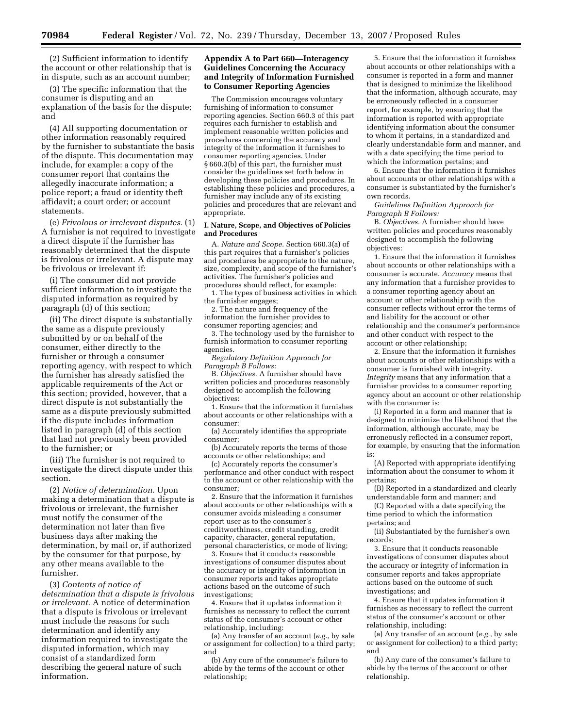(2) Sufficient information to identify the account or other relationship that is in dispute, such as an account number;

(3) The specific information that the consumer is disputing and an explanation of the basis for the dispute; and

(4) All supporting documentation or other information reasonably required by the furnisher to substantiate the basis of the dispute. This documentation may include, for example: a copy of the consumer report that contains the allegedly inaccurate information; a police report; a fraud or identity theft affidavit; a court order; or account statements.

(e) *Frivolous or irrelevant disputes.* (1) A furnisher is not required to investigate a direct dispute if the furnisher has reasonably determined that the dispute is frivolous or irrelevant. A dispute may be frivolous or irrelevant if:

(i) The consumer did not provide sufficient information to investigate the disputed information as required by paragraph (d) of this section;

(ii) The direct dispute is substantially the same as a dispute previously submitted by or on behalf of the consumer, either directly to the furnisher or through a consumer reporting agency, with respect to which the furnisher has already satisfied the applicable requirements of the Act or this section; provided, however, that a direct dispute is not substantially the same as a dispute previously submitted if the dispute includes information listed in paragraph (d) of this section that had not previously been provided to the furnisher; or

(iii) The furnisher is not required to investigate the direct dispute under this section.

(2) *Notice of determination.* Upon making a determination that a dispute is frivolous or irrelevant, the furnisher must notify the consumer of the determination not later than five business days after making the determination, by mail or, if authorized by the consumer for that purpose, by any other means available to the furnisher.

(3) *Contents of notice of determination that a dispute is frivolous or irrelevant.* A notice of determination that a dispute is frivolous or irrelevant must include the reasons for such determination and identify any information required to investigate the disputed information, which may consist of a standardized form describing the general nature of such information.

#### **Appendix A to Part 660—Interagency Guidelines Concerning the Accuracy and Integrity of Information Furnished to Consumer Reporting Agencies**

The Commission encourages voluntary furnishing of information to consumer reporting agencies. Section 660.3 of this part requires each furnisher to establish and implement reasonable written policies and procedures concerning the accuracy and integrity of the information it furnishes to consumer reporting agencies. Under § 660.3(b) of this part, the furnisher must consider the guidelines set forth below in developing these policies and procedures. In establishing these policies and procedures, a furnisher may include any of its existing policies and procedures that are relevant and appropriate.

#### **I. Nature, Scope, and Objectives of Policies and Procedures**

A. *Nature and Scope.* Section 660.3(a) of this part requires that a furnisher's policies and procedures be appropriate to the nature, size, complexity, and scope of the furnisher's activities. The furnisher's policies and procedures should reflect, for example:

1. The types of business activities in which the furnisher engages;

2. The nature and frequency of the information the furnisher provides to consumer reporting agencies; and

3. The technology used by the furnisher to furnish information to consumer reporting agencies.

*Regulatory Definition Approach for Paragraph B Follows:* 

B. *Objectives.* A furnisher should have written policies and procedures reasonably designed to accomplish the following objectives:

1. Ensure that the information it furnishes about accounts or other relationships with a consumer:

(a) Accurately identifies the appropriate consumer;

(b) Accurately reports the terms of those accounts or other relationships; and

(c) Accurately reports the consumer's performance and other conduct with respect to the account or other relationship with the consumer;

2. Ensure that the information it furnishes about accounts or other relationships with a consumer avoids misleading a consumer report user as to the consumer's creditworthiness, credit standing, credit capacity, character, general reputation, personal characteristics, or mode of living;

3. Ensure that it conducts reasonable investigations of consumer disputes about the accuracy or integrity of information in consumer reports and takes appropriate actions based on the outcome of such investigations;

4. Ensure that it updates information it furnishes as necessary to reflect the current status of the consumer's account or other relationship, including:

(a) Any transfer of an account (*e.g.*, by sale or assignment for collection) to a third party; and

(b) Any cure of the consumer's failure to abide by the terms of the account or other relationship;

5. Ensure that the information it furnishes about accounts or other relationships with a consumer is reported in a form and manner that is designed to minimize the likelihood that the information, although accurate, may be erroneously reflected in a consumer report, for example, by ensuring that the information is reported with appropriate identifying information about the consumer to whom it pertains, in a standardized and clearly understandable form and manner, and with a date specifying the time period to which the information pertains; and

6. Ensure that the information it furnishes about accounts or other relationships with a consumer is substantiated by the furnisher's own records.

*Guidelines Definition Approach for Paragraph B Follows:* 

B. *Objectives.* A furnisher should have written policies and procedures reasonably designed to accomplish the following objectives:

1. Ensure that the information it furnishes about accounts or other relationships with a consumer is accurate. *Accuracy* means that any information that a furnisher provides to a consumer reporting agency about an account or other relationship with the consumer reflects without error the terms of and liability for the account or other relationship and the consumer's performance and other conduct with respect to the account or other relationship;

2. Ensure that the information it furnishes about accounts or other relationships with a consumer is furnished with integrity. *Integrity* means that any information that a furnisher provides to a consumer reporting agency about an account or other relationship with the consumer is:

(i) Reported in a form and manner that is designed to minimize the likelihood that the information, although accurate, may be erroneously reflected in a consumer report, for example, by ensuring that the information is:

(A) Reported with appropriate identifying information about the consumer to whom it pertains;

(B) Reported in a standardized and clearly understandable form and manner; and

(C) Reported with a date specifying the time period to which the information pertains; and

(ii) Substantiated by the furnisher's own records;

3. Ensure that it conducts reasonable investigations of consumer disputes about the accuracy or integrity of information in consumer reports and takes appropriate actions based on the outcome of such investigations; and

4. Ensure that it updates information it furnishes as necessary to reflect the current status of the consumer's account or other relationship, including:

(a) Any transfer of an account (*e.g.*, by sale or assignment for collection) to a third party; and

(b) Any cure of the consumer's failure to abide by the terms of the account or other relationship.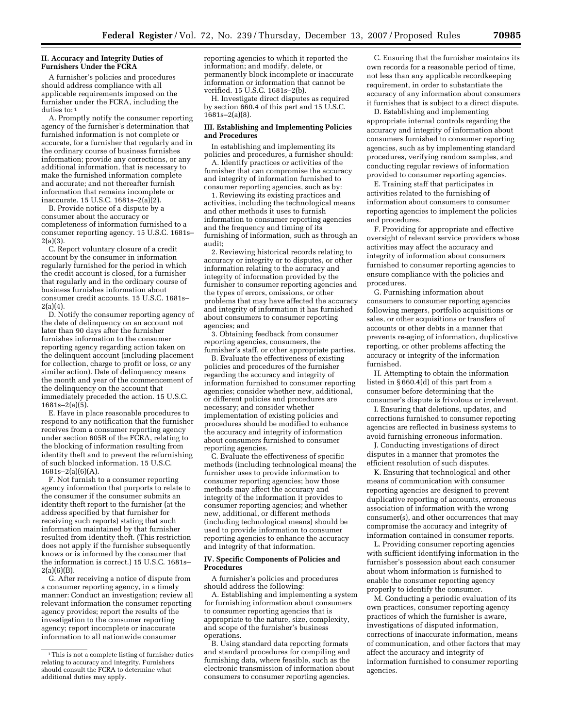#### **II. Accuracy and Integrity Duties of Furnishers Under the FCRA**

A furnisher's policies and procedures should address compliance with all applicable requirements imposed on the furnisher under the FCRA, including the duties to: 1

A. Promptly notify the consumer reporting agency of the furnisher's determination that furnished information is not complete or accurate, for a furnisher that regularly and in the ordinary course of business furnishes information; provide any corrections, or any additional information, that is necessary to make the furnished information complete and accurate; and not thereafter furnish information that remains incomplete or inaccurate. 15 U.S.C. 1681s–2(a)(2).

B. Provide notice of a dispute by a consumer about the accuracy or completeness of information furnished to a consumer reporting agency. 15 U.S.C. 1681s–  $2(a)(3)$ .

C. Report voluntary closure of a credit account by the consumer in information regularly furnished for the period in which the credit account is closed, for a furnisher that regularly and in the ordinary course of business furnishes information about consumer credit accounts. 15 U.S.C. 1681s– 2(a)(4).

D. Notify the consumer reporting agency of the date of delinquency on an account not later than 90 days after the furnisher furnishes information to the consumer reporting agency regarding action taken on the delinquent account (including placement for collection, charge to profit or loss, or any similar action). Date of delinquency means the month and year of the commencement of the delinquency on the account that immediately preceded the action. 15 U.S.C. 1681s–2(a)(5).

E. Have in place reasonable procedures to respond to any notification that the furnisher receives from a consumer reporting agency under section 605B of the FCRA, relating to the blocking of information resulting from identity theft and to prevent the refurnishing of such blocked information. 15 U.S.C.  $1681s-2(a)(6)(A)$ .

F. Not furnish to a consumer reporting agency information that purports to relate to the consumer if the consumer submits an identity theft report to the furnisher (at the address specified by that furnisher for receiving such reports) stating that such information maintained by that furnisher resulted from identity theft. (This restriction does not apply if the furnisher subsequently knows or is informed by the consumer that the information is correct.) 15 U.S.C. 1681s– 2(a)(6)(B).

G. After receiving a notice of dispute from a consumer reporting agency, in a timely manner: Conduct an investigation; review all relevant information the consumer reporting agency provides; report the results of the investigation to the consumer reporting agency; report incomplete or inaccurate information to all nationwide consumer

reporting agencies to which it reported the information; and modify, delete, or permanently block incomplete or inaccurate information or information that cannot be verified. 15 U.S.C. 1681s–2(b).

H. Investigate direct disputes as required by section 660.4 of this part and 15 U.S.C.  $1681s - 2(a)(8)$ .

#### **III. Establishing and Implementing Policies and Procedures**

In establishing and implementing its policies and procedures, a furnisher should:

A. Identify practices or activities of the furnisher that can compromise the accuracy and integrity of information furnished to consumer reporting agencies, such as by:

1. Reviewing its existing practices and activities, including the technological means and other methods it uses to furnish information to consumer reporting agencies and the frequency and timing of its furnishing of information, such as through an audit;

2. Reviewing historical records relating to accuracy or integrity or to disputes, or other information relating to the accuracy and integrity of information provided by the furnisher to consumer reporting agencies and the types of errors, omissions, or other problems that may have affected the accuracy and integrity of information it has furnished about consumers to consumer reporting agencies; and

3. Obtaining feedback from consumer reporting agencies, consumers, the furnisher's staff, or other appropriate parties.

B. Evaluate the effectiveness of existing policies and procedures of the furnisher regarding the accuracy and integrity of information furnished to consumer reporting agencies; consider whether new, additional, or different policies and procedures are necessary; and consider whether implementation of existing policies and procedures should be modified to enhance the accuracy and integrity of information about consumers furnished to consumer reporting agencies.

C. Evaluate the effectiveness of specific methods (including technological means) the furnisher uses to provide information to consumer reporting agencies; how those methods may affect the accuracy and integrity of the information it provides to consumer reporting agencies; and whether new, additional, or different methods (including technological means) should be used to provide information to consumer reporting agencies to enhance the accuracy and integrity of that information.

#### **IV. Specific Components of Policies and Procedures**

A furnisher's policies and procedures should address the following:

A. Establishing and implementing a system for furnishing information about consumers to consumer reporting agencies that is appropriate to the nature, size, complexity, and scope of the furnisher's business operations.

B. Using standard data reporting formats and standard procedures for compiling and furnishing data, where feasible, such as the electronic transmission of information about consumers to consumer reporting agencies.

C. Ensuring that the furnisher maintains its own records for a reasonable period of time, not less than any applicable recordkeeping requirement, in order to substantiate the accuracy of any information about consumers it furnishes that is subject to a direct dispute.

D. Establishing and implementing appropriate internal controls regarding the accuracy and integrity of information about consumers furnished to consumer reporting agencies, such as by implementing standard procedures, verifying random samples, and conducting regular reviews of information provided to consumer reporting agencies.

E. Training staff that participates in activities related to the furnishing of information about consumers to consumer reporting agencies to implement the policies and procedures.

F. Providing for appropriate and effective oversight of relevant service providers whose activities may affect the accuracy and integrity of information about consumers furnished to consumer reporting agencies to ensure compliance with the policies and procedures.

G. Furnishing information about consumers to consumer reporting agencies following mergers, portfolio acquisitions or sales, or other acquisitions or transfers of accounts or other debts in a manner that prevents re-aging of information, duplicative reporting, or other problems affecting the accuracy or integrity of the information furnished.

H. Attempting to obtain the information listed in § 660.4(d) of this part from a consumer before determining that the consumer's dispute is frivolous or irrelevant.

I. Ensuring that deletions, updates, and corrections furnished to consumer reporting agencies are reflected in business systems to avoid furnishing erroneous information.

J. Conducting investigations of direct disputes in a manner that promotes the efficient resolution of such disputes.

K. Ensuring that technological and other means of communication with consumer reporting agencies are designed to prevent duplicative reporting of accounts, erroneous association of information with the wrong consumer(s), and other occurrences that may compromise the accuracy and integrity of information contained in consumer reports.

L. Providing consumer reporting agencies with sufficient identifying information in the furnisher's possession about each consumer about whom information is furnished to enable the consumer reporting agency properly to identify the consumer.

M. Conducting a periodic evaluation of its own practices, consumer reporting agency practices of which the furnisher is aware, investigations of disputed information, corrections of inaccurate information, means of communication, and other factors that may affect the accuracy and integrity of information furnished to consumer reporting agencies.

<sup>1</sup> This is not a complete listing of furnisher duties relating to accuracy and integrity. Furnishers should consult the FCRA to determine what additional duties may apply.